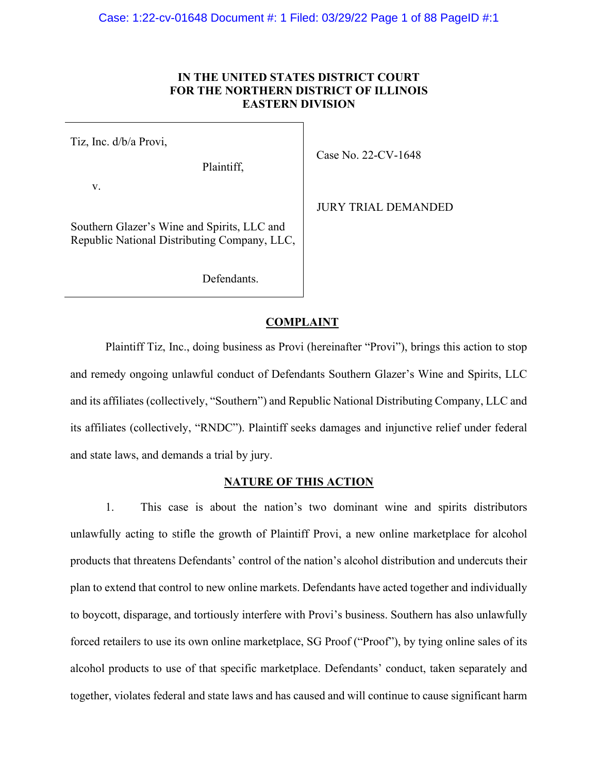# **IN THE UNITED STATES DISTRICT COURT FOR THE NORTHERN DISTRICT OF ILLINOIS EASTERN DIVISION**

Tiz, Inc. d/b/a Provi,

Plaintiff,

v.

Southern Glazer's Wine and Spirits, LLC and Republic National Distributing Company, LLC,

Defendants.

Case No. 22-CV-1648

JURY TRIAL DEMANDED

# **COMPLAINT**

Plaintiff Tiz, Inc., doing business as Provi (hereinafter "Provi"), brings this action to stop and remedy ongoing unlawful conduct of Defendants Southern Glazer's Wine and Spirits, LLC and its affiliates (collectively, "Southern") and Republic National Distributing Company, LLC and its affiliates (collectively, "RNDC"). Plaintiff seeks damages and injunctive relief under federal and state laws, and demands a trial by jury.

## **NATURE OF THIS ACTION**

1. This case is about the nation's two dominant wine and spirits distributors unlawfully acting to stifle the growth of Plaintiff Provi, a new online marketplace for alcohol products that threatens Defendants' control of the nation's alcohol distribution and undercuts their plan to extend that control to new online markets. Defendants have acted together and individually to boycott, disparage, and tortiously interfere with Provi's business. Southern has also unlawfully forced retailers to use its own online marketplace, SG Proof ("Proof"), by tying online sales of its alcohol products to use of that specific marketplace. Defendants' conduct, taken separately and together, violates federal and state laws and has caused and will continue to cause significant harm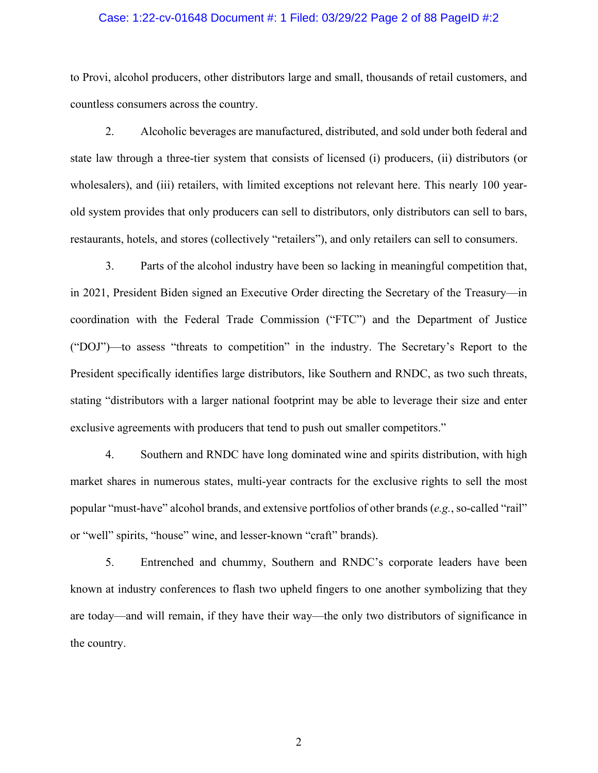## Case: 1:22-cv-01648 Document #: 1 Filed: 03/29/22 Page 2 of 88 PageID #:2

to Provi, alcohol producers, other distributors large and small, thousands of retail customers, and countless consumers across the country.

2. Alcoholic beverages are manufactured, distributed, and sold under both federal and state law through a three-tier system that consists of licensed (i) producers, (ii) distributors (or wholesalers), and (iii) retailers, with limited exceptions not relevant here. This nearly 100 yearold system provides that only producers can sell to distributors, only distributors can sell to bars, restaurants, hotels, and stores (collectively "retailers"), and only retailers can sell to consumers.

3. Parts of the alcohol industry have been so lacking in meaningful competition that, in 2021, President Biden signed an Executive Order directing the Secretary of the Treasury—in coordination with the Federal Trade Commission ("FTC") and the Department of Justice ("DOJ")—to assess "threats to competition" in the industry. The Secretary's Report to the President specifically identifies large distributors, like Southern and RNDC, as two such threats, stating "distributors with a larger national footprint may be able to leverage their size and enter exclusive agreements with producers that tend to push out smaller competitors."

4. Southern and RNDC have long dominated wine and spirits distribution, with high market shares in numerous states, multi-year contracts for the exclusive rights to sell the most popular "must-have" alcohol brands, and extensive portfolios of other brands (*e.g.*, so-called "rail" or "well" spirits, "house" wine, and lesser-known "craft" brands).

5. Entrenched and chummy, Southern and RNDC's corporate leaders have been known at industry conferences to flash two upheld fingers to one another symbolizing that they are today—and will remain, if they have their way—the only two distributors of significance in the country.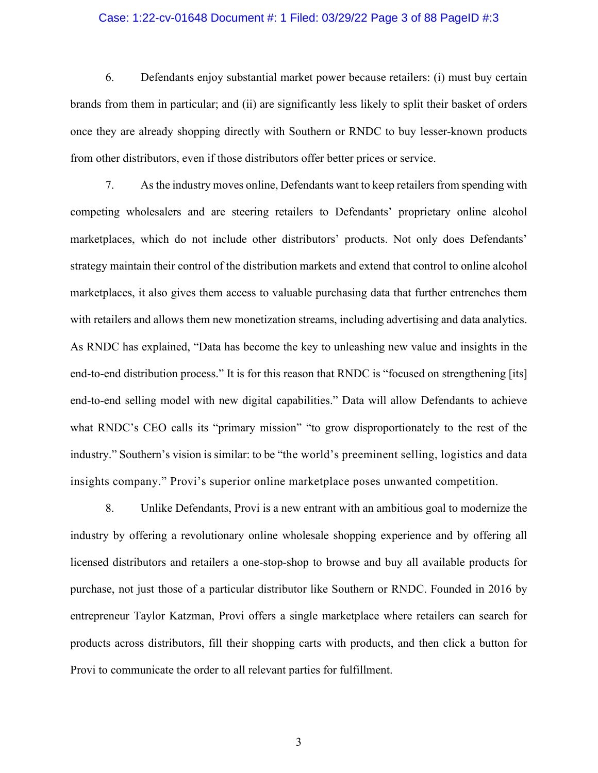## Case: 1:22-cv-01648 Document #: 1 Filed: 03/29/22 Page 3 of 88 PageID #:3

6. Defendants enjoy substantial market power because retailers: (i) must buy certain brands from them in particular; and (ii) are significantly less likely to split their basket of orders once they are already shopping directly with Southern or RNDC to buy lesser-known products from other distributors, even if those distributors offer better prices or service.

7. As the industry moves online, Defendants want to keep retailers from spending with competing wholesalers and are steering retailers to Defendants' proprietary online alcohol marketplaces, which do not include other distributors' products. Not only does Defendants' strategy maintain their control of the distribution markets and extend that control to online alcohol marketplaces, it also gives them access to valuable purchasing data that further entrenches them with retailers and allows them new monetization streams, including advertising and data analytics. As RNDC has explained, "Data has become the key to unleashing new value and insights in the end-to-end distribution process." It is for this reason that RNDC is "focused on strengthening [its] end-to-end selling model with new digital capabilities." Data will allow Defendants to achieve what RNDC's CEO calls its "primary mission" "to grow disproportionately to the rest of the industry." Southern's vision is similar: to be "the world's preeminent selling, logistics and data insights company." Provi's superior online marketplace poses unwanted competition.

8. Unlike Defendants, Provi is a new entrant with an ambitious goal to modernize the industry by offering a revolutionary online wholesale shopping experience and by offering all licensed distributors and retailers a one-stop-shop to browse and buy all available products for purchase, not just those of a particular distributor like Southern or RNDC. Founded in 2016 by entrepreneur Taylor Katzman, Provi offers a single marketplace where retailers can search for products across distributors, fill their shopping carts with products, and then click a button for Provi to communicate the order to all relevant parties for fulfillment.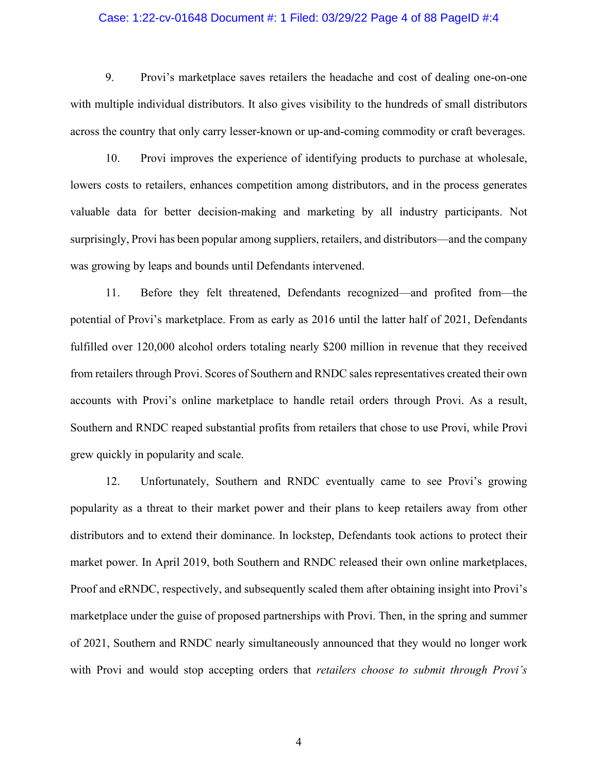## Case: 1:22-cv-01648 Document #: 1 Filed: 03/29/22 Page 4 of 88 PageID #:4

9. Provi's marketplace saves retailers the headache and cost of dealing one-on-one with multiple individual distributors. It also gives visibility to the hundreds of small distributors across the country that only carry lesser-known or up-and-coming commodity or craft beverages.

10. Provi improves the experience of identifying products to purchase at wholesale, lowers costs to retailers, enhances competition among distributors, and in the process generates valuable data for better decision-making and marketing by all industry participants. Not surprisingly, Provi has been popular among suppliers, retailers, and distributors—and the company was growing by leaps and bounds until Defendants intervened.

11. Before they felt threatened, Defendants recognized—and profited from—the potential of Provi's marketplace. From as early as 2016 until the latter half of 2021, Defendants fulfilled over 120,000 alcohol orders totaling nearly \$200 million in revenue that they received from retailers through Provi. Scores of Southern and RNDC sales representatives created their own accounts with Provi's online marketplace to handle retail orders through Provi. As a result, Southern and RNDC reaped substantial profits from retailers that chose to use Provi, while Provi grew quickly in popularity and scale.

12. Unfortunately, Southern and RNDC eventually came to see Provi's growing popularity as a threat to their market power and their plans to keep retailers away from other distributors and to extend their dominance. In lockstep, Defendants took actions to protect their market power. In April 2019, both Southern and RNDC released their own online marketplaces, Proof and eRNDC, respectively, and subsequently scaled them after obtaining insight into Provi's marketplace under the guise of proposed partnerships with Provi. Then, in the spring and summer of 2021, Southern and RNDC nearly simultaneously announced that they would no longer work with Provi and would stop accepting orders that *retailers choose to submit through Provi's*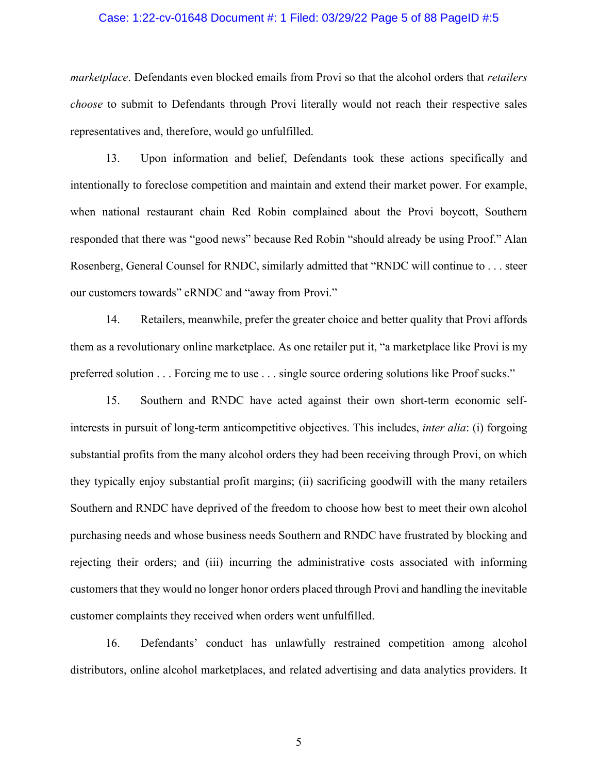## Case: 1:22-cv-01648 Document #: 1 Filed: 03/29/22 Page 5 of 88 PageID #:5

*marketplace*. Defendants even blocked emails from Provi so that the alcohol orders that *retailers choose* to submit to Defendants through Provi literally would not reach their respective sales representatives and, therefore, would go unfulfilled.

13. Upon information and belief, Defendants took these actions specifically and intentionally to foreclose competition and maintain and extend their market power. For example, when national restaurant chain Red Robin complained about the Provi boycott, Southern responded that there was "good news" because Red Robin "should already be using Proof." Alan Rosenberg, General Counsel for RNDC, similarly admitted that "RNDC will continue to . . . steer our customers towards" eRNDC and "away from Provi."

14. Retailers, meanwhile, prefer the greater choice and better quality that Provi affords them as a revolutionary online marketplace. As one retailer put it, "a marketplace like Provi is my preferred solution . . . Forcing me to use . . . single source ordering solutions like Proof sucks."

15. Southern and RNDC have acted against their own short-term economic selfinterests in pursuit of long-term anticompetitive objectives. This includes, *inter alia*: (i) forgoing substantial profits from the many alcohol orders they had been receiving through Provi, on which they typically enjoy substantial profit margins; (ii) sacrificing goodwill with the many retailers Southern and RNDC have deprived of the freedom to choose how best to meet their own alcohol purchasing needs and whose business needs Southern and RNDC have frustrated by blocking and rejecting their orders; and (iii) incurring the administrative costs associated with informing customers that they would no longer honor orders placed through Provi and handling the inevitable customer complaints they received when orders went unfulfilled.

16. Defendants' conduct has unlawfully restrained competition among alcohol distributors, online alcohol marketplaces, and related advertising and data analytics providers. It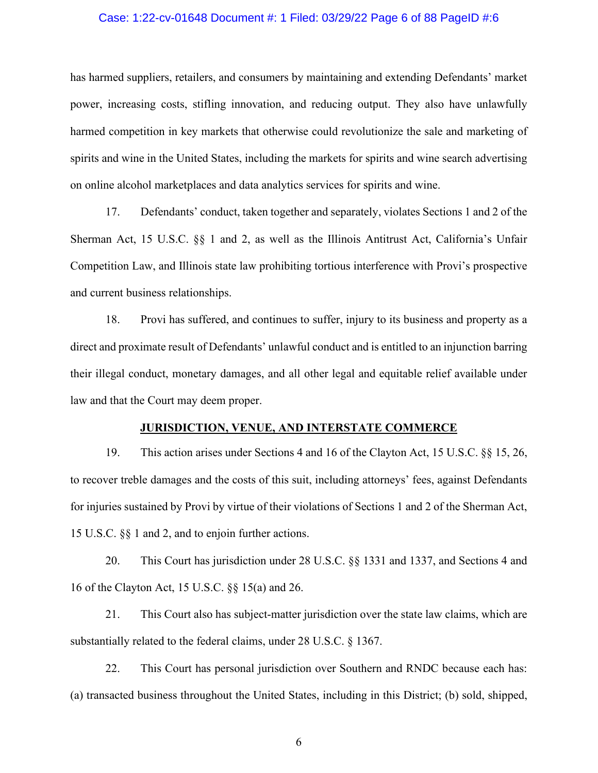## Case: 1:22-cv-01648 Document #: 1 Filed: 03/29/22 Page 6 of 88 PageID #:6

has harmed suppliers, retailers, and consumers by maintaining and extending Defendants' market power, increasing costs, stifling innovation, and reducing output. They also have unlawfully harmed competition in key markets that otherwise could revolutionize the sale and marketing of spirits and wine in the United States, including the markets for spirits and wine search advertising on online alcohol marketplaces and data analytics services for spirits and wine.

17. Defendants' conduct, taken together and separately, violates Sections 1 and 2 of the Sherman Act, 15 U.S.C. §§ 1 and 2, as well as the Illinois Antitrust Act, California's Unfair Competition Law, and Illinois state law prohibiting tortious interference with Provi's prospective and current business relationships.

18. Provi has suffered, and continues to suffer, injury to its business and property as a direct and proximate result of Defendants' unlawful conduct and is entitled to an injunction barring their illegal conduct, monetary damages, and all other legal and equitable relief available under law and that the Court may deem proper.

## **JURISDICTION, VENUE, AND INTERSTATE COMMERCE**

19. This action arises under Sections 4 and 16 of the Clayton Act, 15 U.S.C. §§ 15, 26, to recover treble damages and the costs of this suit, including attorneys' fees, against Defendants for injuries sustained by Provi by virtue of their violations of Sections 1 and 2 of the Sherman Act, 15 U.S.C. §§ 1 and 2, and to enjoin further actions.

20. This Court has jurisdiction under 28 U.S.C. §§ 1331 and 1337, and Sections 4 and 16 of the Clayton Act, 15 U.S.C. §§ 15(a) and 26.

21. This Court also has subject-matter jurisdiction over the state law claims, which are substantially related to the federal claims, under 28 U.S.C. § 1367.

22. This Court has personal jurisdiction over Southern and RNDC because each has: (a) transacted business throughout the United States, including in this District; (b) sold, shipped,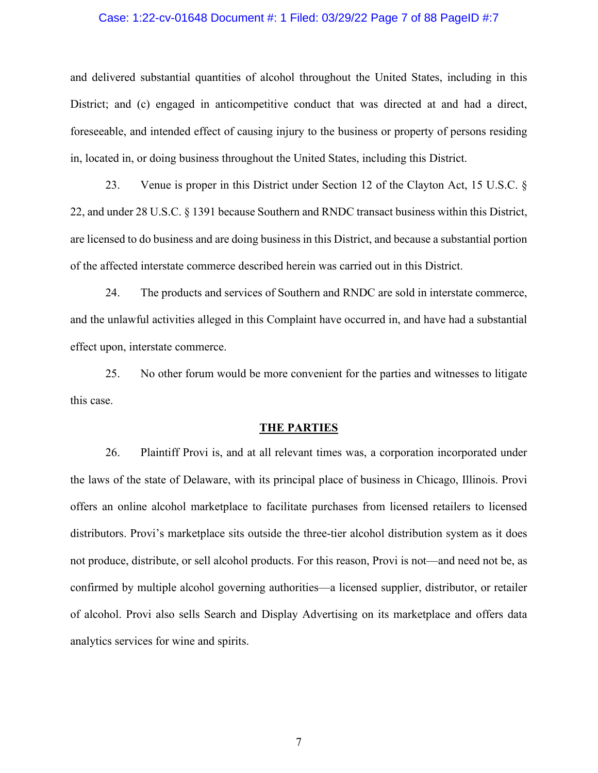## Case: 1:22-cv-01648 Document #: 1 Filed: 03/29/22 Page 7 of 88 PageID #:7

and delivered substantial quantities of alcohol throughout the United States, including in this District; and (c) engaged in anticompetitive conduct that was directed at and had a direct, foreseeable, and intended effect of causing injury to the business or property of persons residing in, located in, or doing business throughout the United States, including this District.

23. Venue is proper in this District under Section 12 of the Clayton Act, 15 U.S.C. § 22, and under 28 U.S.C. § 1391 because Southern and RNDC transact business within this District, are licensed to do business and are doing business in this District, and because a substantial portion of the affected interstate commerce described herein was carried out in this District.

24. The products and services of Southern and RNDC are sold in interstate commerce, and the unlawful activities alleged in this Complaint have occurred in, and have had a substantial effect upon, interstate commerce.

25. No other forum would be more convenient for the parties and witnesses to litigate this case.

#### **THE PARTIES**

26. Plaintiff Provi is, and at all relevant times was, a corporation incorporated under the laws of the state of Delaware, with its principal place of business in Chicago, Illinois. Provi offers an online alcohol marketplace to facilitate purchases from licensed retailers to licensed distributors. Provi's marketplace sits outside the three-tier alcohol distribution system as it does not produce, distribute, or sell alcohol products. For this reason, Provi is not—and need not be, as confirmed by multiple alcohol governing authorities—a licensed supplier, distributor, or retailer of alcohol. Provi also sells Search and Display Advertising on its marketplace and offers data analytics services for wine and spirits.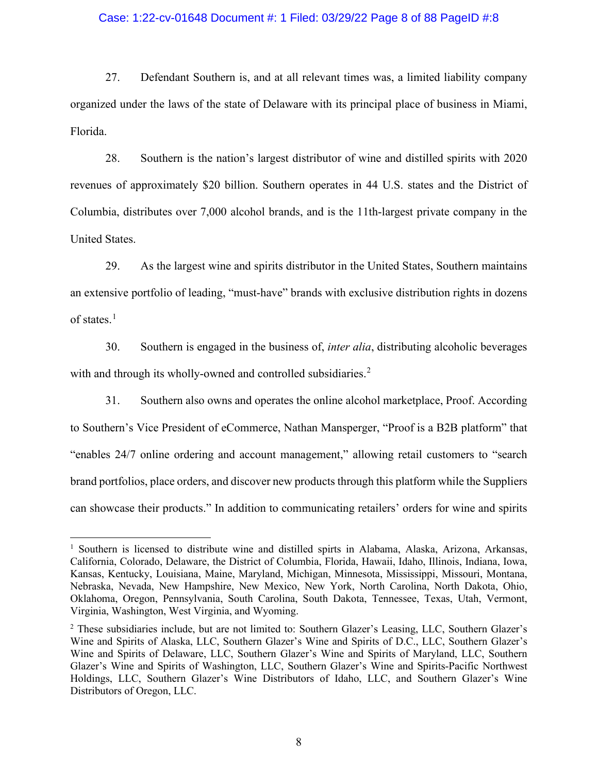## Case: 1:22-cv-01648 Document #: 1 Filed: 03/29/22 Page 8 of 88 PageID #:8

27. Defendant Southern is, and at all relevant times was, a limited liability company organized under the laws of the state of Delaware with its principal place of business in Miami, Florida.

28. Southern is the nation's largest distributor of wine and distilled spirits with 2020 revenues of approximately \$20 billion. Southern operates in 44 U.S. states and the District of Columbia, distributes over 7,000 alcohol brands, and is the 11th-largest private company in the United States.

29. As the largest wine and spirits distributor in the United States, Southern maintains an extensive portfolio of leading, "must-have" brands with exclusive distribution rights in dozens of states.[1](#page-7-0)

30. Southern is engaged in the business of, *inter alia*, distributing alcoholic beverages with and through its wholly-owned and controlled subsidiaries.<sup>[2](#page-7-1)</sup>

31. Southern also owns and operates the online alcohol marketplace, Proof. According to Southern's Vice President of eCommerce, Nathan Mansperger, "Proof is a B2B platform" that "enables 24/7 online ordering and account management," allowing retail customers to "search brand portfolios, place orders, and discover new products through this platform while the Suppliers can showcase their products." In addition to communicating retailers' orders for wine and spirits

<span id="page-7-0"></span> $<sup>1</sup>$  Southern is licensed to distribute wine and distilled spirts in Alabama, Alaska, Arizona, Arkansas,</sup> California, Colorado, Delaware, the District of Columbia, Florida, Hawaii, Idaho, Illinois, Indiana, Iowa, Kansas, Kentucky, Louisiana, Maine, Maryland, Michigan, Minnesota, Mississippi, Missouri, Montana, Nebraska, Nevada, New Hampshire, New Mexico, New York, North Carolina, North Dakota, Ohio, Oklahoma, Oregon, Pennsylvania, South Carolina, South Dakota, Tennessee, Texas, Utah, Vermont, Virginia, Washington, West Virginia, and Wyoming.

<span id="page-7-1"></span><sup>2</sup> These subsidiaries include, but are not limited to: Southern Glazer's Leasing, LLC, Southern Glazer's Wine and Spirits of Alaska, LLC, Southern Glazer's Wine and Spirits of D.C., LLC, Southern Glazer's Wine and Spirits of Delaware, LLC, Southern Glazer's Wine and Spirits of Maryland, LLC, Southern Glazer's Wine and Spirits of Washington, LLC, Southern Glazer's Wine and Spirits-Pacific Northwest Holdings, LLC, Southern Glazer's Wine Distributors of Idaho, LLC, and Southern Glazer's Wine Distributors of Oregon, LLC.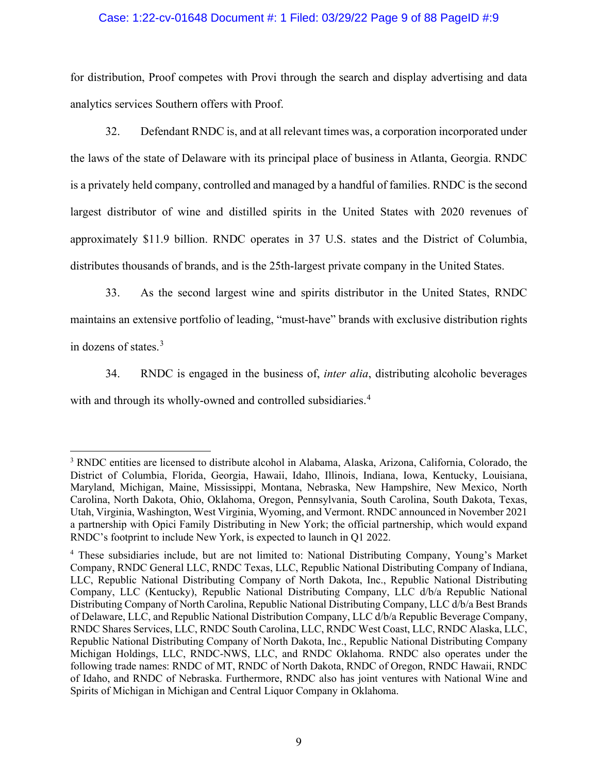## Case: 1:22-cv-01648 Document #: 1 Filed: 03/29/22 Page 9 of 88 PageID #:9

for distribution, Proof competes with Provi through the search and display advertising and data analytics services Southern offers with Proof.

32. Defendant RNDC is, and at all relevant times was, a corporation incorporated under the laws of the state of Delaware with its principal place of business in Atlanta, Georgia. RNDC is a privately held company, controlled and managed by a handful of families. RNDC is the second largest distributor of wine and distilled spirits in the United States with 2020 revenues of approximately \$11.9 billion. RNDC operates in 37 U.S. states and the District of Columbia, distributes thousands of brands, and is the 25th-largest private company in the United States.

33. As the second largest wine and spirits distributor in the United States, RNDC maintains an extensive portfolio of leading, "must-have" brands with exclusive distribution rights in dozens of states.[3](#page-8-0)

34. RNDC is engaged in the business of, *inter alia*, distributing alcoholic beverages with and through its wholly-owned and controlled subsidiaries. [4](#page-8-1)

<span id="page-8-0"></span><sup>3</sup> RNDC entities are licensed to distribute alcohol in Alabama, Alaska, Arizona, California, Colorado, the District of Columbia, Florida, Georgia, Hawaii, Idaho, Illinois, Indiana, Iowa, Kentucky, Louisiana, Maryland, Michigan, Maine, Mississippi, Montana, Nebraska, New Hampshire, New Mexico, North Carolina, North Dakota, Ohio, Oklahoma, Oregon, Pennsylvania, South Carolina, South Dakota, Texas, Utah, Virginia, Washington, West Virginia, Wyoming, and Vermont. RNDC announced in November 2021 a partnership with Opici Family Distributing in New York; the official partnership, which would expand RNDC's footprint to include New York, is expected to launch in Q1 2022.

<span id="page-8-1"></span><sup>4</sup> These subsidiaries include, but are not limited to: National Distributing Company, Young's Market Company, RNDC General LLC, RNDC Texas, LLC, Republic National Distributing Company of Indiana, LLC, Republic National Distributing Company of North Dakota, Inc., Republic National Distributing Company, LLC (Kentucky), Republic National Distributing Company, LLC d/b/a Republic National Distributing Company of North Carolina, Republic National Distributing Company, LLC d/b/a Best Brands of Delaware, LLC, and Republic National Distribution Company, LLC d/b/a Republic Beverage Company, RNDC Shares Services, LLC, RNDC South Carolina, LLC, RNDC West Coast, LLC, RNDC Alaska, LLC, Republic National Distributing Company of North Dakota, Inc., Republic National Distributing Company Michigan Holdings, LLC, RNDC-NWS, LLC, and RNDC Oklahoma. RNDC also operates under the following trade names: RNDC of MT, RNDC of North Dakota, RNDC of Oregon, RNDC Hawaii, RNDC of Idaho, and RNDC of Nebraska. Furthermore, RNDC also has joint ventures with National Wine and Spirits of Michigan in Michigan and Central Liquor Company in Oklahoma.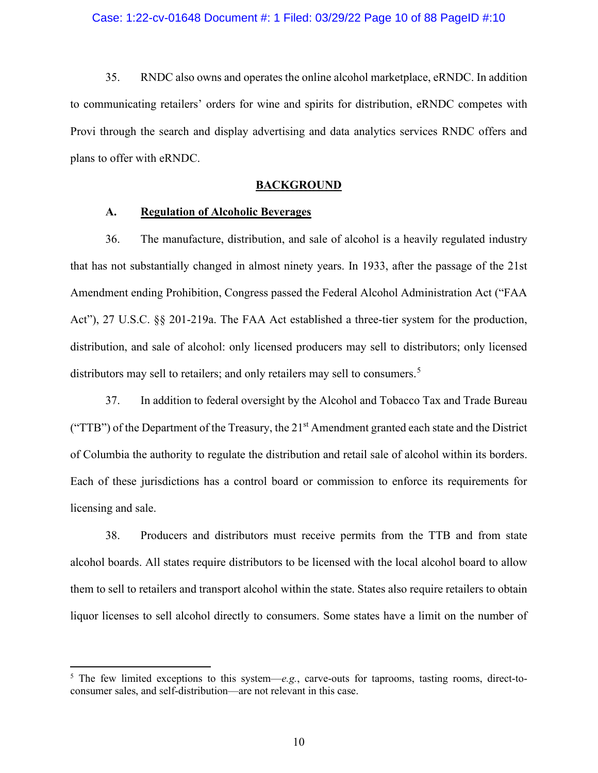## Case: 1:22-cv-01648 Document #: 1 Filed: 03/29/22 Page 10 of 88 PageID #:10

35. RNDC also owns and operates the online alcohol marketplace, eRNDC. In addition to communicating retailers' orders for wine and spirits for distribution, eRNDC competes with Provi through the search and display advertising and data analytics services RNDC offers and plans to offer with eRNDC.

#### **BACKGROUND**

## **A. Regulation of Alcoholic Beverages**

36. The manufacture, distribution, and sale of alcohol is a heavily regulated industry that has not substantially changed in almost ninety years. In 1933, after the passage of the 21st Amendment ending Prohibition, Congress passed the Federal Alcohol Administration Act ("FAA Act"), 27 U.S.C. §§ 201-219a. The FAA Act established a three-tier system for the production, distribution, and sale of alcohol: only licensed producers may sell to distributors; only licensed distributors may sell to retailers; and only retailers may sell to consumers.<sup>[5](#page-9-0)</sup>

37. In addition to federal oversight by the Alcohol and Tobacco Tax and Trade Bureau ("TTB") of the Department of the Treasury, the  $21<sup>st</sup>$  Amendment granted each state and the District of Columbia the authority to regulate the distribution and retail sale of alcohol within its borders. Each of these jurisdictions has a control board or commission to enforce its requirements for licensing and sale.

38. Producers and distributors must receive permits from the TTB and from state alcohol boards. All states require distributors to be licensed with the local alcohol board to allow them to sell to retailers and transport alcohol within the state. States also require retailers to obtain liquor licenses to sell alcohol directly to consumers. Some states have a limit on the number of

<span id="page-9-0"></span><sup>5</sup> The few limited exceptions to this system—*e.g.*, carve-outs for taprooms, tasting rooms, direct-toconsumer sales, and self-distribution—are not relevant in this case.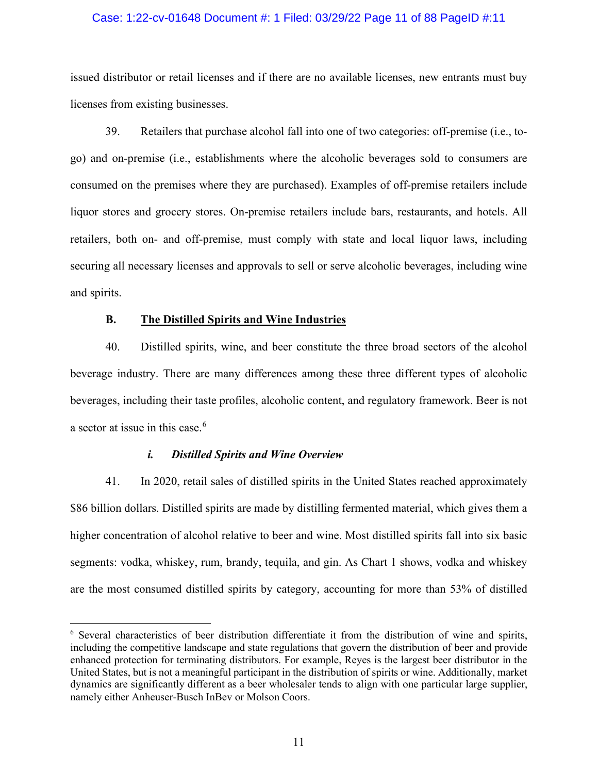## Case: 1:22-cv-01648 Document #: 1 Filed: 03/29/22 Page 11 of 88 PageID #:11

issued distributor or retail licenses and if there are no available licenses, new entrants must buy licenses from existing businesses.

39. Retailers that purchase alcohol fall into one of two categories: off-premise (i.e., togo) and on-premise (i.e., establishments where the alcoholic beverages sold to consumers are consumed on the premises where they are purchased). Examples of off-premise retailers include liquor stores and grocery stores. On-premise retailers include bars, restaurants, and hotels. All retailers, both on- and off-premise, must comply with state and local liquor laws, including securing all necessary licenses and approvals to sell or serve alcoholic beverages, including wine and spirits.

## **B. The Distilled Spirits and Wine Industries**

40. Distilled spirits, wine, and beer constitute the three broad sectors of the alcohol beverage industry. There are many differences among these three different types of alcoholic beverages, including their taste profiles, alcoholic content, and regulatory framework. Beer is not a sector at issue in this case. $6$ 

#### *i. Distilled Spirits and Wine Overview*

41. In 2020, retail sales of distilled spirits in the United States reached approximately \$86 billion dollars. Distilled spirits are made by distilling fermented material, which gives them a higher concentration of alcohol relative to beer and wine. Most distilled spirits fall into six basic segments: vodka, whiskey, rum, brandy, tequila, and gin. As Chart 1 shows, vodka and whiskey are the most consumed distilled spirits by category, accounting for more than 53% of distilled

<span id="page-10-0"></span><sup>&</sup>lt;sup>6</sup> Several characteristics of beer distribution differentiate it from the distribution of wine and spirits, including the competitive landscape and state regulations that govern the distribution of beer and provide enhanced protection for terminating distributors. For example, Reyes is the largest beer distributor in the United States, but is not a meaningful participant in the distribution of spirits or wine. Additionally, market dynamics are significantly different as a beer wholesaler tends to align with one particular large supplier, namely either Anheuser-Busch InBev or Molson Coors.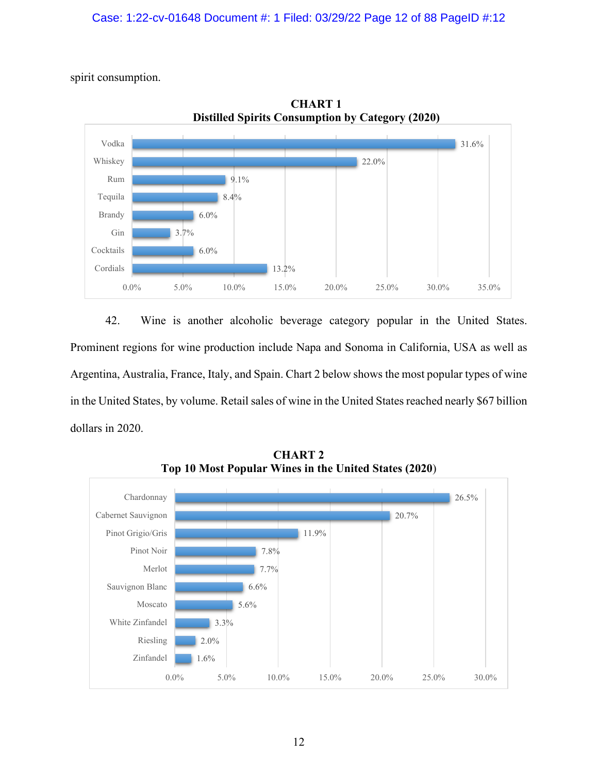spirit consumption.



**CHART 1 Distilled Spirits Consumption by Category (2020)**

42. Wine is another alcoholic beverage category popular in the United States. Prominent regions for wine production include Napa and Sonoma in California, USA as well as Argentina, Australia, France, Italy, and Spain. Chart 2 below shows the most popular types of wine in the United States, by volume. Retail sales of wine in the United States reached nearly \$67 billion dollars in 2020.



**CHART 2 Top 10 Most Popular Wines in the United States (2020**)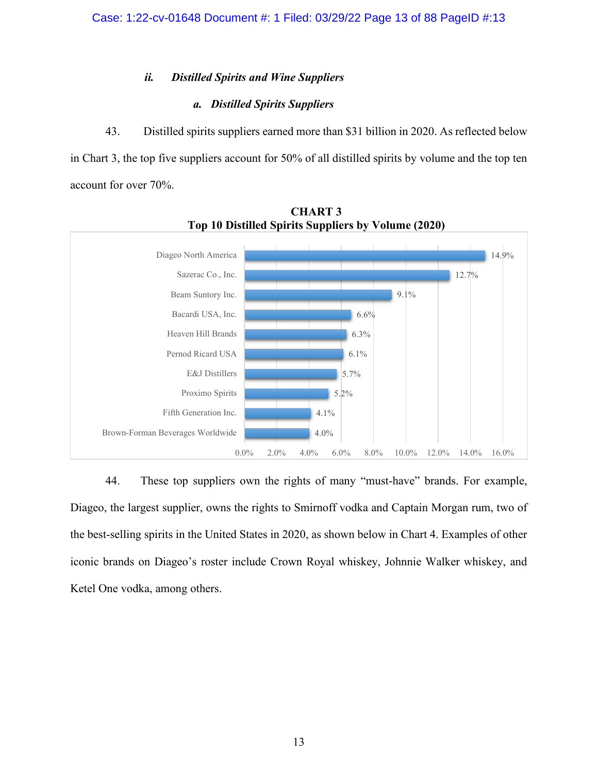# *ii. Distilled Spirits and Wine Suppliers*

# *a. Distilled Spirits Suppliers*

43. Distilled spirits suppliers earned more than \$31 billion in 2020. As reflected below in Chart 3, the top five suppliers account for 50% of all distilled spirits by volume and the top ten account for over 70%.





44. These top suppliers own the rights of many "must-have" brands. For example, Diageo, the largest supplier, owns the rights to Smirnoff vodka and Captain Morgan rum, two of the best-selling spirits in the United States in 2020, as shown below in Chart 4. Examples of other iconic brands on Diageo's roster include Crown Royal whiskey, Johnnie Walker whiskey, and Ketel One vodka, among others.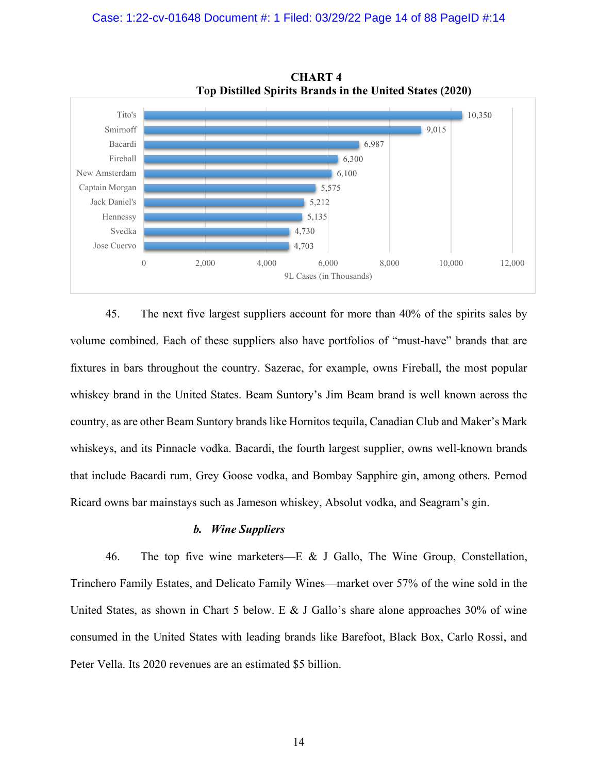

**CHART 4 Top Distilled Spirits Brands in the United States (2020)**

45. The next five largest suppliers account for more than 40% of the spirits sales by volume combined. Each of these suppliers also have portfolios of "must-have" brands that are fixtures in bars throughout the country. Sazerac, for example, owns Fireball, the most popular whiskey brand in the United States. Beam Suntory's Jim Beam brand is well known across the country, as are other Beam Suntory brands like Hornitos tequila, Canadian Club and Maker's Mark whiskeys, and its Pinnacle vodka. Bacardi, the fourth largest supplier, owns well-known brands that include Bacardi rum, Grey Goose vodka, and Bombay Sapphire gin, among others. Pernod Ricard owns bar mainstays such as Jameson whiskey, Absolut vodka, and Seagram's gin.

#### *b. Wine Suppliers*

46. The top five wine marketers—E & J Gallo, The Wine Group, Constellation, Trinchero Family Estates, and Delicato Family Wines—market over 57% of the wine sold in the United States, as shown in Chart 5 below. E & J Gallo's share alone approaches  $30\%$  of wine consumed in the United States with leading brands like Barefoot, Black Box, Carlo Rossi, and Peter Vella. Its 2020 revenues are an estimated \$5 billion.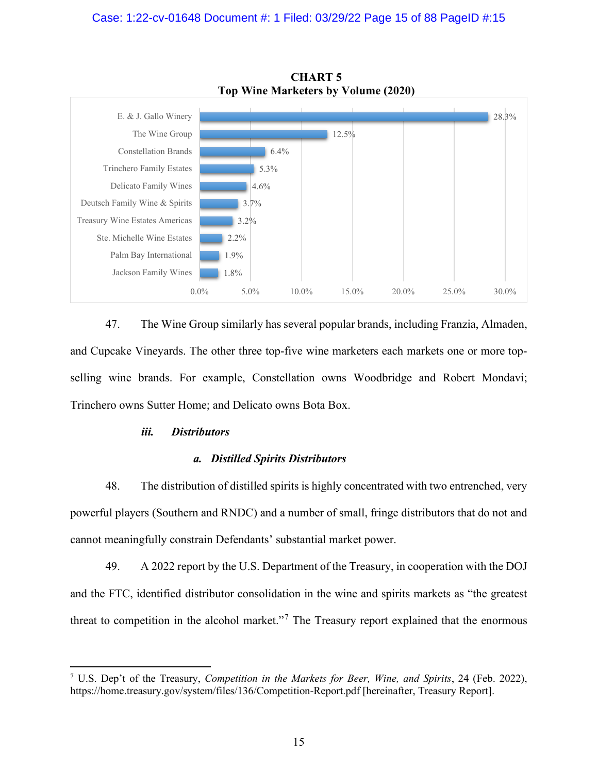

**CHART 5 Top Wine Marketers by Volume (2020)**

47. The Wine Group similarly has several popular brands, including Franzia, Almaden, and Cupcake Vineyards. The other three top-five wine marketers each markets one or more topselling wine brands. For example, Constellation owns Woodbridge and Robert Mondavi; Trinchero owns Sutter Home; and Delicato owns Bota Box.

## *iii. Distributors*

## *a. Distilled Spirits Distributors*

48. The distribution of distilled spirits is highly concentrated with two entrenched, very powerful players (Southern and RNDC) and a number of small, fringe distributors that do not and cannot meaningfully constrain Defendants' substantial market power.

49. A 2022 report by the U.S. Department of the Treasury, in cooperation with the DOJ and the FTC, identified distributor consolidation in the wine and spirits markets as "the greatest threat to competition in the alcohol market."<sup>[7](#page-14-0)</sup> The Treasury report explained that the enormous

<span id="page-14-0"></span><sup>7</sup> U.S. Dep't of the Treasury, *Competition in the Markets for Beer, Wine, and Spirits*, 24 (Feb. 2022), https://home.treasury.gov/system/files/136/Competition-Report.pdf [hereinafter, Treasury Report].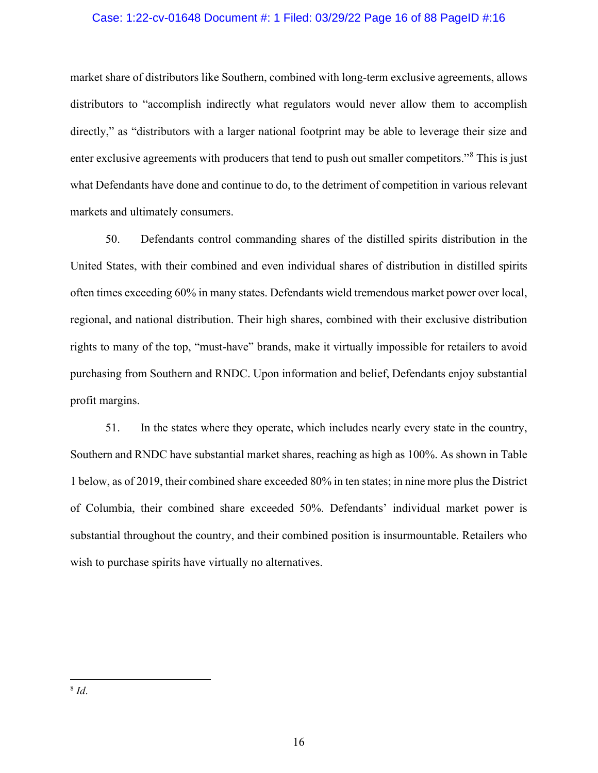## Case: 1:22-cv-01648 Document #: 1 Filed: 03/29/22 Page 16 of 88 PageID #:16

market share of distributors like Southern, combined with long-term exclusive agreements, allows distributors to "accomplish indirectly what regulators would never allow them to accomplish directly," as "distributors with a larger national footprint may be able to leverage their size and enter exclusive agreements with producers that tend to push out smaller competitors."[8](#page-15-0) This is just what Defendants have done and continue to do, to the detriment of competition in various relevant markets and ultimately consumers.

50. Defendants control commanding shares of the distilled spirits distribution in the United States, with their combined and even individual shares of distribution in distilled spirits often times exceeding 60% in many states. Defendants wield tremendous market power over local, regional, and national distribution. Their high shares, combined with their exclusive distribution rights to many of the top, "must-have" brands, make it virtually impossible for retailers to avoid purchasing from Southern and RNDC. Upon information and belief, Defendants enjoy substantial profit margins.

51. In the states where they operate, which includes nearly every state in the country, Southern and RNDC have substantial market shares, reaching as high as 100%. As shown in Table 1 below, as of 2019, their combined share exceeded 80% in ten states; in nine more plus the District of Columbia, their combined share exceeded 50%. Defendants' individual market power is substantial throughout the country, and their combined position is insurmountable. Retailers who wish to purchase spirits have virtually no alternatives.

<span id="page-15-0"></span><sup>8</sup> *Id*.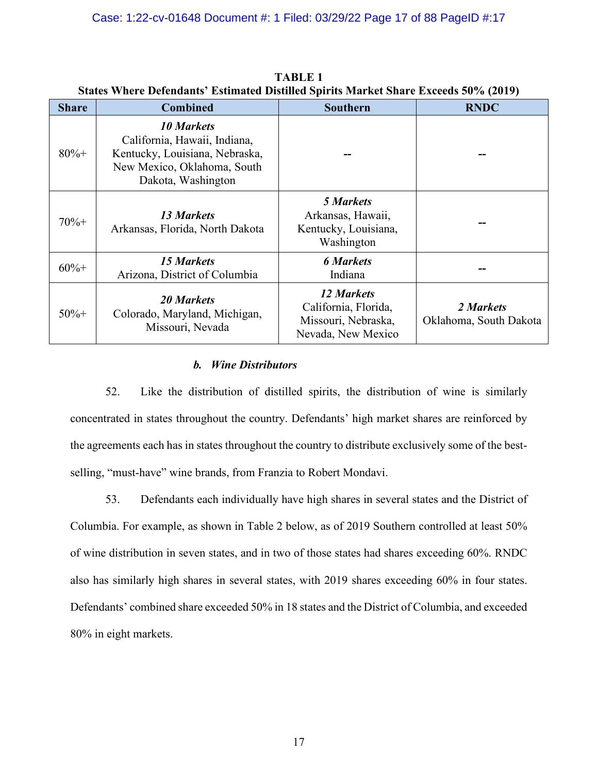|              |                                                                                                                                          | $\beta$ tates $\gamma$ nei e defendants - estimated distinct opitits ivial Ke onare executs 50 /0 (2017) |                                     |  |
|--------------|------------------------------------------------------------------------------------------------------------------------------------------|----------------------------------------------------------------------------------------------------------|-------------------------------------|--|
| <b>Share</b> | <b>Combined</b>                                                                                                                          | Southern                                                                                                 | <b>RNDC</b>                         |  |
| $80% +$      | <b>10 Markets</b><br>California, Hawaii, Indiana,<br>Kentucky, Louisiana, Nebraska,<br>New Mexico, Oklahoma, South<br>Dakota, Washington |                                                                                                          |                                     |  |
| $70%+$       | 13 Markets<br>Arkansas, Florida, North Dakota                                                                                            | <b>5 Markets</b><br>Arkansas, Hawaii,<br>Kentucky, Louisiana,<br>Washington                              |                                     |  |
| $60%+$       | <b>15 Markets</b><br>Arizona, District of Columbia                                                                                       | <b>6 Markets</b><br>Indiana                                                                              |                                     |  |
| $50%+$       | <b>20 Markets</b><br>Colorado, Maryland, Michigan,<br>Missouri, Nevada                                                                   | 12 Markets<br>California, Florida,<br>Missouri, Nebraska,<br>Nevada, New Mexico                          | 2 Markets<br>Oklahoma, South Dakota |  |

**TABLE 1 States Where Defendants' Estimated Distilled Spirits Market Share Exceeds 50% (2019)**

# *b. Wine Distributors*

52. Like the distribution of distilled spirits, the distribution of wine is similarly concentrated in states throughout the country. Defendants' high market shares are reinforced by the agreements each has in states throughout the country to distribute exclusively some of the bestselling, "must-have" wine brands, from Franzia to Robert Mondavi.

53. Defendants each individually have high shares in several states and the District of Columbia. For example, as shown in Table 2 below, as of 2019 Southern controlled at least 50% of wine distribution in seven states, and in two of those states had shares exceeding 60%. RNDC also has similarly high shares in several states, with 2019 shares exceeding 60% in four states. Defendants' combined share exceeded 50% in 18 states and the District of Columbia, and exceeded 80% in eight markets.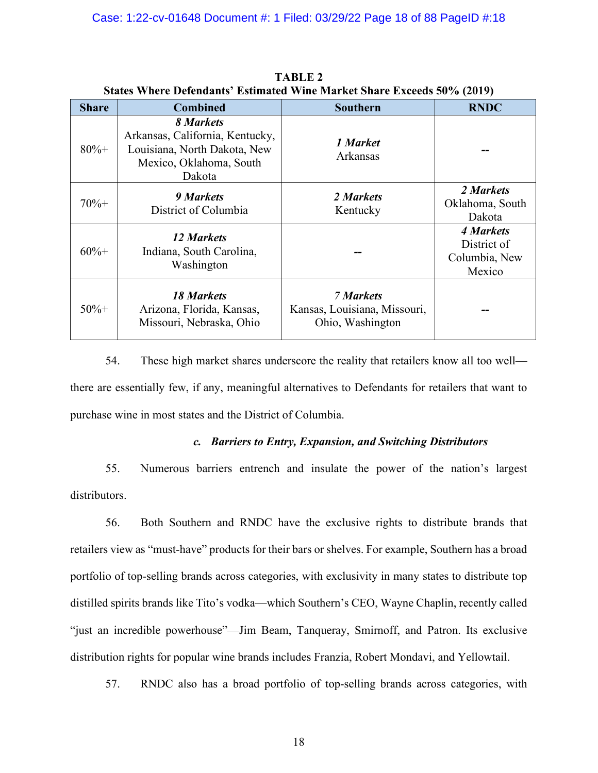|              | $\alpha$ . The set of the set of the set of $\alpha$ is $\alpha$ . The set of $\alpha$ is $\alpha$ is $\alpha$ is $\alpha$ is $\alpha$ is $\alpha$ is the set of $\alpha$ is $\alpha$ is $\alpha$ is a set of $\alpha$ is a set of $\alpha$ is a set of $\alpha$ is a set of $\alpha$ is a se |                                                                      |                                                     |
|--------------|-----------------------------------------------------------------------------------------------------------------------------------------------------------------------------------------------------------------------------------------------------------------------------------------------|----------------------------------------------------------------------|-----------------------------------------------------|
| <b>Share</b> | <b>Combined</b>                                                                                                                                                                                                                                                                               | <b>Southern</b>                                                      | <b>RNDC</b>                                         |
| $80% +$      | 8 Markets<br>Arkansas, California, Kentucky,<br>Louisiana, North Dakota, New<br>Mexico, Oklahoma, South<br>Dakota                                                                                                                                                                             | 1 Market<br>Arkansas                                                 |                                                     |
| $70% +$      | 9 Markets<br>District of Columbia                                                                                                                                                                                                                                                             | 2 Markets<br>Kentucky                                                | 2 Markets<br>Oklahoma, South<br>Dakota              |
| $60%+$       | 12 Markets<br>Indiana, South Carolina,<br>Washington                                                                                                                                                                                                                                          |                                                                      | 4 Markets<br>District of<br>Columbia, New<br>Mexico |
| $50%+$       | <b>18 Markets</b><br>Arizona, Florida, Kansas,<br>Missouri, Nebraska, Ohio                                                                                                                                                                                                                    | <b>7 Markets</b><br>Kansas, Louisiana, Missouri,<br>Ohio, Washington |                                                     |

**TABLE 2 States Where Defendants' Estimated Wine Market Share Exceeds 50% (2019)**

54. These high market shares underscore the reality that retailers know all too well there are essentially few, if any, meaningful alternatives to Defendants for retailers that want to purchase wine in most states and the District of Columbia.

## *c. Barriers to Entry, Expansion, and Switching Distributors*

55. Numerous barriers entrench and insulate the power of the nation's largest distributors.

56. Both Southern and RNDC have the exclusive rights to distribute brands that retailers view as "must-have" products for their bars or shelves. For example, Southern has a broad portfolio of top-selling brands across categories, with exclusivity in many states to distribute top distilled spirits brands like Tito's vodka—which Southern's CEO, Wayne Chaplin, recently called "just an incredible powerhouse"—Jim Beam, Tanqueray, Smirnoff, and Patron. Its exclusive distribution rights for popular wine brands includes Franzia, Robert Mondavi, and Yellowtail.

57. RNDC also has a broad portfolio of top-selling brands across categories, with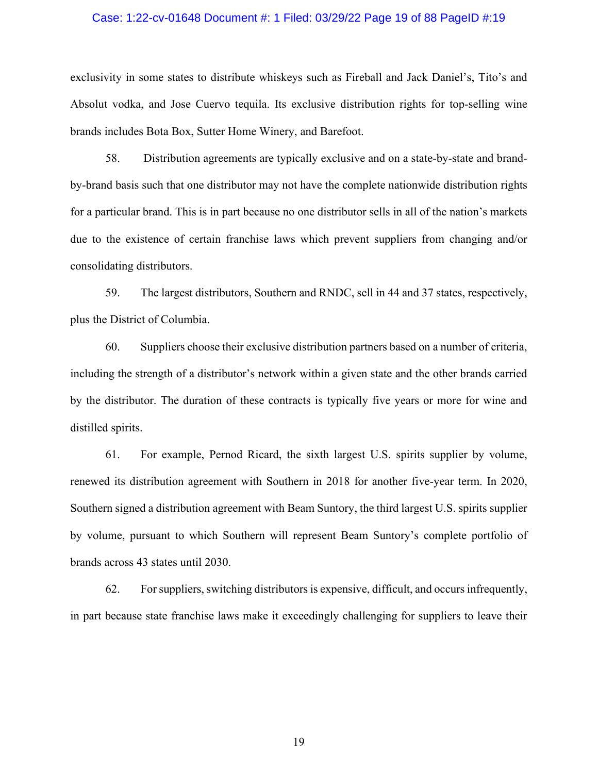## Case: 1:22-cv-01648 Document #: 1 Filed: 03/29/22 Page 19 of 88 PageID #:19

exclusivity in some states to distribute whiskeys such as Fireball and Jack Daniel's, Tito's and Absolut vodka, and Jose Cuervo tequila. Its exclusive distribution rights for top-selling wine brands includes Bota Box, Sutter Home Winery, and Barefoot.

58. Distribution agreements are typically exclusive and on a state-by-state and brandby-brand basis such that one distributor may not have the complete nationwide distribution rights for a particular brand. This is in part because no one distributor sells in all of the nation's markets due to the existence of certain franchise laws which prevent suppliers from changing and/or consolidating distributors.

59. The largest distributors, Southern and RNDC, sell in 44 and 37 states, respectively, plus the District of Columbia.

60. Suppliers choose their exclusive distribution partners based on a number of criteria, including the strength of a distributor's network within a given state and the other brands carried by the distributor. The duration of these contracts is typically five years or more for wine and distilled spirits.

61. For example, Pernod Ricard, the sixth largest U.S. spirits supplier by volume, renewed its distribution agreement with Southern in 2018 for another five-year term. In 2020, Southern signed a distribution agreement with Beam Suntory, the third largest U.S. spirits supplier by volume, pursuant to which Southern will represent Beam Suntory's complete portfolio of brands across 43 states until 2030.

62. For suppliers, switching distributors is expensive, difficult, and occurs infrequently, in part because state franchise laws make it exceedingly challenging for suppliers to leave their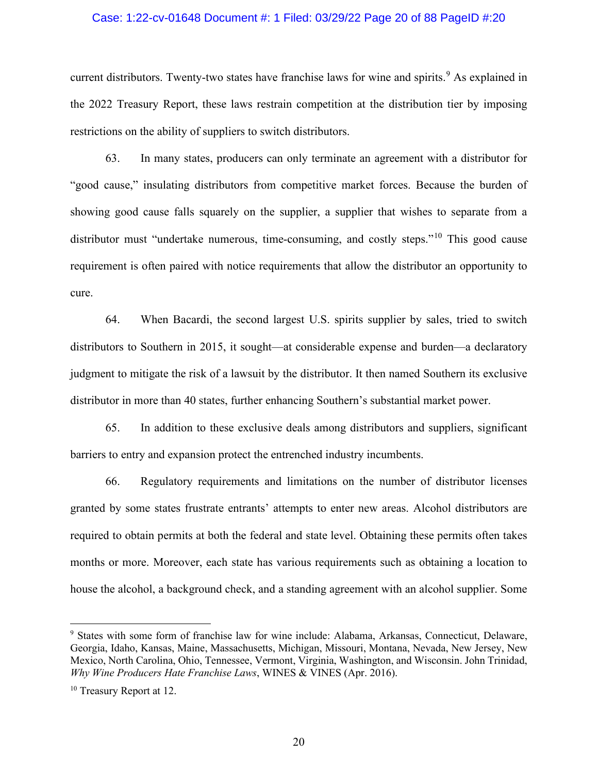## Case: 1:22-cv-01648 Document #: 1 Filed: 03/29/22 Page 20 of 88 PageID #:20

current distributors. Twenty-two states have franchise laws for wine and spirits.<sup>[9](#page-19-0)</sup> As explained in the 2022 Treasury Report, these laws restrain competition at the distribution tier by imposing restrictions on the ability of suppliers to switch distributors.

63. In many states, producers can only terminate an agreement with a distributor for "good cause," insulating distributors from competitive market forces. Because the burden of showing good cause falls squarely on the supplier, a supplier that wishes to separate from a distributor must "undertake numerous, time-consuming, and costly steps."<sup>[10](#page-19-1)</sup> This good cause requirement is often paired with notice requirements that allow the distributor an opportunity to cure.

64. When Bacardi, the second largest U.S. spirits supplier by sales, tried to switch distributors to Southern in 2015, it sought—at considerable expense and burden—a declaratory judgment to mitigate the risk of a lawsuit by the distributor. It then named Southern its exclusive distributor in more than 40 states, further enhancing Southern's substantial market power.

65. In addition to these exclusive deals among distributors and suppliers, significant barriers to entry and expansion protect the entrenched industry incumbents.

66. Regulatory requirements and limitations on the number of distributor licenses granted by some states frustrate entrants' attempts to enter new areas. Alcohol distributors are required to obtain permits at both the federal and state level. Obtaining these permits often takes months or more. Moreover, each state has various requirements such as obtaining a location to house the alcohol, a background check, and a standing agreement with an alcohol supplier. Some

<span id="page-19-0"></span><sup>9</sup> States with some form of franchise law for wine include: Alabama, Arkansas, Connecticut, Delaware, Georgia, Idaho, Kansas, Maine, Massachusetts, Michigan, Missouri, Montana, Nevada, New Jersey, New Mexico, North Carolina, Ohio, Tennessee, Vermont, Virginia, Washington, and Wisconsin. John Trinidad, *Why Wine Producers Hate Franchise Laws*, WINES & VINES (Apr. 2016).

<span id="page-19-1"></span><sup>&</sup>lt;sup>10</sup> Treasury Report at 12.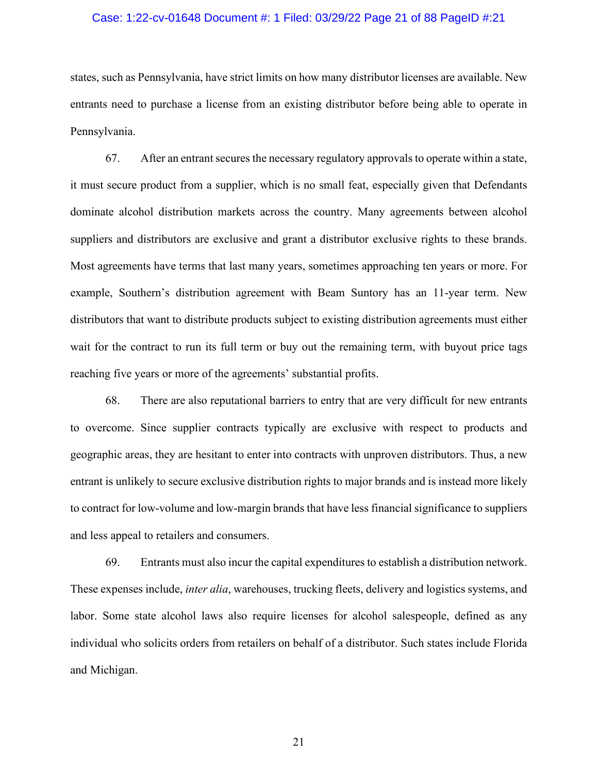## Case: 1:22-cv-01648 Document #: 1 Filed: 03/29/22 Page 21 of 88 PageID #:21

states, such as Pennsylvania, have strict limits on how many distributor licenses are available. New entrants need to purchase a license from an existing distributor before being able to operate in Pennsylvania.

67. After an entrant secures the necessary regulatory approvals to operate within a state, it must secure product from a supplier, which is no small feat, especially given that Defendants dominate alcohol distribution markets across the country. Many agreements between alcohol suppliers and distributors are exclusive and grant a distributor exclusive rights to these brands. Most agreements have terms that last many years, sometimes approaching ten years or more. For example, Southern's distribution agreement with Beam Suntory has an 11-year term. New distributors that want to distribute products subject to existing distribution agreements must either wait for the contract to run its full term or buy out the remaining term, with buyout price tags reaching five years or more of the agreements' substantial profits.

68. There are also reputational barriers to entry that are very difficult for new entrants to overcome. Since supplier contracts typically are exclusive with respect to products and geographic areas, they are hesitant to enter into contracts with unproven distributors. Thus, a new entrant is unlikely to secure exclusive distribution rights to major brands and is instead more likely to contract for low-volume and low-margin brands that have less financial significance to suppliers and less appeal to retailers and consumers.

69. Entrants must also incur the capital expenditures to establish a distribution network. These expenses include, *inter alia*, warehouses, trucking fleets, delivery and logistics systems, and labor. Some state alcohol laws also require licenses for alcohol salespeople, defined as any individual who solicits orders from retailers on behalf of a distributor. Such states include Florida and Michigan.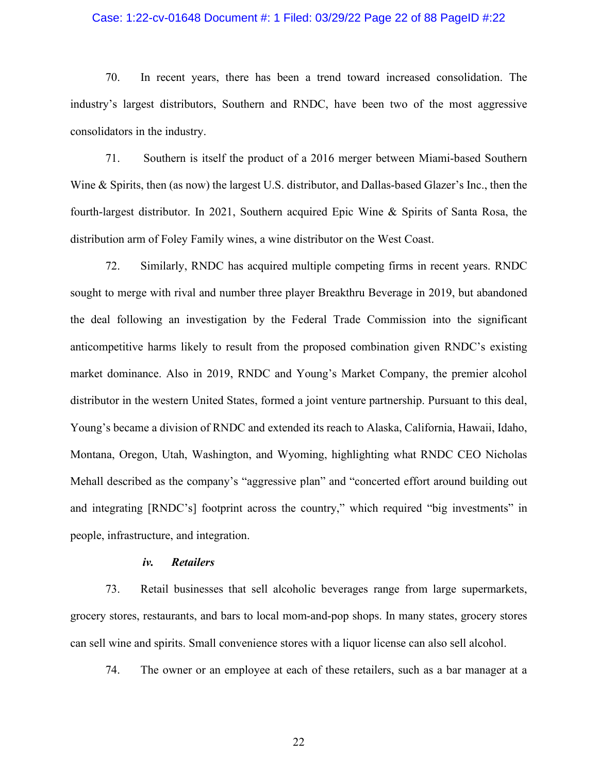## Case: 1:22-cv-01648 Document #: 1 Filed: 03/29/22 Page 22 of 88 PageID #:22

70. In recent years, there has been a trend toward increased consolidation. The industry's largest distributors, Southern and RNDC, have been two of the most aggressive consolidators in the industry.

71. Southern is itself the product of a 2016 merger between Miami-based Southern Wine & Spirits, then (as now) the largest U.S. distributor, and Dallas-based Glazer's Inc., then the fourth-largest distributor. In 2021, Southern acquired Epic Wine & Spirits of Santa Rosa, the distribution arm of Foley Family wines, a wine distributor on the West Coast.

72. Similarly, RNDC has acquired multiple competing firms in recent years. RNDC sought to merge with rival and number three player Breakthru Beverage in 2019, but abandoned the deal following an investigation by the Federal Trade Commission into the significant anticompetitive harms likely to result from the proposed combination given RNDC's existing market dominance. Also in 2019, RNDC and Young's Market Company, the premier alcohol distributor in the western United States, formed a joint venture partnership. Pursuant to this deal, Young's became a division of RNDC and extended its reach to Alaska, California, Hawaii, Idaho, Montana, Oregon, Utah, Washington, and Wyoming, highlighting what RNDC CEO Nicholas Mehall described as the company's "aggressive plan" and "concerted effort around building out and integrating [RNDC's] footprint across the country," which required "big investments" in people, infrastructure, and integration.

#### *iv. Retailers*

73. Retail businesses that sell alcoholic beverages range from large supermarkets, grocery stores, restaurants, and bars to local mom-and-pop shops. In many states, grocery stores can sell wine and spirits. Small convenience stores with a liquor license can also sell alcohol.

74. The owner or an employee at each of these retailers, such as a bar manager at a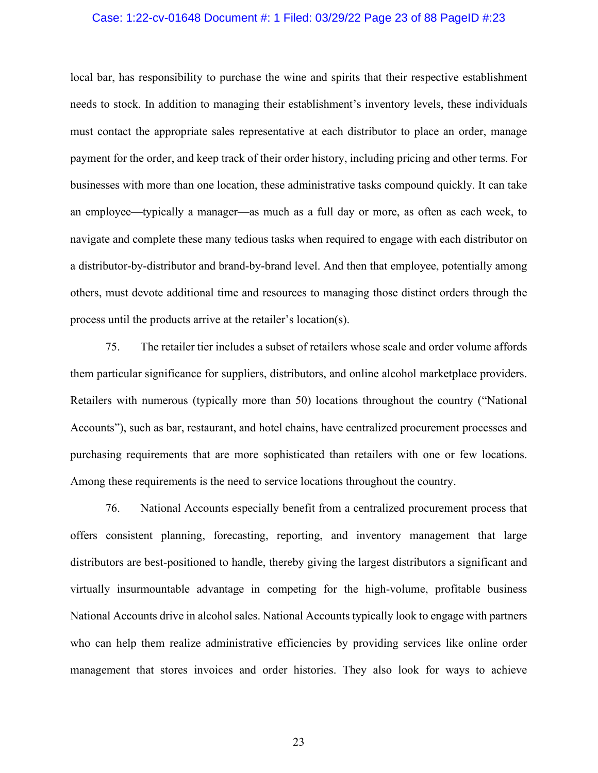## Case: 1:22-cv-01648 Document #: 1 Filed: 03/29/22 Page 23 of 88 PageID #:23

local bar, has responsibility to purchase the wine and spirits that their respective establishment needs to stock. In addition to managing their establishment's inventory levels, these individuals must contact the appropriate sales representative at each distributor to place an order, manage payment for the order, and keep track of their order history, including pricing and other terms. For businesses with more than one location, these administrative tasks compound quickly. It can take an employee—typically a manager—as much as a full day or more, as often as each week, to navigate and complete these many tedious tasks when required to engage with each distributor on a distributor-by-distributor and brand-by-brand level. And then that employee, potentially among others, must devote additional time and resources to managing those distinct orders through the process until the products arrive at the retailer's location(s).

75. The retailer tier includes a subset of retailers whose scale and order volume affords them particular significance for suppliers, distributors, and online alcohol marketplace providers. Retailers with numerous (typically more than 50) locations throughout the country ("National Accounts"), such as bar, restaurant, and hotel chains, have centralized procurement processes and purchasing requirements that are more sophisticated than retailers with one or few locations. Among these requirements is the need to service locations throughout the country.

76. National Accounts especially benefit from a centralized procurement process that offers consistent planning, forecasting, reporting, and inventory management that large distributors are best-positioned to handle, thereby giving the largest distributors a significant and virtually insurmountable advantage in competing for the high-volume, profitable business National Accounts drive in alcohol sales. National Accounts typically look to engage with partners who can help them realize administrative efficiencies by providing services like online order management that stores invoices and order histories. They also look for ways to achieve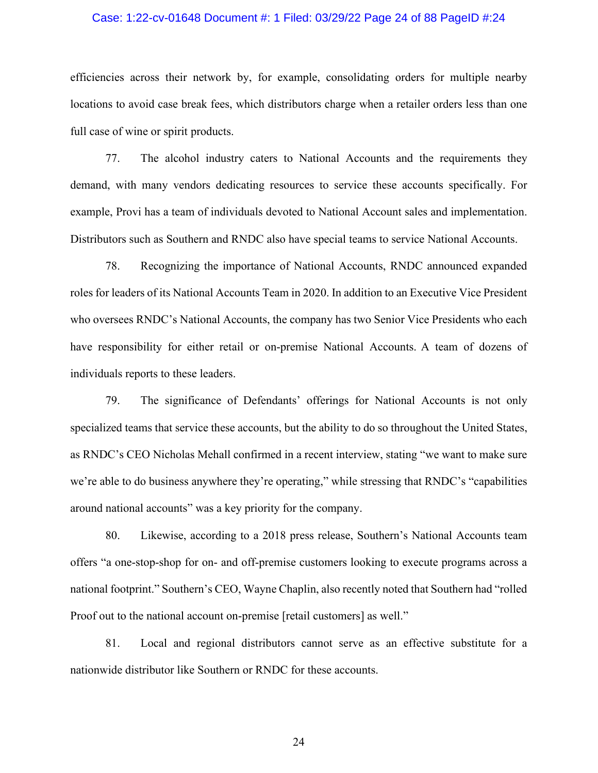## Case: 1:22-cv-01648 Document #: 1 Filed: 03/29/22 Page 24 of 88 PageID #:24

efficiencies across their network by, for example, consolidating orders for multiple nearby locations to avoid case break fees, which distributors charge when a retailer orders less than one full case of wine or spirit products.

77. The alcohol industry caters to National Accounts and the requirements they demand, with many vendors dedicating resources to service these accounts specifically. For example, Provi has a team of individuals devoted to National Account sales and implementation. Distributors such as Southern and RNDC also have special teams to service National Accounts.

78. Recognizing the importance of National Accounts, RNDC announced expanded roles for leaders of its National Accounts Team in 2020. In addition to an Executive Vice President who oversees RNDC's National Accounts, the company has two Senior Vice Presidents who each have responsibility for either retail or on-premise National Accounts. A team of dozens of individuals reports to these leaders.

79. The significance of Defendants' offerings for National Accounts is not only specialized teams that service these accounts, but the ability to do so throughout the United States, as RNDC's CEO Nicholas Mehall confirmed in a recent interview, stating "we want to make sure we're able to do business anywhere they're operating," while stressing that RNDC's "capabilities around national accounts" was a key priority for the company.

80. Likewise, according to a 2018 press release, Southern's National Accounts team offers "a one-stop-shop for on- and off-premise customers looking to execute programs across a national footprint." Southern's CEO, Wayne Chaplin, also recently noted that Southern had "rolled Proof out to the national account on-premise [retail customers] as well."

81. Local and regional distributors cannot serve as an effective substitute for a nationwide distributor like Southern or RNDC for these accounts.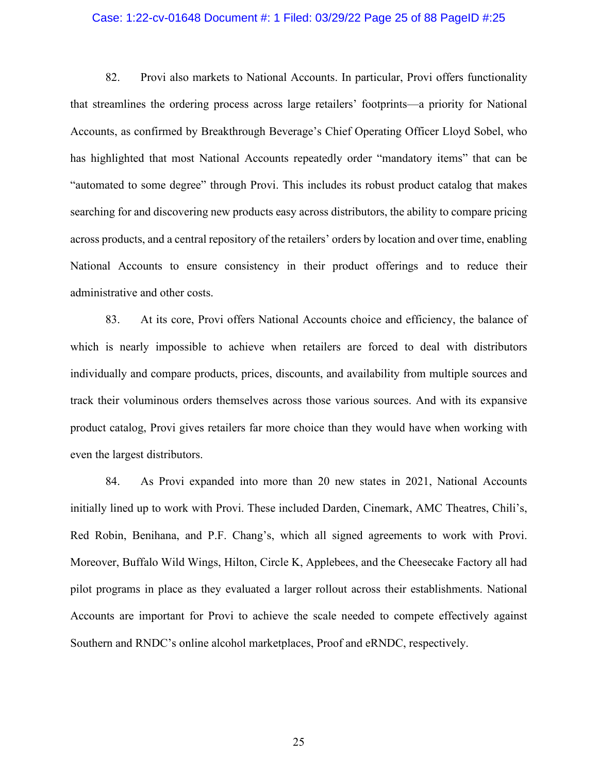## Case: 1:22-cv-01648 Document #: 1 Filed: 03/29/22 Page 25 of 88 PageID #:25

82. Provi also markets to National Accounts. In particular, Provi offers functionality that streamlines the ordering process across large retailers' footprints—a priority for National Accounts, as confirmed by Breakthrough Beverage's Chief Operating Officer Lloyd Sobel, who has highlighted that most National Accounts repeatedly order "mandatory items" that can be "automated to some degree" through Provi. This includes its robust product catalog that makes searching for and discovering new products easy across distributors, the ability to compare pricing across products, and a central repository of the retailers' orders by location and over time, enabling National Accounts to ensure consistency in their product offerings and to reduce their administrative and other costs.

83. At its core, Provi offers National Accounts choice and efficiency, the balance of which is nearly impossible to achieve when retailers are forced to deal with distributors individually and compare products, prices, discounts, and availability from multiple sources and track their voluminous orders themselves across those various sources. And with its expansive product catalog, Provi gives retailers far more choice than they would have when working with even the largest distributors.

84. As Provi expanded into more than 20 new states in 2021, National Accounts initially lined up to work with Provi. These included Darden, Cinemark, AMC Theatres, Chili's, Red Robin, Benihana, and P.F. Chang's, which all signed agreements to work with Provi. Moreover, Buffalo Wild Wings, Hilton, Circle K, Applebees, and the Cheesecake Factory all had pilot programs in place as they evaluated a larger rollout across their establishments. National Accounts are important for Provi to achieve the scale needed to compete effectively against Southern and RNDC's online alcohol marketplaces, Proof and eRNDC, respectively.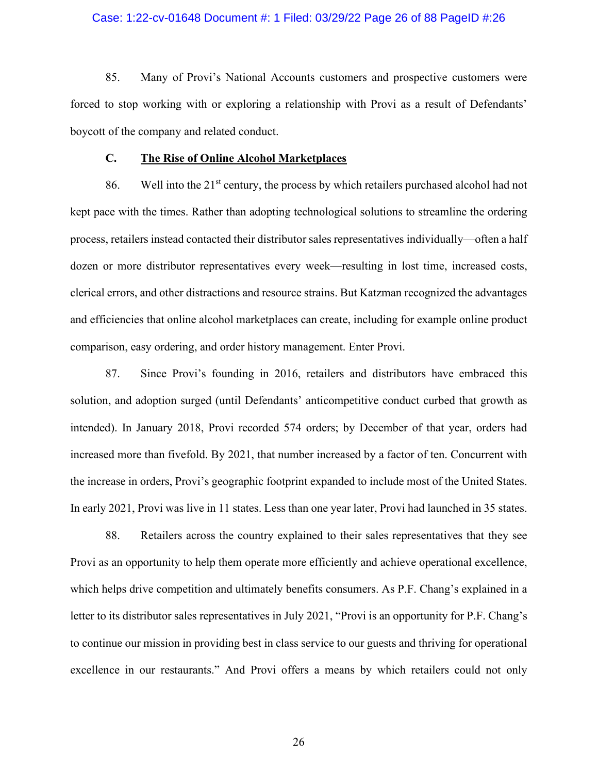## Case: 1:22-cv-01648 Document #: 1 Filed: 03/29/22 Page 26 of 88 PageID #:26

85. Many of Provi's National Accounts customers and prospective customers were forced to stop working with or exploring a relationship with Provi as a result of Defendants' boycott of the company and related conduct.

#### **C. The Rise of Online Alcohol Marketplaces**

86. Well into the  $21<sup>st</sup>$  century, the process by which retailers purchased alcohol had not kept pace with the times. Rather than adopting technological solutions to streamline the ordering process, retailers instead contacted their distributor sales representatives individually—often a half dozen or more distributor representatives every week—resulting in lost time, increased costs, clerical errors, and other distractions and resource strains. But Katzman recognized the advantages and efficiencies that online alcohol marketplaces can create, including for example online product comparison, easy ordering, and order history management. Enter Provi.

87. Since Provi's founding in 2016, retailers and distributors have embraced this solution, and adoption surged (until Defendants' anticompetitive conduct curbed that growth as intended). In January 2018, Provi recorded 574 orders; by December of that year, orders had increased more than fivefold. By 2021, that number increased by a factor of ten. Concurrent with the increase in orders, Provi's geographic footprint expanded to include most of the United States. In early 2021, Provi was live in 11 states. Less than one year later, Provi had launched in 35 states.

88. Retailers across the country explained to their sales representatives that they see Provi as an opportunity to help them operate more efficiently and achieve operational excellence, which helps drive competition and ultimately benefits consumers. As P.F. Chang's explained in a letter to its distributor sales representatives in July 2021, "Provi is an opportunity for P.F. Chang's to continue our mission in providing best in class service to our guests and thriving for operational excellence in our restaurants." And Provi offers a means by which retailers could not only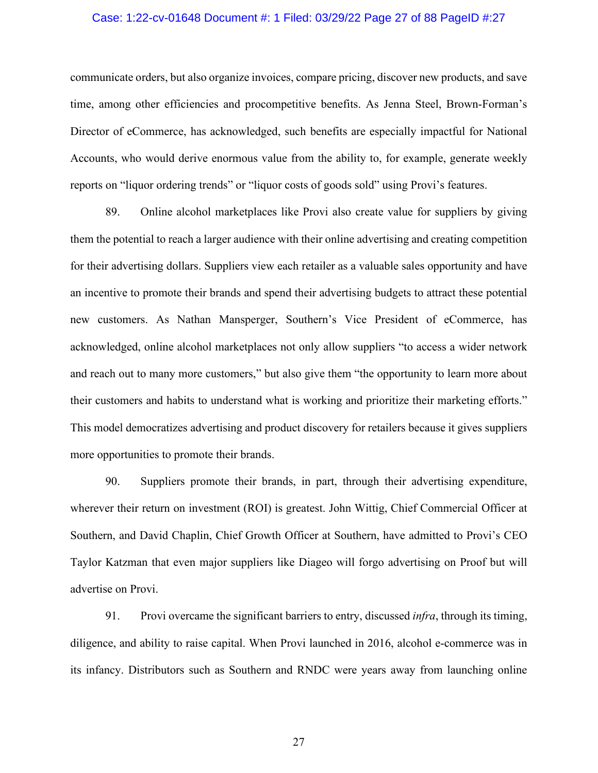## Case: 1:22-cv-01648 Document #: 1 Filed: 03/29/22 Page 27 of 88 PageID #:27

communicate orders, but also organize invoices, compare pricing, discover new products, and save time, among other efficiencies and procompetitive benefits. As Jenna Steel, Brown-Forman's Director of eCommerce, has acknowledged, such benefits are especially impactful for National Accounts, who would derive enormous value from the ability to, for example, generate weekly reports on "liquor ordering trends" or "liquor costs of goods sold" using Provi's features.

89. Online alcohol marketplaces like Provi also create value for suppliers by giving them the potential to reach a larger audience with their online advertising and creating competition for their advertising dollars. Suppliers view each retailer as a valuable sales opportunity and have an incentive to promote their brands and spend their advertising budgets to attract these potential new customers. As Nathan Mansperger, Southern's Vice President of eCommerce, has acknowledged, online alcohol marketplaces not only allow suppliers "to access a wider network and reach out to many more customers," but also give them "the opportunity to learn more about their customers and habits to understand what is working and prioritize their marketing efforts." This model democratizes advertising and product discovery for retailers because it gives suppliers more opportunities to promote their brands.

90. Suppliers promote their brands, in part, through their advertising expenditure, wherever their return on investment (ROI) is greatest. John Wittig, Chief Commercial Officer at Southern, and David Chaplin, Chief Growth Officer at Southern, have admitted to Provi's CEO Taylor Katzman that even major suppliers like Diageo will forgo advertising on Proof but will advertise on Provi.

91. Provi overcame the significant barriers to entry, discussed *infra*, through its timing, diligence, and ability to raise capital. When Provi launched in 2016, alcohol e-commerce was in its infancy. Distributors such as Southern and RNDC were years away from launching online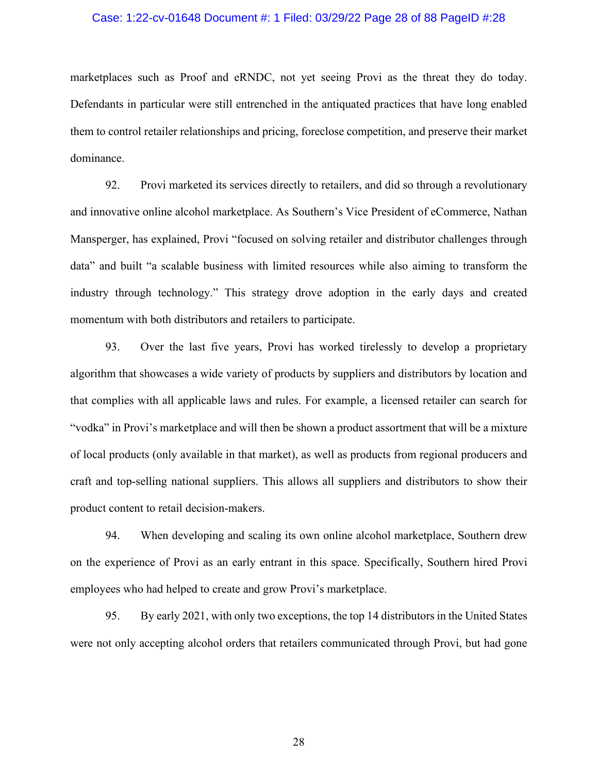## Case: 1:22-cv-01648 Document #: 1 Filed: 03/29/22 Page 28 of 88 PageID #:28

marketplaces such as Proof and eRNDC, not yet seeing Provi as the threat they do today. Defendants in particular were still entrenched in the antiquated practices that have long enabled them to control retailer relationships and pricing, foreclose competition, and preserve their market dominance.

92. Provi marketed its services directly to retailers, and did so through a revolutionary and innovative online alcohol marketplace. As Southern's Vice President of eCommerce, Nathan Mansperger, has explained, Provi "focused on solving retailer and distributor challenges through data" and built "a scalable business with limited resources while also aiming to transform the industry through technology." This strategy drove adoption in the early days and created momentum with both distributors and retailers to participate.

93. Over the last five years, Provi has worked tirelessly to develop a proprietary algorithm that showcases a wide variety of products by suppliers and distributors by location and that complies with all applicable laws and rules. For example, a licensed retailer can search for "vodka" in Provi's marketplace and will then be shown a product assortment that will be a mixture of local products (only available in that market), as well as products from regional producers and craft and top-selling national suppliers. This allows all suppliers and distributors to show their product content to retail decision-makers.

94. When developing and scaling its own online alcohol marketplace, Southern drew on the experience of Provi as an early entrant in this space. Specifically, Southern hired Provi employees who had helped to create and grow Provi's marketplace.

95. By early 2021, with only two exceptions, the top 14 distributors in the United States were not only accepting alcohol orders that retailers communicated through Provi, but had gone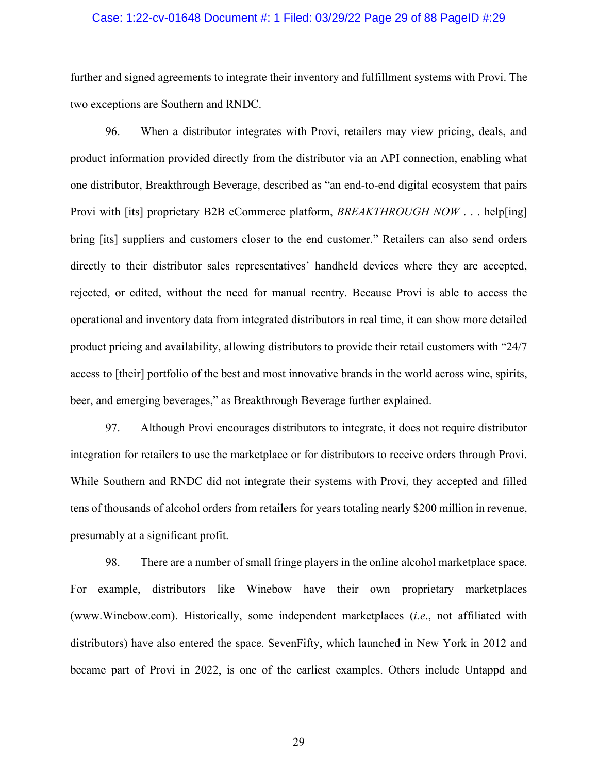## Case: 1:22-cv-01648 Document #: 1 Filed: 03/29/22 Page 29 of 88 PageID #:29

further and signed agreements to integrate their inventory and fulfillment systems with Provi. The two exceptions are Southern and RNDC.

96. When a distributor integrates with Provi, retailers may view pricing, deals, and product information provided directly from the distributor via an API connection, enabling what one distributor, Breakthrough Beverage, described as "an end-to-end digital ecosystem that pairs Provi with [its] proprietary B2B eCommerce platform, *BREAKTHROUGH NOW* . . . help[ing] bring [its] suppliers and customers closer to the end customer." Retailers can also send orders directly to their distributor sales representatives' handheld devices where they are accepted, rejected, or edited, without the need for manual reentry. Because Provi is able to access the operational and inventory data from integrated distributors in real time, it can show more detailed product pricing and availability, allowing distributors to provide their retail customers with "24/7 access to [their] portfolio of the best and most innovative brands in the world across wine, spirits, beer, and emerging beverages," as Breakthrough Beverage further explained.

97. Although Provi encourages distributors to integrate, it does not require distributor integration for retailers to use the marketplace or for distributors to receive orders through Provi. While Southern and RNDC did not integrate their systems with Provi, they accepted and filled tens of thousands of alcohol orders from retailers for years totaling nearly \$200 million in revenue, presumably at a significant profit.

98. There are a number of small fringe players in the online alcohol marketplace space. For example, distributors like Winebow have their own proprietary marketplaces (www.Winebow.com). Historically, some independent marketplaces (*i.e*., not affiliated with distributors) have also entered the space. SevenFifty, which launched in New York in 2012 and became part of Provi in 2022, is one of the earliest examples. Others include Untappd and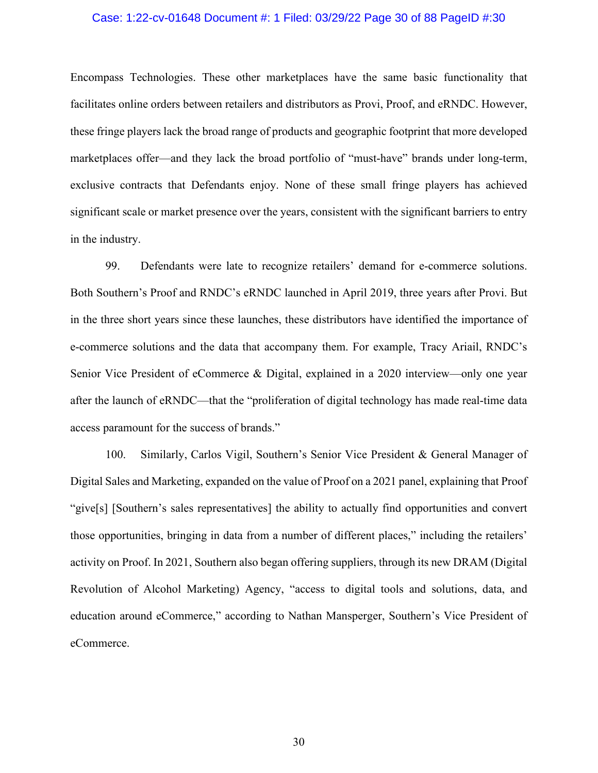## Case: 1:22-cv-01648 Document #: 1 Filed: 03/29/22 Page 30 of 88 PageID #:30

Encompass Technologies. These other marketplaces have the same basic functionality that facilitates online orders between retailers and distributors as Provi, Proof, and eRNDC. However, these fringe players lack the broad range of products and geographic footprint that more developed marketplaces offer—and they lack the broad portfolio of "must-have" brands under long-term, exclusive contracts that Defendants enjoy. None of these small fringe players has achieved significant scale or market presence over the years, consistent with the significant barriers to entry in the industry.

99. Defendants were late to recognize retailers' demand for e-commerce solutions. Both Southern's Proof and RNDC's eRNDC launched in April 2019, three years after Provi. But in the three short years since these launches, these distributors have identified the importance of e-commerce solutions and the data that accompany them. For example, Tracy Ariail, RNDC's Senior Vice President of eCommerce & Digital, explained in a 2020 interview—only one year after the launch of eRNDC—that the "proliferation of digital technology has made real-time data access paramount for the success of brands."

100. Similarly, Carlos Vigil, Southern's Senior Vice President & General Manager of Digital Sales and Marketing, expanded on the value of Proof on a 2021 panel, explaining that Proof "give[s] [Southern's sales representatives] the ability to actually find opportunities and convert those opportunities, bringing in data from a number of different places," including the retailers' activity on Proof. In 2021, Southern also began offering suppliers, through its new DRAM (Digital Revolution of Alcohol Marketing) Agency, "access to digital tools and solutions, data, and education around eCommerce," according to Nathan Mansperger, Southern's Vice President of eCommerce.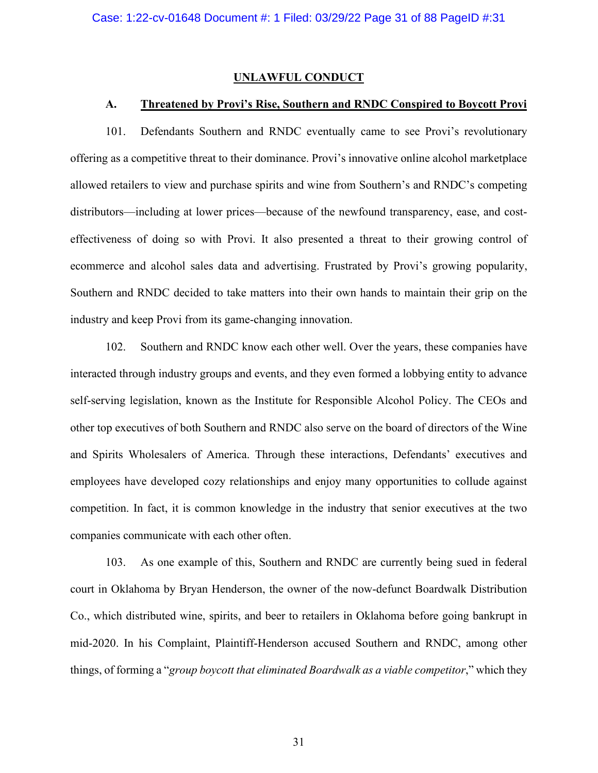#### **UNLAWFUL CONDUCT**

### **A. Threatened by Provi's Rise, Southern and RNDC Conspired to Boycott Provi**

101. Defendants Southern and RNDC eventually came to see Provi's revolutionary offering as a competitive threat to their dominance. Provi's innovative online alcohol marketplace allowed retailers to view and purchase spirits and wine from Southern's and RNDC's competing distributors—including at lower prices—because of the newfound transparency, ease, and costeffectiveness of doing so with Provi. It also presented a threat to their growing control of ecommerce and alcohol sales data and advertising. Frustrated by Provi's growing popularity, Southern and RNDC decided to take matters into their own hands to maintain their grip on the industry and keep Provi from its game-changing innovation.

102. Southern and RNDC know each other well. Over the years, these companies have interacted through industry groups and events, and they even formed a lobbying entity to advance self-serving legislation, known as the Institute for Responsible Alcohol Policy. The CEOs and other top executives of both Southern and RNDC also serve on the board of directors of the Wine and Spirits Wholesalers of America. Through these interactions, Defendants' executives and employees have developed cozy relationships and enjoy many opportunities to collude against competition. In fact, it is common knowledge in the industry that senior executives at the two companies communicate with each other often.

103. As one example of this, Southern and RNDC are currently being sued in federal court in Oklahoma by Bryan Henderson, the owner of the now-defunct Boardwalk Distribution Co., which distributed wine, spirits, and beer to retailers in Oklahoma before going bankrupt in mid-2020. In his Complaint, Plaintiff-Henderson accused Southern and RNDC, among other things, of forming a "*group boycott that eliminated Boardwalk as a viable competitor*," which they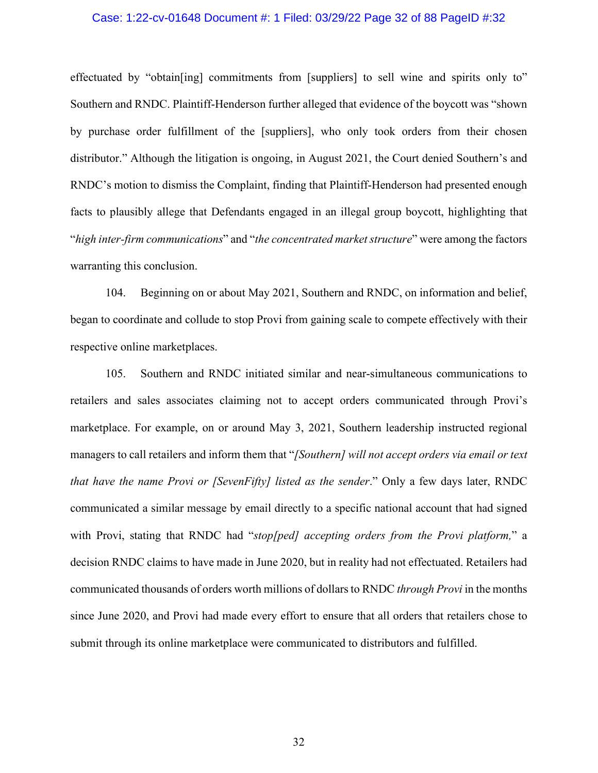## Case: 1:22-cv-01648 Document #: 1 Filed: 03/29/22 Page 32 of 88 PageID #:32

effectuated by "obtain[ing] commitments from [suppliers] to sell wine and spirits only to" Southern and RNDC. Plaintiff-Henderson further alleged that evidence of the boycott was "shown by purchase order fulfillment of the [suppliers], who only took orders from their chosen distributor." Although the litigation is ongoing, in August 2021, the Court denied Southern's and RNDC's motion to dismiss the Complaint, finding that Plaintiff-Henderson had presented enough facts to plausibly allege that Defendants engaged in an illegal group boycott, highlighting that "*high inter-firm communications*" and "*the concentrated market structure*" were among the factors warranting this conclusion.

104. Beginning on or about May 2021, Southern and RNDC, on information and belief, began to coordinate and collude to stop Provi from gaining scale to compete effectively with their respective online marketplaces.

105. Southern and RNDC initiated similar and near-simultaneous communications to retailers and sales associates claiming not to accept orders communicated through Provi's marketplace. For example, on or around May 3, 2021, Southern leadership instructed regional managers to call retailers and inform them that "*[Southern] will not accept orders via email or text that have the name Provi or [SevenFifty] listed as the sender*." Only a few days later, RNDC communicated a similar message by email directly to a specific national account that had signed with Provi, stating that RNDC had "*stop[ped] accepting orders from the Provi platform,*" a decision RNDC claims to have made in June 2020, but in reality had not effectuated. Retailers had communicated thousands of orders worth millions of dollars to RNDC *through Provi* in the months since June 2020, and Provi had made every effort to ensure that all orders that retailers chose to submit through its online marketplace were communicated to distributors and fulfilled.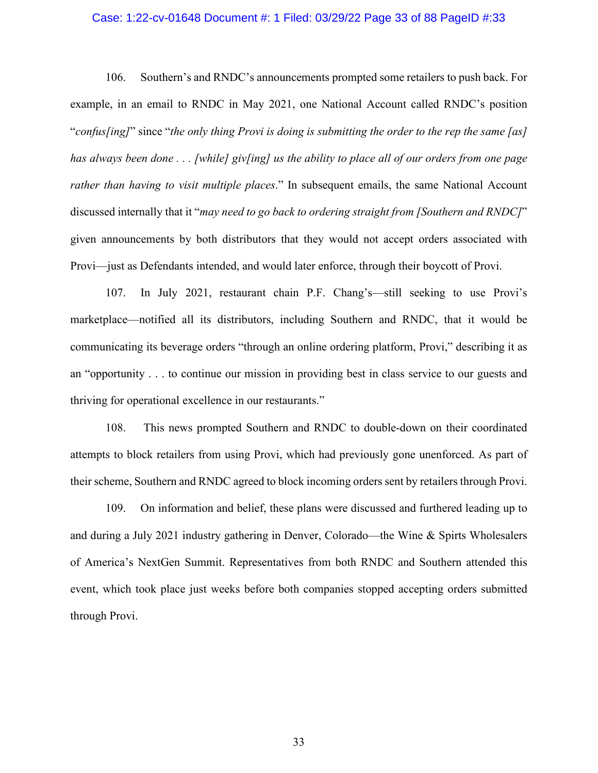### Case: 1:22-cv-01648 Document #: 1 Filed: 03/29/22 Page 33 of 88 PageID #:33

106. Southern's and RNDC's announcements prompted some retailers to push back. For example, in an email to RNDC in May 2021, one National Account called RNDC's position "*confus[ing]*" since "*the only thing Provi is doing is submitting the order to the rep the same [as] has always been done . . . [while] giv[ing] us the ability to place all of our orders from one page rather than having to visit multiple places*." In subsequent emails, the same National Account discussed internally that it "*may need to go back to ordering straight from [Southern and RNDC]*" given announcements by both distributors that they would not accept orders associated with Provi—just as Defendants intended, and would later enforce, through their boycott of Provi.

107. In July 2021, restaurant chain P.F. Chang's—still seeking to use Provi's marketplace—notified all its distributors, including Southern and RNDC, that it would be communicating its beverage orders "through an online ordering platform, Provi," describing it as an "opportunity . . . to continue our mission in providing best in class service to our guests and thriving for operational excellence in our restaurants."

108. This news prompted Southern and RNDC to double-down on their coordinated attempts to block retailers from using Provi, which had previously gone unenforced. As part of their scheme, Southern and RNDC agreed to block incoming orders sent by retailers through Provi.

109. On information and belief, these plans were discussed and furthered leading up to and during a July 2021 industry gathering in Denver, Colorado—the Wine & Spirts Wholesalers of America's NextGen Summit. Representatives from both RNDC and Southern attended this event, which took place just weeks before both companies stopped accepting orders submitted through Provi.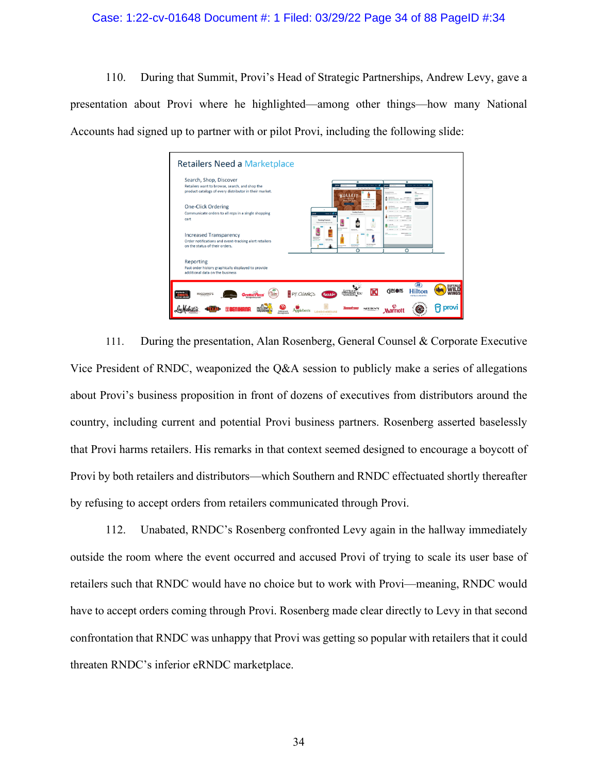## Case: 1:22-cv-01648 Document #: 1 Filed: 03/29/22 Page 34 of 88 PageID #:34

110. During that Summit, Provi's Head of Strategic Partnerships, Andrew Levy, gave a presentation about Provi where he highlighted—among other things—how many National Accounts had signed up to partner with or pilot Provi, including the following slide:

| Search, Shop, Discover<br>Retailers want to browse, search, and shop the | $\circ$<br>$\circ$                             |  |
|--------------------------------------------------------------------------|------------------------------------------------|--|
| product catalogs of every distributor in their market.                   | <b>Build Burban (d) Nor On</b>                 |  |
| <b>One-Click Ordering</b>                                                | A Green                                        |  |
| Communicate orders to all reps in a single shopping                      | <b>Transferg Products</b><br>$\sim$            |  |
| cart                                                                     | <b>Tending Product</b>                         |  |
| <b>Increased Transparency</b>                                            |                                                |  |
| Order notifications and event-tracking alert retailers                   |                                                |  |
| on the status of their orders.                                           | he he forg from<br>$\circ$<br>$\circ$          |  |
| Reporting                                                                |                                                |  |
| Past order history graphically displayed to provide                      |                                                |  |
| additional data on the business                                          |                                                |  |
|                                                                          |                                                |  |
| <b>RUTH'S</b>                                                            | <b>GIBSONS</b><br><b>Hilton</b><br>P.F. CHANGS |  |

111. During the presentation, Alan Rosenberg, General Counsel & Corporate Executive Vice President of RNDC, weaponized the Q&A session to publicly make a series of allegations about Provi's business proposition in front of dozens of executives from distributors around the country, including current and potential Provi business partners. Rosenberg asserted baselessly that Provi harms retailers. His remarks in that context seemed designed to encourage a boycott of Provi by both retailers and distributors—which Southern and RNDC effectuated shortly thereafter by refusing to accept orders from retailers communicated through Provi.

112. Unabated, RNDC's Rosenberg confronted Levy again in the hallway immediately outside the room where the event occurred and accused Provi of trying to scale its user base of retailers such that RNDC would have no choice but to work with Provi—meaning, RNDC would have to accept orders coming through Provi. Rosenberg made clear directly to Levy in that second confrontation that RNDC was unhappy that Provi was getting so popular with retailers that it could threaten RNDC's inferior eRNDC marketplace.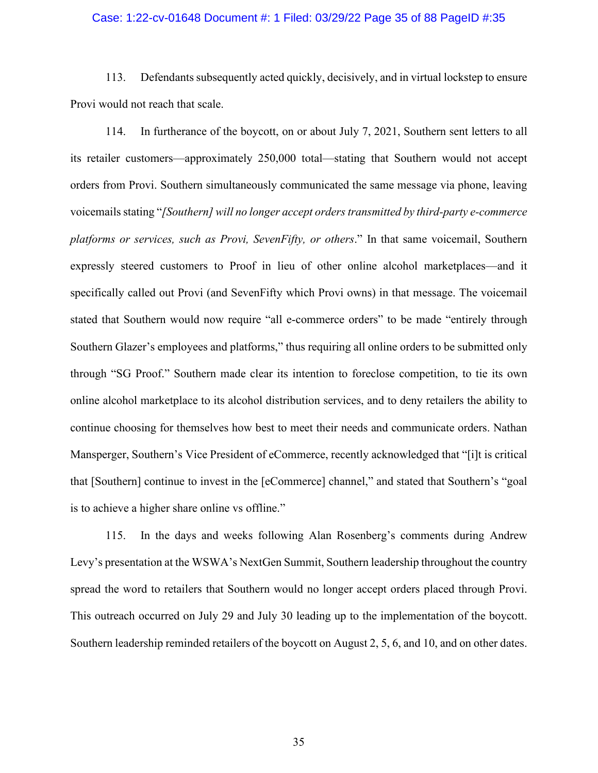## Case: 1:22-cv-01648 Document #: 1 Filed: 03/29/22 Page 35 of 88 PageID #:35

113. Defendants subsequently acted quickly, decisively, and in virtual lockstep to ensure Provi would not reach that scale.

114. In furtherance of the boycott, on or about July 7, 2021, Southern sent letters to all its retailer customers—approximately 250,000 total—stating that Southern would not accept orders from Provi. Southern simultaneously communicated the same message via phone, leaving voicemails stating "*[Southern] will no longer accept orders transmitted by third-party e-commerce platforms or services, such as Provi, SevenFifty, or others*." In that same voicemail, Southern expressly steered customers to Proof in lieu of other online alcohol marketplaces—and it specifically called out Provi (and SevenFifty which Provi owns) in that message. The voicemail stated that Southern would now require "all e-commerce orders" to be made "entirely through Southern Glazer's employees and platforms," thus requiring all online orders to be submitted only through "SG Proof." Southern made clear its intention to foreclose competition, to tie its own online alcohol marketplace to its alcohol distribution services, and to deny retailers the ability to continue choosing for themselves how best to meet their needs and communicate orders. Nathan Mansperger, Southern's Vice President of eCommerce, recently acknowledged that "[i]t is critical that [Southern] continue to invest in the [eCommerce] channel," and stated that Southern's "goal is to achieve a higher share online vs offline."

115. In the days and weeks following Alan Rosenberg's comments during Andrew Levy's presentation at the WSWA's NextGen Summit, Southern leadership throughout the country spread the word to retailers that Southern would no longer accept orders placed through Provi. This outreach occurred on July 29 and July 30 leading up to the implementation of the boycott. Southern leadership reminded retailers of the boycott on August 2, 5, 6, and 10, and on other dates.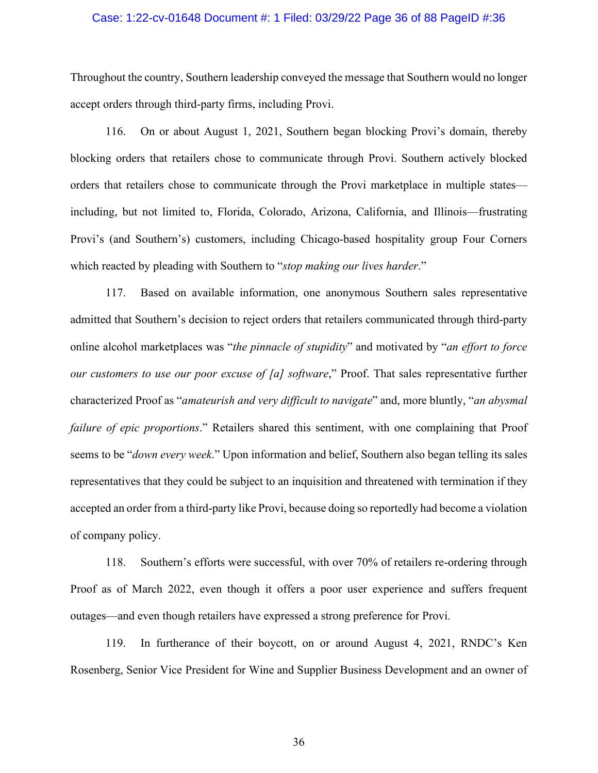## Case: 1:22-cv-01648 Document #: 1 Filed: 03/29/22 Page 36 of 88 PageID #:36

Throughout the country, Southern leadership conveyed the message that Southern would no longer accept orders through third-party firms, including Provi.

116. On or about August 1, 2021, Southern began blocking Provi's domain, thereby blocking orders that retailers chose to communicate through Provi. Southern actively blocked orders that retailers chose to communicate through the Provi marketplace in multiple states including, but not limited to, Florida, Colorado, Arizona, California, and Illinois—frustrating Provi's (and Southern's) customers, including Chicago-based hospitality group Four Corners which reacted by pleading with Southern to "*stop making our lives harder*."

117. Based on available information, one anonymous Southern sales representative admitted that Southern's decision to reject orders that retailers communicated through third-party online alcohol marketplaces was "*the pinnacle of stupidity*" and motivated by "*an effort to force our customers to use our poor excuse of [a] software*," Proof. That sales representative further characterized Proof as "*amateurish and very difficult to navigate*" and, more bluntly, "*an abysmal failure of epic proportions*." Retailers shared this sentiment, with one complaining that Proof seems to be "*down every week*." Upon information and belief, Southern also began telling its sales representatives that they could be subject to an inquisition and threatened with termination if they accepted an order from a third-party like Provi, because doing so reportedly had become a violation of company policy.

118. Southern's efforts were successful, with over 70% of retailers re-ordering through Proof as of March 2022, even though it offers a poor user experience and suffers frequent outages—and even though retailers have expressed a strong preference for Provi.

119. In furtherance of their boycott, on or around August 4, 2021, RNDC's Ken Rosenberg, Senior Vice President for Wine and Supplier Business Development and an owner of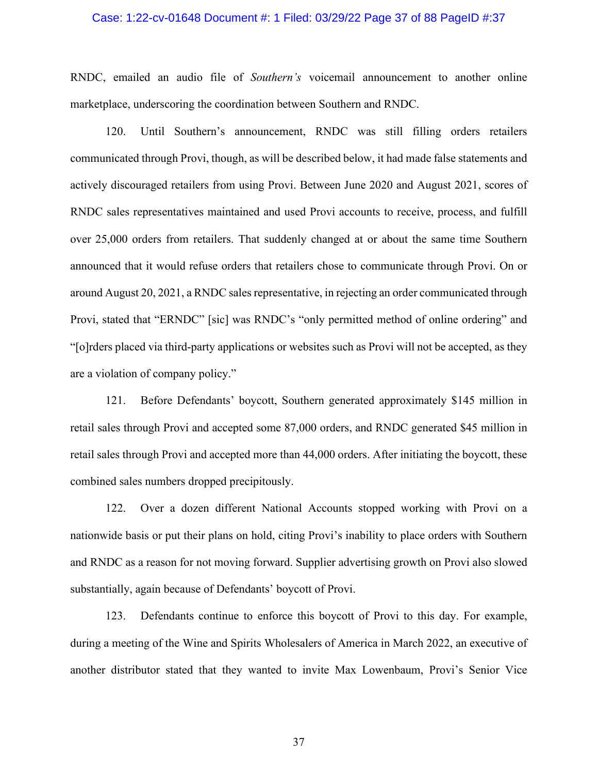## Case: 1:22-cv-01648 Document #: 1 Filed: 03/29/22 Page 37 of 88 PageID #:37

RNDC, emailed an audio file of *Southern's* voicemail announcement to another online marketplace, underscoring the coordination between Southern and RNDC.

120. Until Southern's announcement, RNDC was still filling orders retailers communicated through Provi, though, as will be described below, it had made false statements and actively discouraged retailers from using Provi. Between June 2020 and August 2021, scores of RNDC sales representatives maintained and used Provi accounts to receive, process, and fulfill over 25,000 orders from retailers. That suddenly changed at or about the same time Southern announced that it would refuse orders that retailers chose to communicate through Provi. On or around August 20, 2021, a RNDC sales representative, in rejecting an order communicated through Provi, stated that "ERNDC" [sic] was RNDC's "only permitted method of online ordering" and "[o]rders placed via third-party applications or websites such as Provi will not be accepted, as they are a violation of company policy."

121. Before Defendants' boycott, Southern generated approximately \$145 million in retail sales through Provi and accepted some 87,000 orders, and RNDC generated \$45 million in retail sales through Provi and accepted more than 44,000 orders. After initiating the boycott, these combined sales numbers dropped precipitously.

122. Over a dozen different National Accounts stopped working with Provi on a nationwide basis or put their plans on hold, citing Provi's inability to place orders with Southern and RNDC as a reason for not moving forward. Supplier advertising growth on Provi also slowed substantially, again because of Defendants' boycott of Provi.

123. Defendants continue to enforce this boycott of Provi to this day. For example, during a meeting of the Wine and Spirits Wholesalers of America in March 2022, an executive of another distributor stated that they wanted to invite Max Lowenbaum, Provi's Senior Vice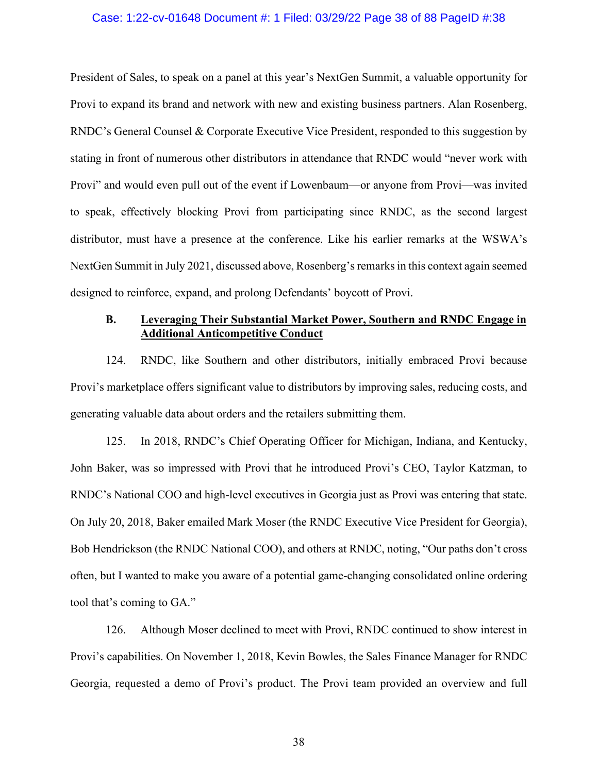### Case: 1:22-cv-01648 Document #: 1 Filed: 03/29/22 Page 38 of 88 PageID #:38

President of Sales, to speak on a panel at this year's NextGen Summit, a valuable opportunity for Provi to expand its brand and network with new and existing business partners. Alan Rosenberg, RNDC's General Counsel & Corporate Executive Vice President, responded to this suggestion by stating in front of numerous other distributors in attendance that RNDC would "never work with Provi" and would even pull out of the event if Lowenbaum—or anyone from Provi—was invited to speak, effectively blocking Provi from participating since RNDC, as the second largest distributor, must have a presence at the conference. Like his earlier remarks at the WSWA's NextGen Summit in July 2021, discussed above, Rosenberg's remarks in this context again seemed designed to reinforce, expand, and prolong Defendants' boycott of Provi.

## **B. Leveraging Their Substantial Market Power, Southern and RNDC Engage in Additional Anticompetitive Conduct**

124. RNDC, like Southern and other distributors, initially embraced Provi because Provi's marketplace offers significant value to distributors by improving sales, reducing costs, and generating valuable data about orders and the retailers submitting them.

125. In 2018, RNDC's Chief Operating Officer for Michigan, Indiana, and Kentucky, John Baker, was so impressed with Provi that he introduced Provi's CEO, Taylor Katzman, to RNDC's National COO and high-level executives in Georgia just as Provi was entering that state. On July 20, 2018, Baker emailed Mark Moser (the RNDC Executive Vice President for Georgia), Bob Hendrickson (the RNDC National COO), and others at RNDC, noting, "Our paths don't cross often, but I wanted to make you aware of a potential game-changing consolidated online ordering tool that's coming to GA."

126. Although Moser declined to meet with Provi, RNDC continued to show interest in Provi's capabilities. On November 1, 2018, Kevin Bowles, the Sales Finance Manager for RNDC Georgia, requested a demo of Provi's product. The Provi team provided an overview and full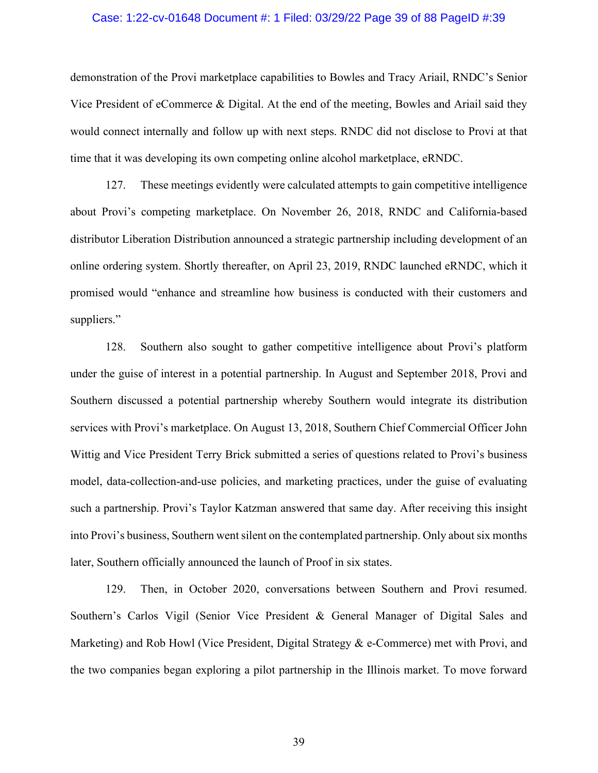## Case: 1:22-cv-01648 Document #: 1 Filed: 03/29/22 Page 39 of 88 PageID #:39

demonstration of the Provi marketplace capabilities to Bowles and Tracy Ariail, RNDC's Senior Vice President of eCommerce & Digital. At the end of the meeting, Bowles and Ariail said they would connect internally and follow up with next steps. RNDC did not disclose to Provi at that time that it was developing its own competing online alcohol marketplace, eRNDC.

127. These meetings evidently were calculated attempts to gain competitive intelligence about Provi's competing marketplace. On November 26, 2018, RNDC and California-based distributor Liberation Distribution announced a strategic partnership including development of an online ordering system. Shortly thereafter, on April 23, 2019, RNDC launched eRNDC, which it promised would "enhance and streamline how business is conducted with their customers and suppliers."

128. Southern also sought to gather competitive intelligence about Provi's platform under the guise of interest in a potential partnership. In August and September 2018, Provi and Southern discussed a potential partnership whereby Southern would integrate its distribution services with Provi's marketplace. On August 13, 2018, Southern Chief Commercial Officer John Wittig and Vice President Terry Brick submitted a series of questions related to Provi's business model, data-collection-and-use policies, and marketing practices, under the guise of evaluating such a partnership. Provi's Taylor Katzman answered that same day. After receiving this insight into Provi's business, Southern went silent on the contemplated partnership. Only about six months later, Southern officially announced the launch of Proof in six states.

129. Then, in October 2020, conversations between Southern and Provi resumed. Southern's Carlos Vigil (Senior Vice President & General Manager of Digital Sales and Marketing) and Rob Howl (Vice President, Digital Strategy & e-Commerce) met with Provi, and the two companies began exploring a pilot partnership in the Illinois market. To move forward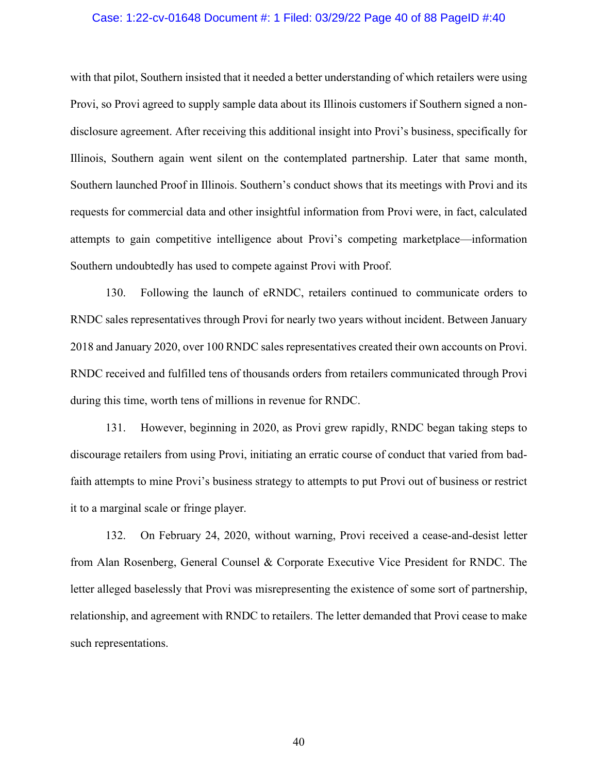#### Case: 1:22-cv-01648 Document #: 1 Filed: 03/29/22 Page 40 of 88 PageID #:40

with that pilot, Southern insisted that it needed a better understanding of which retailers were using Provi, so Provi agreed to supply sample data about its Illinois customers if Southern signed a nondisclosure agreement. After receiving this additional insight into Provi's business, specifically for Illinois, Southern again went silent on the contemplated partnership. Later that same month, Southern launched Proof in Illinois. Southern's conduct shows that its meetings with Provi and its requests for commercial data and other insightful information from Provi were, in fact, calculated attempts to gain competitive intelligence about Provi's competing marketplace—information Southern undoubtedly has used to compete against Provi with Proof.

130. Following the launch of eRNDC, retailers continued to communicate orders to RNDC sales representatives through Provi for nearly two years without incident. Between January 2018 and January 2020, over 100 RNDC sales representatives created their own accounts on Provi. RNDC received and fulfilled tens of thousands orders from retailers communicated through Provi during this time, worth tens of millions in revenue for RNDC.

131. However, beginning in 2020, as Provi grew rapidly, RNDC began taking steps to discourage retailers from using Provi, initiating an erratic course of conduct that varied from badfaith attempts to mine Provi's business strategy to attempts to put Provi out of business or restrict it to a marginal scale or fringe player.

132. On February 24, 2020, without warning, Provi received a cease-and-desist letter from Alan Rosenberg, General Counsel & Corporate Executive Vice President for RNDC. The letter alleged baselessly that Provi was misrepresenting the existence of some sort of partnership, relationship, and agreement with RNDC to retailers. The letter demanded that Provi cease to make such representations.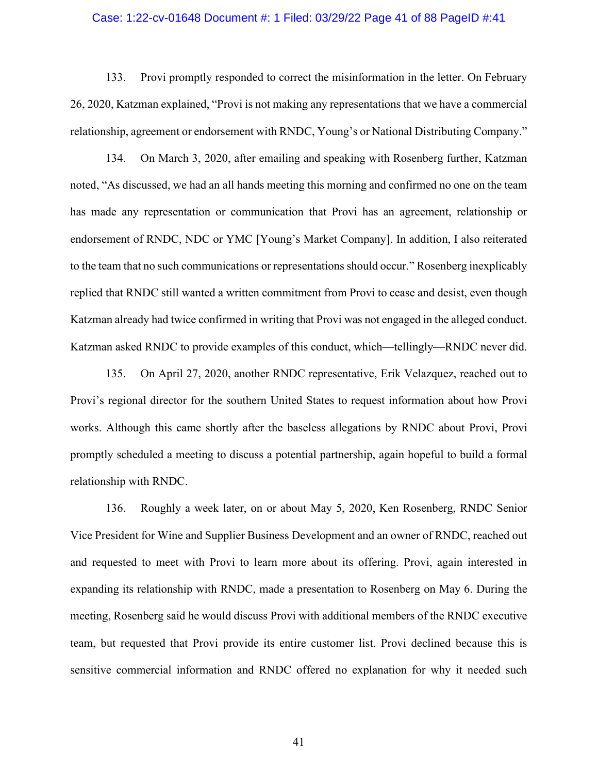#### Case: 1:22-cv-01648 Document #: 1 Filed: 03/29/22 Page 41 of 88 PageID #:41

133. Provi promptly responded to correct the misinformation in the letter. On February 26, 2020, Katzman explained, "Provi is not making any representations that we have a commercial relationship, agreement or endorsement with RNDC, Young's or National Distributing Company."

134. On March 3, 2020, after emailing and speaking with Rosenberg further, Katzman noted, "As discussed, we had an all hands meeting this morning and confirmed no one on the team has made any representation or communication that Provi has an agreement, relationship or endorsement of RNDC, NDC or YMC [Young's Market Company]. In addition, I also reiterated to the team that no such communications or representations should occur." Rosenberg inexplicably replied that RNDC still wanted a written commitment from Provi to cease and desist, even though Katzman already had twice confirmed in writing that Provi was not engaged in the alleged conduct. Katzman asked RNDC to provide examples of this conduct, which—tellingly—RNDC never did.

135. On April 27, 2020, another RNDC representative, Erik Velazquez, reached out to Provi's regional director for the southern United States to request information about how Provi works. Although this came shortly after the baseless allegations by RNDC about Provi, Provi promptly scheduled a meeting to discuss a potential partnership, again hopeful to build a formal relationship with RNDC.

136. Roughly a week later, on or about May 5, 2020, Ken Rosenberg, RNDC Senior Vice President for Wine and Supplier Business Development and an owner of RNDC, reached out and requested to meet with Provi to learn more about its offering. Provi, again interested in expanding its relationship with RNDC, made a presentation to Rosenberg on May 6. During the meeting, Rosenberg said he would discuss Provi with additional members of the RNDC executive team, but requested that Provi provide its entire customer list. Provi declined because this is sensitive commercial information and RNDC offered no explanation for why it needed such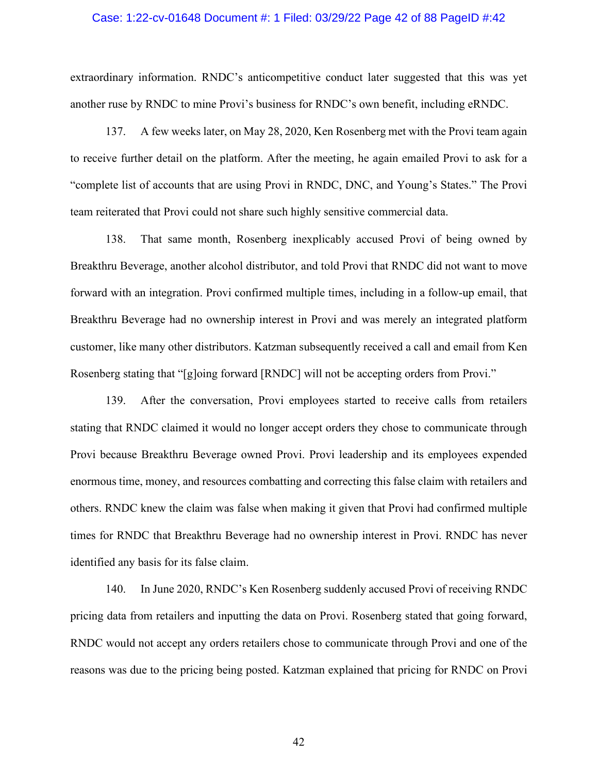#### Case: 1:22-cv-01648 Document #: 1 Filed: 03/29/22 Page 42 of 88 PageID #:42

extraordinary information. RNDC's anticompetitive conduct later suggested that this was yet another ruse by RNDC to mine Provi's business for RNDC's own benefit, including eRNDC.

137. A few weeks later, on May 28, 2020, Ken Rosenberg met with the Provi team again to receive further detail on the platform. After the meeting, he again emailed Provi to ask for a "complete list of accounts that are using Provi in RNDC, DNC, and Young's States." The Provi team reiterated that Provi could not share such highly sensitive commercial data.

138. That same month, Rosenberg inexplicably accused Provi of being owned by Breakthru Beverage, another alcohol distributor, and told Provi that RNDC did not want to move forward with an integration. Provi confirmed multiple times, including in a follow-up email, that Breakthru Beverage had no ownership interest in Provi and was merely an integrated platform customer, like many other distributors. Katzman subsequently received a call and email from Ken Rosenberg stating that "[g]oing forward [RNDC] will not be accepting orders from Provi."

139. After the conversation, Provi employees started to receive calls from retailers stating that RNDC claimed it would no longer accept orders they chose to communicate through Provi because Breakthru Beverage owned Provi. Provi leadership and its employees expended enormous time, money, and resources combatting and correcting this false claim with retailers and others. RNDC knew the claim was false when making it given that Provi had confirmed multiple times for RNDC that Breakthru Beverage had no ownership interest in Provi. RNDC has never identified any basis for its false claim.

140. In June 2020, RNDC's Ken Rosenberg suddenly accused Provi of receiving RNDC pricing data from retailers and inputting the data on Provi. Rosenberg stated that going forward, RNDC would not accept any orders retailers chose to communicate through Provi and one of the reasons was due to the pricing being posted. Katzman explained that pricing for RNDC on Provi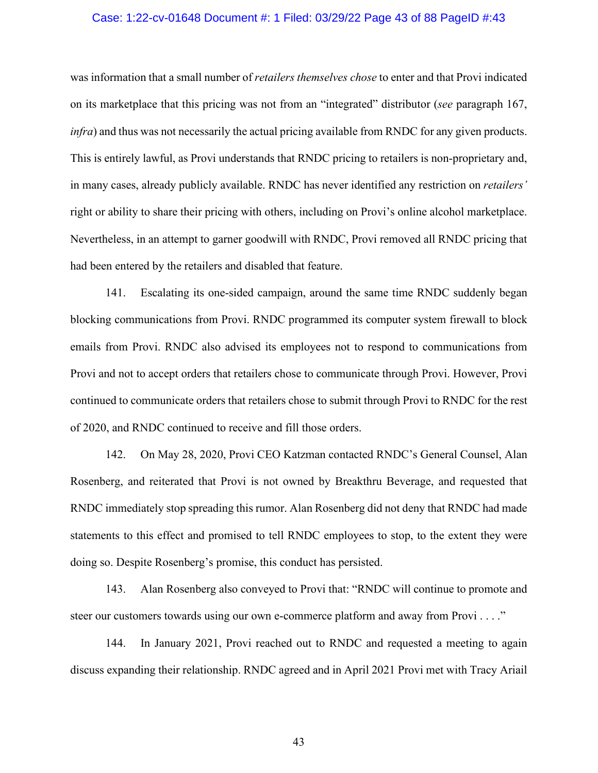#### Case: 1:22-cv-01648 Document #: 1 Filed: 03/29/22 Page 43 of 88 PageID #:43

was information that a small number of *retailers themselves chose* to enter and that Provi indicated on its marketplace that this pricing was not from an "integrated" distributor (*see* paragraph 167, *infra*) and thus was not necessarily the actual pricing available from RNDC for any given products. This is entirely lawful, as Provi understands that RNDC pricing to retailers is non-proprietary and, in many cases, already publicly available. RNDC has never identified any restriction on *retailers'* right or ability to share their pricing with others, including on Provi's online alcohol marketplace. Nevertheless, in an attempt to garner goodwill with RNDC, Provi removed all RNDC pricing that had been entered by the retailers and disabled that feature.

141. Escalating its one-sided campaign, around the same time RNDC suddenly began blocking communications from Provi. RNDC programmed its computer system firewall to block emails from Provi. RNDC also advised its employees not to respond to communications from Provi and not to accept orders that retailers chose to communicate through Provi. However, Provi continued to communicate orders that retailers chose to submit through Provi to RNDC for the rest of 2020, and RNDC continued to receive and fill those orders.

142. On May 28, 2020, Provi CEO Katzman contacted RNDC's General Counsel, Alan Rosenberg, and reiterated that Provi is not owned by Breakthru Beverage, and requested that RNDC immediately stop spreading this rumor. Alan Rosenberg did not deny that RNDC had made statements to this effect and promised to tell RNDC employees to stop, to the extent they were doing so. Despite Rosenberg's promise, this conduct has persisted.

143. Alan Rosenberg also conveyed to Provi that: "RNDC will continue to promote and steer our customers towards using our own e-commerce platform and away from Provi . . . ."

144. In January 2021, Provi reached out to RNDC and requested a meeting to again discuss expanding their relationship. RNDC agreed and in April 2021 Provi met with Tracy Ariail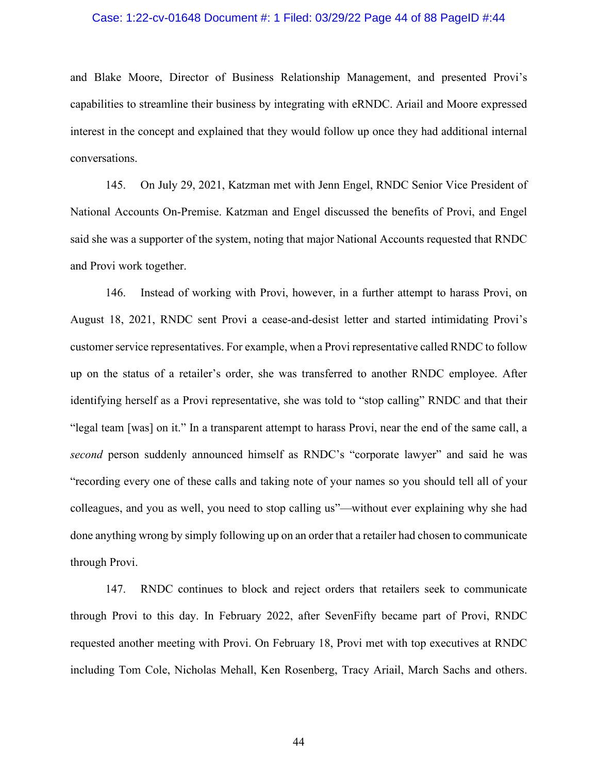#### Case: 1:22-cv-01648 Document #: 1 Filed: 03/29/22 Page 44 of 88 PageID #:44

and Blake Moore, Director of Business Relationship Management, and presented Provi's capabilities to streamline their business by integrating with eRNDC. Ariail and Moore expressed interest in the concept and explained that they would follow up once they had additional internal conversations.

145. On July 29, 2021, Katzman met with Jenn Engel, RNDC Senior Vice President of National Accounts On-Premise. Katzman and Engel discussed the benefits of Provi, and Engel said she was a supporter of the system, noting that major National Accounts requested that RNDC and Provi work together.

146. Instead of working with Provi, however, in a further attempt to harass Provi, on August 18, 2021, RNDC sent Provi a cease-and-desist letter and started intimidating Provi's customer service representatives. For example, when a Provi representative called RNDC to follow up on the status of a retailer's order, she was transferred to another RNDC employee. After identifying herself as a Provi representative, she was told to "stop calling" RNDC and that their "legal team [was] on it." In a transparent attempt to harass Provi, near the end of the same call, a *second* person suddenly announced himself as RNDC's "corporate lawyer" and said he was "recording every one of these calls and taking note of your names so you should tell all of your colleagues, and you as well, you need to stop calling us"—without ever explaining why she had done anything wrong by simply following up on an order that a retailer had chosen to communicate through Provi.

147. RNDC continues to block and reject orders that retailers seek to communicate through Provi to this day. In February 2022, after SevenFifty became part of Provi, RNDC requested another meeting with Provi. On February 18, Provi met with top executives at RNDC including Tom Cole, Nicholas Mehall, Ken Rosenberg, Tracy Ariail, March Sachs and others.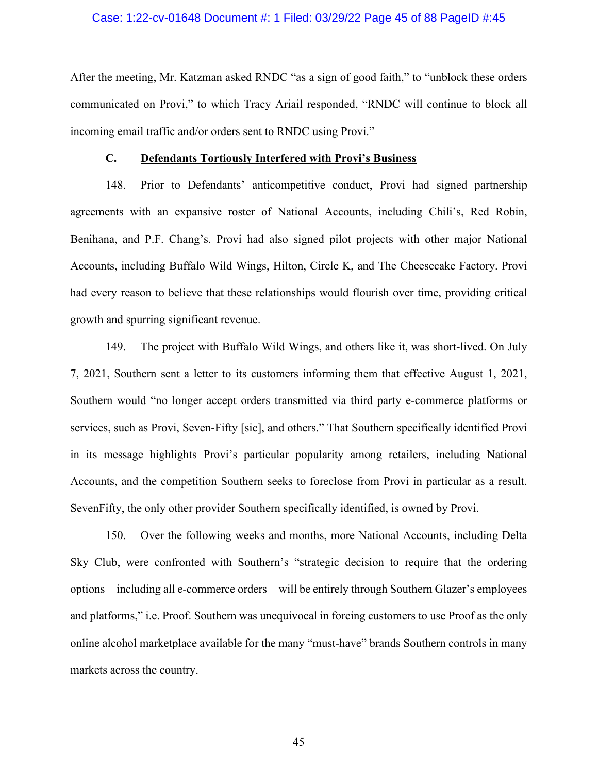## Case: 1:22-cv-01648 Document #: 1 Filed: 03/29/22 Page 45 of 88 PageID #:45

After the meeting, Mr. Katzman asked RNDC "as a sign of good faith," to "unblock these orders communicated on Provi," to which Tracy Ariail responded, "RNDC will continue to block all incoming email traffic and/or orders sent to RNDC using Provi."

#### **C. Defendants Tortiously Interfered with Provi's Business**

148. Prior to Defendants' anticompetitive conduct, Provi had signed partnership agreements with an expansive roster of National Accounts, including Chili's, Red Robin, Benihana, and P.F. Chang's. Provi had also signed pilot projects with other major National Accounts, including Buffalo Wild Wings, Hilton, Circle K, and The Cheesecake Factory. Provi had every reason to believe that these relationships would flourish over time, providing critical growth and spurring significant revenue.

149. The project with Buffalo Wild Wings, and others like it, was short-lived. On July 7, 2021, Southern sent a letter to its customers informing them that effective August 1, 2021, Southern would "no longer accept orders transmitted via third party e-commerce platforms or services, such as Provi, Seven-Fifty [sic], and others." That Southern specifically identified Provi in its message highlights Provi's particular popularity among retailers, including National Accounts, and the competition Southern seeks to foreclose from Provi in particular as a result. SevenFifty, the only other provider Southern specifically identified, is owned by Provi.

150. Over the following weeks and months, more National Accounts, including Delta Sky Club, were confronted with Southern's "strategic decision to require that the ordering options—including all e-commerce orders—will be entirely through Southern Glazer's employees and platforms," i.e. Proof. Southern was unequivocal in forcing customers to use Proof as the only online alcohol marketplace available for the many "must-have" brands Southern controls in many markets across the country.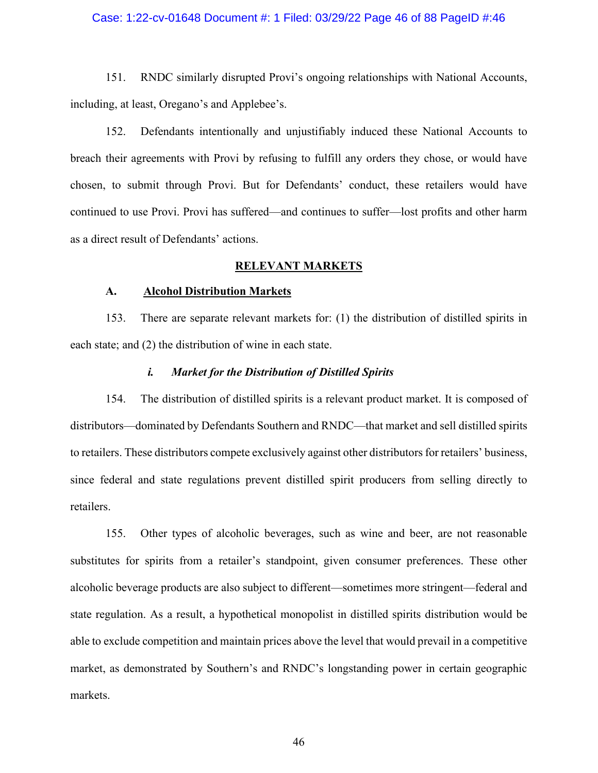## Case: 1:22-cv-01648 Document #: 1 Filed: 03/29/22 Page 46 of 88 PageID #:46

151. RNDC similarly disrupted Provi's ongoing relationships with National Accounts, including, at least, Oregano's and Applebee's.

152. Defendants intentionally and unjustifiably induced these National Accounts to breach their agreements with Provi by refusing to fulfill any orders they chose, or would have chosen, to submit through Provi. But for Defendants' conduct, these retailers would have continued to use Provi. Provi has suffered—and continues to suffer—lost profits and other harm as a direct result of Defendants' actions.

## **RELEVANT MARKETS**

## **A. Alcohol Distribution Markets**

153. There are separate relevant markets for: (1) the distribution of distilled spirits in each state; and (2) the distribution of wine in each state.

## *i. Market for the Distribution of Distilled Spirits*

154. The distribution of distilled spirits is a relevant product market. It is composed of distributors—dominated by Defendants Southern and RNDC—that market and sell distilled spirits to retailers. These distributors compete exclusively against other distributors for retailers' business, since federal and state regulations prevent distilled spirit producers from selling directly to retailers.

155. Other types of alcoholic beverages, such as wine and beer, are not reasonable substitutes for spirits from a retailer's standpoint, given consumer preferences. These other alcoholic beverage products are also subject to different—sometimes more stringent—federal and state regulation. As a result, a hypothetical monopolist in distilled spirits distribution would be able to exclude competition and maintain prices above the level that would prevail in a competitive market, as demonstrated by Southern's and RNDC's longstanding power in certain geographic markets.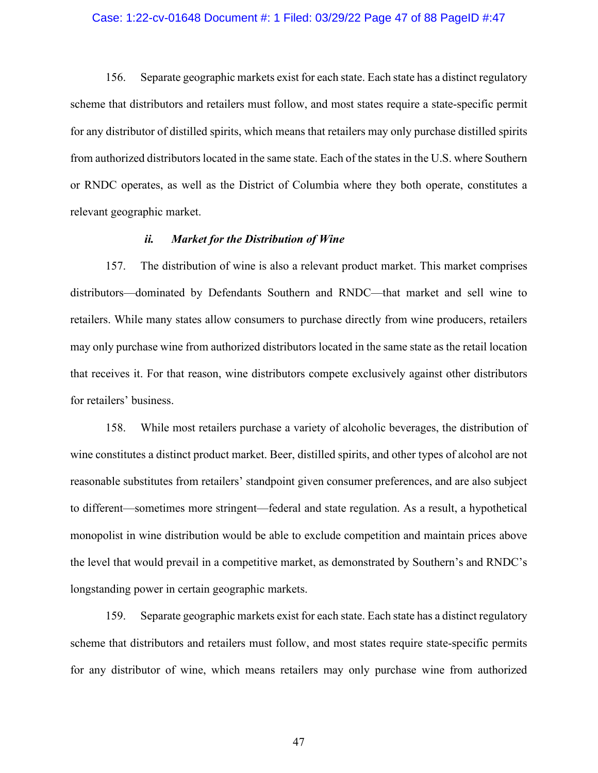#### Case: 1:22-cv-01648 Document #: 1 Filed: 03/29/22 Page 47 of 88 PageID #:47

156. Separate geographic markets exist for each state. Each state has a distinct regulatory scheme that distributors and retailers must follow, and most states require a state-specific permit for any distributor of distilled spirits, which means that retailers may only purchase distilled spirits from authorized distributors located in the same state. Each of the states in the U.S. where Southern or RNDC operates, as well as the District of Columbia where they both operate, constitutes a relevant geographic market.

## *ii. Market for the Distribution of Wine*

157. The distribution of wine is also a relevant product market. This market comprises distributors—dominated by Defendants Southern and RNDC—that market and sell wine to retailers. While many states allow consumers to purchase directly from wine producers, retailers may only purchase wine from authorized distributors located in the same state as the retail location that receives it. For that reason, wine distributors compete exclusively against other distributors for retailers' business.

158. While most retailers purchase a variety of alcoholic beverages, the distribution of wine constitutes a distinct product market. Beer, distilled spirits, and other types of alcohol are not reasonable substitutes from retailers' standpoint given consumer preferences, and are also subject to different—sometimes more stringent—federal and state regulation. As a result, a hypothetical monopolist in wine distribution would be able to exclude competition and maintain prices above the level that would prevail in a competitive market, as demonstrated by Southern's and RNDC's longstanding power in certain geographic markets.

159. Separate geographic markets exist for each state. Each state has a distinct regulatory scheme that distributors and retailers must follow, and most states require state-specific permits for any distributor of wine, which means retailers may only purchase wine from authorized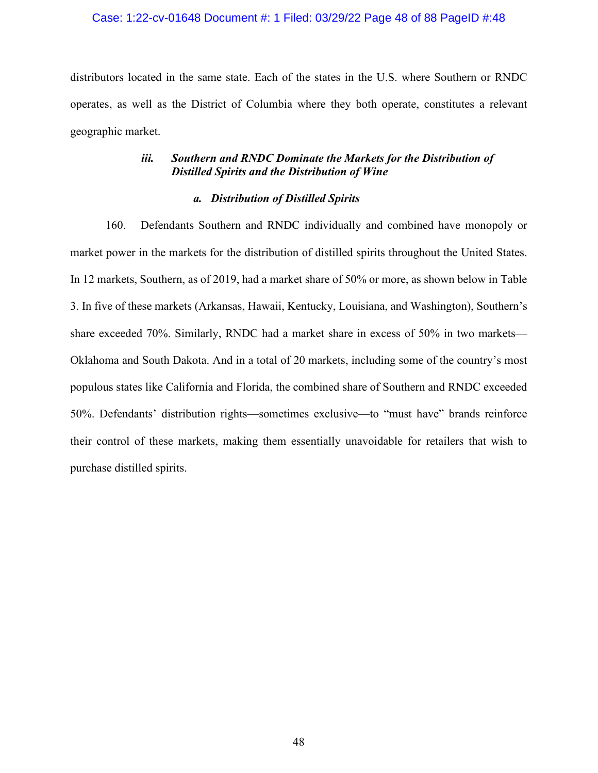## Case: 1:22-cv-01648 Document #: 1 Filed: 03/29/22 Page 48 of 88 PageID #:48

distributors located in the same state. Each of the states in the U.S. where Southern or RNDC operates, as well as the District of Columbia where they both operate, constitutes a relevant geographic market.

## *iii. Southern and RNDC Dominate the Markets for the Distribution of Distilled Spirits and the Distribution of Wine*

## *a. Distribution of Distilled Spirits*

160. Defendants Southern and RNDC individually and combined have monopoly or market power in the markets for the distribution of distilled spirits throughout the United States. In 12 markets, Southern, as of 2019, had a market share of 50% or more, as shown below in Table 3. In five of these markets (Arkansas, Hawaii, Kentucky, Louisiana, and Washington), Southern's share exceeded 70%. Similarly, RNDC had a market share in excess of 50% in two markets— Oklahoma and South Dakota. And in a total of 20 markets, including some of the country's most populous states like California and Florida, the combined share of Southern and RNDC exceeded 50%. Defendants' distribution rights—sometimes exclusive—to "must have" brands reinforce their control of these markets, making them essentially unavoidable for retailers that wish to purchase distilled spirits.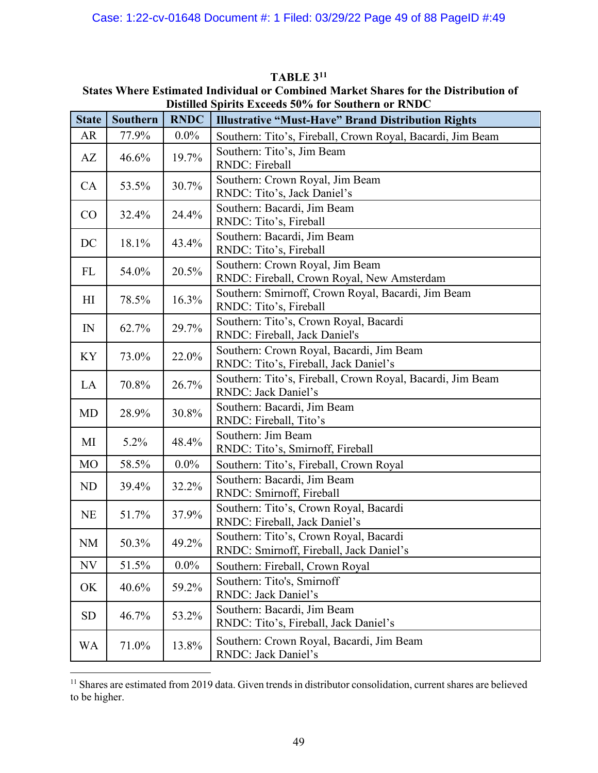|                | Distinct Spirits Exceeds 50 70 for Southern or KINDC |             |                                                                                          |  |  |
|----------------|------------------------------------------------------|-------------|------------------------------------------------------------------------------------------|--|--|
| <b>State</b>   | Southern                                             | <b>RNDC</b> | <b>Illustrative "Must-Have" Brand Distribution Rights</b>                                |  |  |
| AR             | 77.9%                                                | $0.0\%$     | Southern: Tito's, Fireball, Crown Royal, Bacardi, Jim Beam                               |  |  |
| AZ             | 46.6%                                                | 19.7%       | Southern: Tito's, Jim Beam<br>RNDC: Fireball                                             |  |  |
| CA             | 53.5%                                                | 30.7%       | Southern: Crown Royal, Jim Beam<br>RNDC: Tito's, Jack Daniel's                           |  |  |
| CO             | 32.4%                                                | 24.4%       | Southern: Bacardi, Jim Beam<br>RNDC: Tito's, Fireball                                    |  |  |
| DC             | 18.1%                                                | 43.4%       | Southern: Bacardi, Jim Beam<br>RNDC: Tito's, Fireball                                    |  |  |
| FL             | 54.0%                                                | 20.5%       | Southern: Crown Royal, Jim Beam<br>RNDC: Fireball, Crown Royal, New Amsterdam            |  |  |
| H <sub>I</sub> | 78.5%                                                | 16.3%       | Southern: Smirnoff, Crown Royal, Bacardi, Jim Beam<br>RNDC: Tito's, Fireball             |  |  |
| IN             | 62.7%                                                | 29.7%       | Southern: Tito's, Crown Royal, Bacardi<br>RNDC: Fireball, Jack Daniel's                  |  |  |
| KY             | 73.0%                                                | 22.0%       | Southern: Crown Royal, Bacardi, Jim Beam<br>RNDC: Tito's, Fireball, Jack Daniel's        |  |  |
| LA             | 70.8%                                                | 26.7%       | Southern: Tito's, Fireball, Crown Royal, Bacardi, Jim Beam<br><b>RNDC: Jack Daniel's</b> |  |  |
| MD             | 28.9%                                                | 30.8%       | Southern: Bacardi, Jim Beam<br>RNDC: Fireball, Tito's                                    |  |  |
| MI             | 5.2%                                                 | 48.4%       | Southern: Jim Beam<br>RNDC: Tito's, Smirnoff, Fireball                                   |  |  |
| MO             | 58.5%                                                | $0.0\%$     | Southern: Tito's, Fireball, Crown Royal                                                  |  |  |
| ND             | 39.4%                                                | 32.2%       | Southern: Bacardi, Jim Beam<br>RNDC: Smirnoff, Fireball                                  |  |  |
| <b>NE</b>      | 51.7%                                                | 37.9%       | Southern: Tito's, Crown Royal, Bacardi<br>RNDC: Fireball, Jack Daniel's                  |  |  |
| NM             | 50.3%                                                | 49.2%       | Southern: Tito's, Crown Royal, Bacardi<br>RNDC: Smirnoff, Fireball, Jack Daniel's        |  |  |
| NV             | 51.5%                                                | $0.0\%$     | Southern: Fireball, Crown Royal                                                          |  |  |
| OK             | 40.6%                                                | 59.2%       | Southern: Tito's, Smirnoff<br><b>RNDC: Jack Daniel's</b>                                 |  |  |
| SD             | 46.7%                                                | 53.2%       | Southern: Bacardi, Jim Beam<br>RNDC: Tito's, Fireball, Jack Daniel's                     |  |  |
| WA             | 71.0%                                                | 13.8%       | Southern: Crown Royal, Bacardi, Jim Beam<br>RNDC: Jack Daniel's                          |  |  |

**TABLE 3[11](#page-48-0) States Where Estimated Individual or Combined Market Shares for the Distribution of Distilled Spirits Exceeds 50% for Southern or RNDC**

<span id="page-48-0"></span><sup>&</sup>lt;sup>11</sup> Shares are estimated from 2019 data. Given trends in distributor consolidation, current shares are believed to be higher.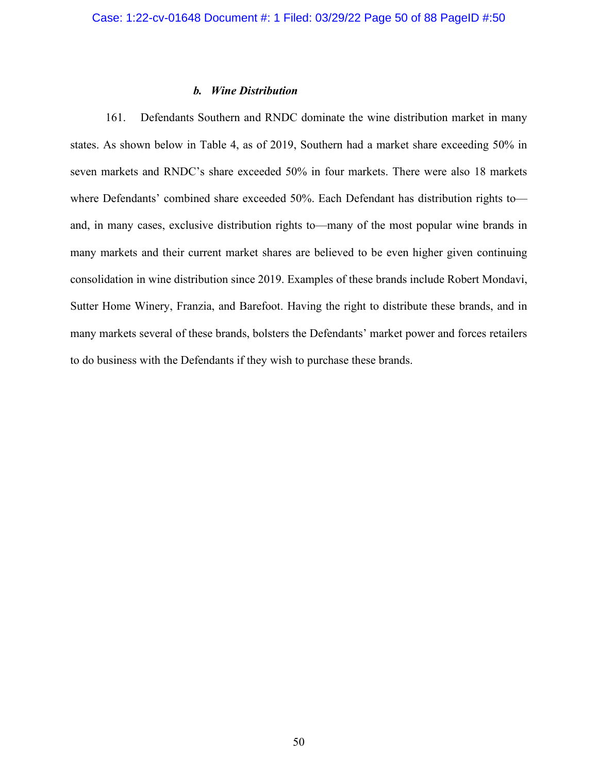## *b. Wine Distribution*

161. Defendants Southern and RNDC dominate the wine distribution market in many states. As shown below in Table 4, as of 2019, Southern had a market share exceeding 50% in seven markets and RNDC's share exceeded 50% in four markets. There were also 18 markets where Defendants' combined share exceeded 50%. Each Defendant has distribution rights toand, in many cases, exclusive distribution rights to—many of the most popular wine brands in many markets and their current market shares are believed to be even higher given continuing consolidation in wine distribution since 2019. Examples of these brands include Robert Mondavi, Sutter Home Winery, Franzia, and Barefoot. Having the right to distribute these brands, and in many markets several of these brands, bolsters the Defendants' market power and forces retailers to do business with the Defendants if they wish to purchase these brands.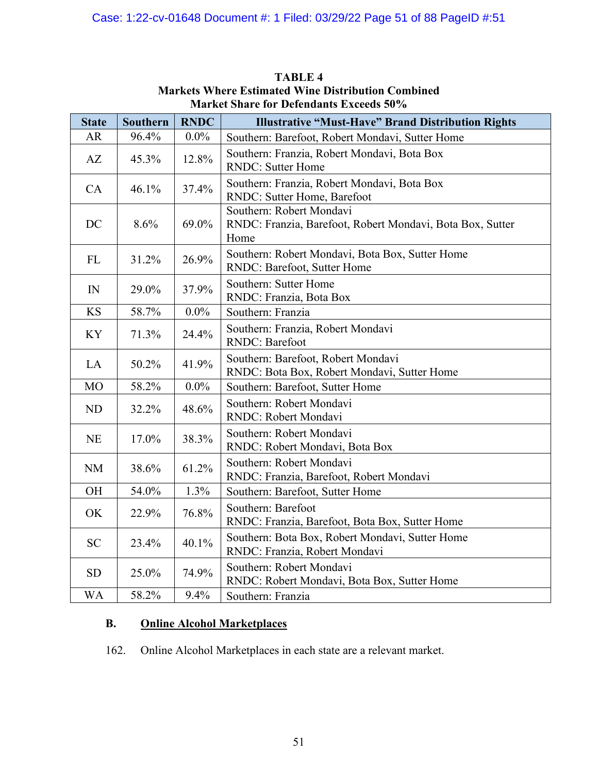| <b>State</b>   | Southern | <b>RNDC</b> | <b>Illustrative "Must-Have" Brand Distribution Rights</b>                                     |
|----------------|----------|-------------|-----------------------------------------------------------------------------------------------|
| AR             | 96.4%    | $0.0\%$     | Southern: Barefoot, Robert Mondavi, Sutter Home                                               |
| AZ             | 45.3%    | 12.8%       | Southern: Franzia, Robert Mondavi, Bota Box<br><b>RNDC:</b> Sutter Home                       |
| CA             | 46.1%    | 37.4%       | Southern: Franzia, Robert Mondavi, Bota Box<br>RNDC: Sutter Home, Barefoot                    |
| DC             | 8.6%     | 69.0%       | Southern: Robert Mondavi<br>RNDC: Franzia, Barefoot, Robert Mondavi, Bota Box, Sutter<br>Home |
| FL             | 31.2%    | 26.9%       | Southern: Robert Mondavi, Bota Box, Sutter Home<br>RNDC: Barefoot, Sutter Home                |
| $\mathbb{N}$   | 29.0%    | 37.9%       | Southern: Sutter Home<br>RNDC: Franzia, Bota Box                                              |
| <b>KS</b>      | 58.7%    | $0.0\%$     | Southern: Franzia                                                                             |
| KY             | 71.3%    | 24.4%       | Southern: Franzia, Robert Mondavi<br><b>RNDC: Barefoot</b>                                    |
| LA             | 50.2%    | 41.9%       | Southern: Barefoot, Robert Mondavi<br>RNDC: Bota Box, Robert Mondavi, Sutter Home             |
| M <sub>O</sub> | 58.2%    | $0.0\%$     | Southern: Barefoot, Sutter Home                                                               |
| ND             | 32.2%    | 48.6%       | Southern: Robert Mondavi<br>RNDC: Robert Mondavi                                              |
| NE             | 17.0%    | 38.3%       | Southern: Robert Mondavi<br>RNDC: Robert Mondavi, Bota Box                                    |
| <b>NM</b>      | 38.6%    | 61.2%       | Southern: Robert Mondavi<br>RNDC: Franzia, Barefoot, Robert Mondavi                           |
| OH             | 54.0%    | 1.3%        | Southern: Barefoot, Sutter Home                                                               |
| OK             | 22.9%    | 76.8%       | Southern: Barefoot<br>RNDC: Franzia, Barefoot, Bota Box, Sutter Home                          |
| <b>SC</b>      | 23.4%    | 40.1%       | Southern: Bota Box, Robert Mondavi, Sutter Home<br>RNDC: Franzia, Robert Mondavi              |
| <b>SD</b>      | 25.0%    | 74.9%       | Southern: Robert Mondavi<br>RNDC: Robert Mondavi, Bota Box, Sutter Home                       |
| WA             | 58.2%    | 9.4%        | Southern: Franzia                                                                             |

**TABLE 4 Markets Where Estimated Wine Distribution Combined Market Share for Defendants Exceeds 50%**

# **B. Online Alcohol Marketplaces**

162. Online Alcohol Marketplaces in each state are a relevant market.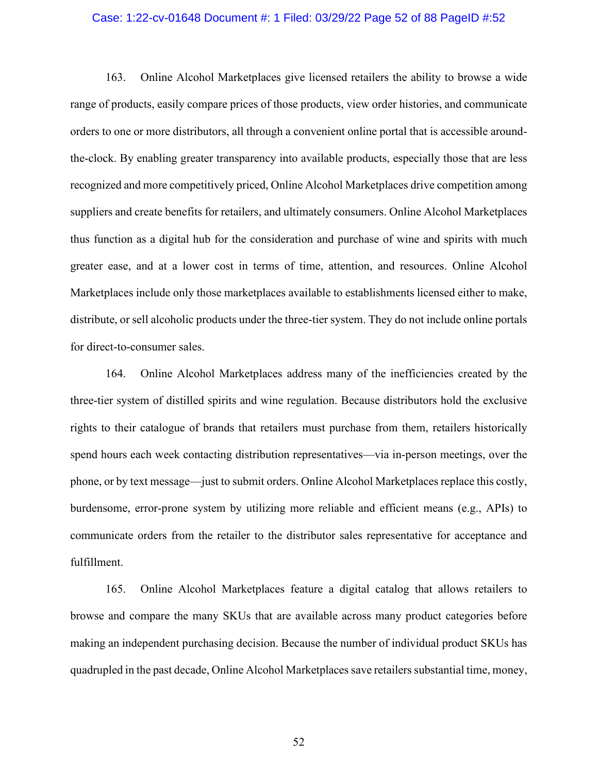#### Case: 1:22-cv-01648 Document #: 1 Filed: 03/29/22 Page 52 of 88 PageID #:52

163. Online Alcohol Marketplaces give licensed retailers the ability to browse a wide range of products, easily compare prices of those products, view order histories, and communicate orders to one or more distributors, all through a convenient online portal that is accessible aroundthe-clock. By enabling greater transparency into available products, especially those that are less recognized and more competitively priced, Online Alcohol Marketplaces drive competition among suppliers and create benefits for retailers, and ultimately consumers. Online Alcohol Marketplaces thus function as a digital hub for the consideration and purchase of wine and spirits with much greater ease, and at a lower cost in terms of time, attention, and resources. Online Alcohol Marketplaces include only those marketplaces available to establishments licensed either to make, distribute, or sell alcoholic products under the three-tier system. They do not include online portals for direct-to-consumer sales.

164. Online Alcohol Marketplaces address many of the inefficiencies created by the three-tier system of distilled spirits and wine regulation. Because distributors hold the exclusive rights to their catalogue of brands that retailers must purchase from them, retailers historically spend hours each week contacting distribution representatives—via in-person meetings, over the phone, or by text message—just to submit orders. Online Alcohol Marketplaces replace this costly, burdensome, error-prone system by utilizing more reliable and efficient means (e.g., APIs) to communicate orders from the retailer to the distributor sales representative for acceptance and fulfillment.

165. Online Alcohol Marketplaces feature a digital catalog that allows retailers to browse and compare the many SKUs that are available across many product categories before making an independent purchasing decision. Because the number of individual product SKUs has quadrupled in the past decade, Online Alcohol Marketplaces save retailers substantial time, money,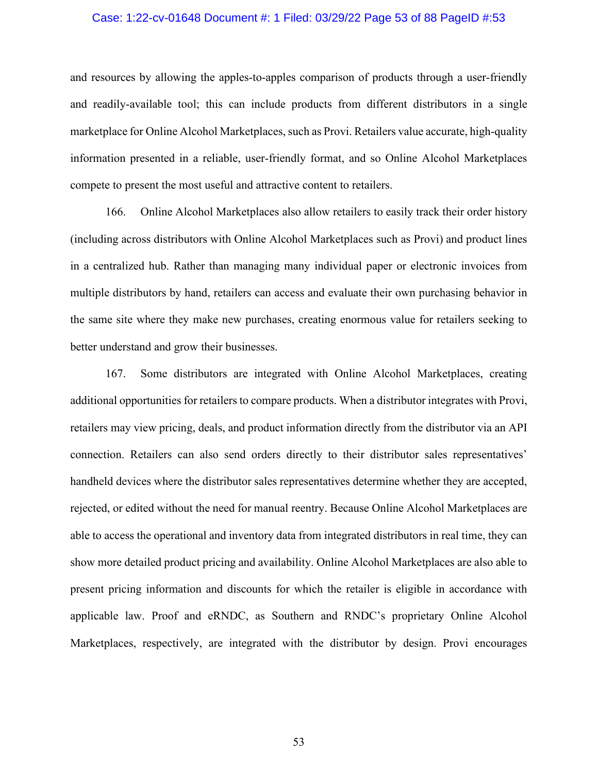## Case: 1:22-cv-01648 Document #: 1 Filed: 03/29/22 Page 53 of 88 PageID #:53

and resources by allowing the apples-to-apples comparison of products through a user-friendly and readily-available tool; this can include products from different distributors in a single marketplace for Online Alcohol Marketplaces, such as Provi. Retailers value accurate, high-quality information presented in a reliable, user-friendly format, and so Online Alcohol Marketplaces compete to present the most useful and attractive content to retailers.

166. Online Alcohol Marketplaces also allow retailers to easily track their order history (including across distributors with Online Alcohol Marketplaces such as Provi) and product lines in a centralized hub. Rather than managing many individual paper or electronic invoices from multiple distributors by hand, retailers can access and evaluate their own purchasing behavior in the same site where they make new purchases, creating enormous value for retailers seeking to better understand and grow their businesses.

167. Some distributors are integrated with Online Alcohol Marketplaces, creating additional opportunities for retailers to compare products. When a distributor integrates with Provi, retailers may view pricing, deals, and product information directly from the distributor via an API connection. Retailers can also send orders directly to their distributor sales representatives' handheld devices where the distributor sales representatives determine whether they are accepted, rejected, or edited without the need for manual reentry. Because Online Alcohol Marketplaces are able to access the operational and inventory data from integrated distributors in real time, they can show more detailed product pricing and availability. Online Alcohol Marketplaces are also able to present pricing information and discounts for which the retailer is eligible in accordance with applicable law. Proof and eRNDC, as Southern and RNDC's proprietary Online Alcohol Marketplaces, respectively, are integrated with the distributor by design. Provi encourages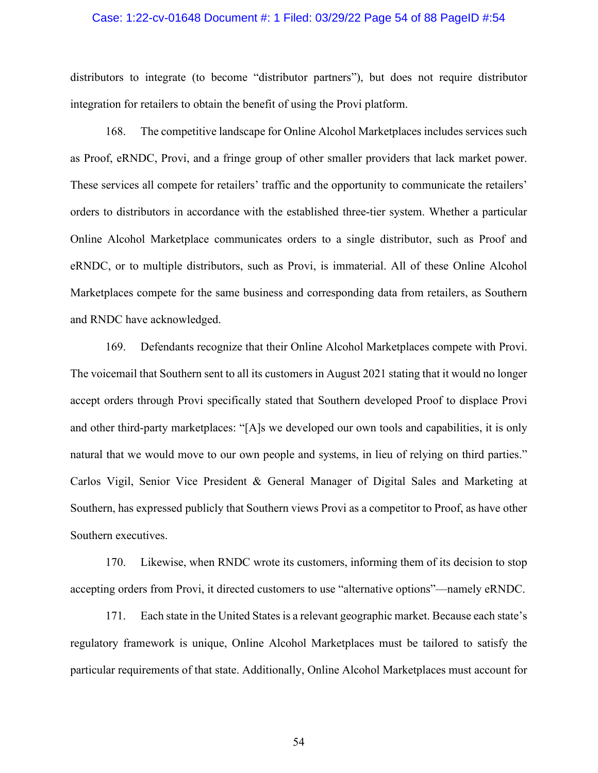#### Case: 1:22-cv-01648 Document #: 1 Filed: 03/29/22 Page 54 of 88 PageID #:54

distributors to integrate (to become "distributor partners"), but does not require distributor integration for retailers to obtain the benefit of using the Provi platform.

168. The competitive landscape for Online Alcohol Marketplaces includes services such as Proof, eRNDC, Provi, and a fringe group of other smaller providers that lack market power. These services all compete for retailers' traffic and the opportunity to communicate the retailers' orders to distributors in accordance with the established three-tier system. Whether a particular Online Alcohol Marketplace communicates orders to a single distributor, such as Proof and eRNDC, or to multiple distributors, such as Provi, is immaterial. All of these Online Alcohol Marketplaces compete for the same business and corresponding data from retailers, as Southern and RNDC have acknowledged.

169. Defendants recognize that their Online Alcohol Marketplaces compete with Provi. The voicemail that Southern sent to all its customers in August 2021 stating that it would no longer accept orders through Provi specifically stated that Southern developed Proof to displace Provi and other third-party marketplaces: "[A]s we developed our own tools and capabilities, it is only natural that we would move to our own people and systems, in lieu of relying on third parties." Carlos Vigil, Senior Vice President & General Manager of Digital Sales and Marketing at Southern, has expressed publicly that Southern views Provi as a competitor to Proof, as have other Southern executives.

170. Likewise, when RNDC wrote its customers, informing them of its decision to stop accepting orders from Provi, it directed customers to use "alternative options"—namely eRNDC.

171. Each state in the United States is a relevant geographic market. Because each state's regulatory framework is unique, Online Alcohol Marketplaces must be tailored to satisfy the particular requirements of that state. Additionally, Online Alcohol Marketplaces must account for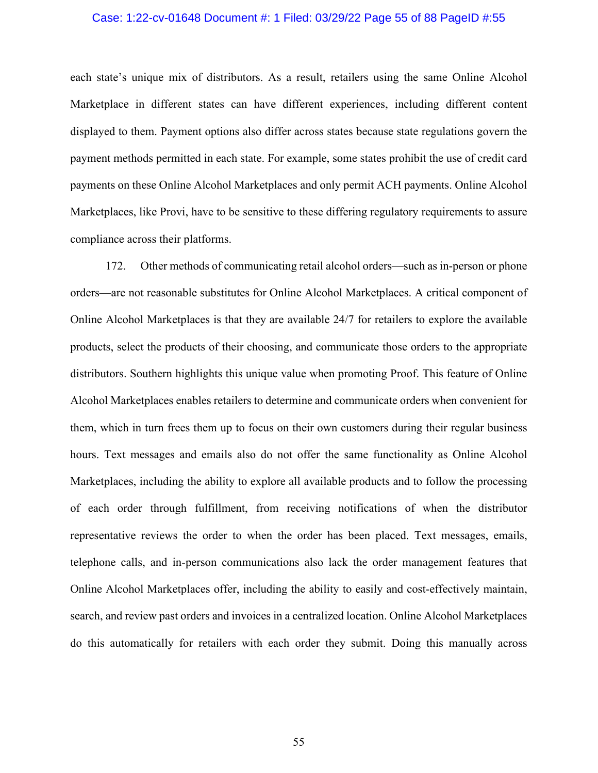## Case: 1:22-cv-01648 Document #: 1 Filed: 03/29/22 Page 55 of 88 PageID #:55

each state's unique mix of distributors. As a result, retailers using the same Online Alcohol Marketplace in different states can have different experiences, including different content displayed to them. Payment options also differ across states because state regulations govern the payment methods permitted in each state. For example, some states prohibit the use of credit card payments on these Online Alcohol Marketplaces and only permit ACH payments. Online Alcohol Marketplaces, like Provi, have to be sensitive to these differing regulatory requirements to assure compliance across their platforms.

172. Other methods of communicating retail alcohol orders—such as in-person or phone orders—are not reasonable substitutes for Online Alcohol Marketplaces. A critical component of Online Alcohol Marketplaces is that they are available 24/7 for retailers to explore the available products, select the products of their choosing, and communicate those orders to the appropriate distributors. Southern highlights this unique value when promoting Proof. This feature of Online Alcohol Marketplaces enables retailers to determine and communicate orders when convenient for them, which in turn frees them up to focus on their own customers during their regular business hours. Text messages and emails also do not offer the same functionality as Online Alcohol Marketplaces, including the ability to explore all available products and to follow the processing of each order through fulfillment, from receiving notifications of when the distributor representative reviews the order to when the order has been placed. Text messages, emails, telephone calls, and in-person communications also lack the order management features that Online Alcohol Marketplaces offer, including the ability to easily and cost-effectively maintain, search, and review past orders and invoices in a centralized location. Online Alcohol Marketplaces do this automatically for retailers with each order they submit. Doing this manually across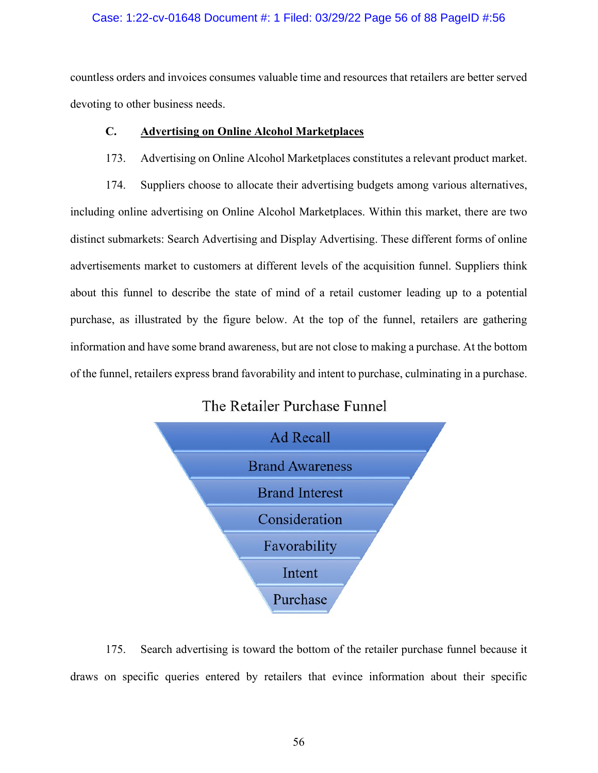## Case: 1:22-cv-01648 Document #: 1 Filed: 03/29/22 Page 56 of 88 PageID #:56

countless orders and invoices consumes valuable time and resources that retailers are better served devoting to other business needs.

## **C. Advertising on Online Alcohol Marketplaces**

## 173. Advertising on Online Alcohol Marketplaces constitutes a relevant product market.

174. Suppliers choose to allocate their advertising budgets among various alternatives, including online advertising on Online Alcohol Marketplaces. Within this market, there are two distinct submarkets: Search Advertising and Display Advertising. These different forms of online advertisements market to customers at different levels of the acquisition funnel. Suppliers think about this funnel to describe the state of mind of a retail customer leading up to a potential purchase, as illustrated by the figure below. At the top of the funnel, retailers are gathering information and have some brand awareness, but are not close to making a purchase. At the bottom of the funnel, retailers express brand favorability and intent to purchase, culminating in a purchase.

# The Retailer Purchase Funnel



175. Search advertising is toward the bottom of the retailer purchase funnel because it draws on specific queries entered by retailers that evince information about their specific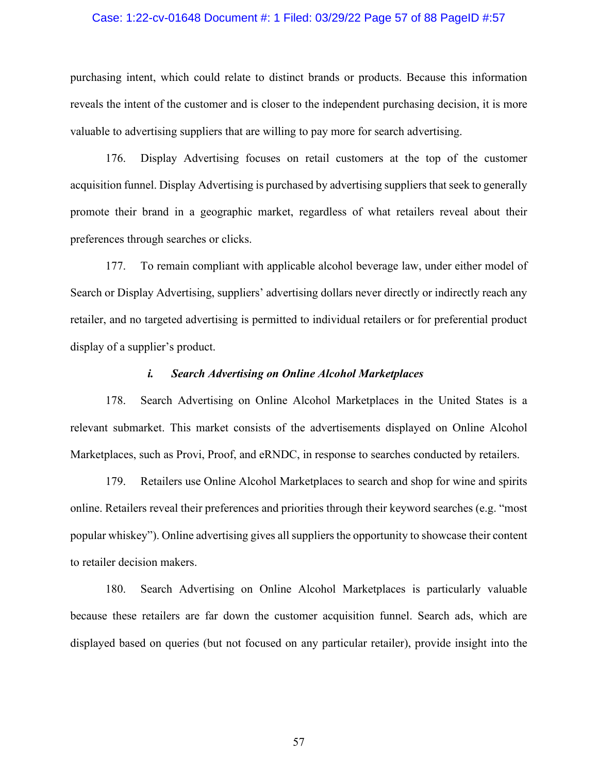#### Case: 1:22-cv-01648 Document #: 1 Filed: 03/29/22 Page 57 of 88 PageID #:57

purchasing intent, which could relate to distinct brands or products. Because this information reveals the intent of the customer and is closer to the independent purchasing decision, it is more valuable to advertising suppliers that are willing to pay more for search advertising.

176. Display Advertising focuses on retail customers at the top of the customer acquisition funnel. Display Advertising is purchased by advertising suppliers that seek to generally promote their brand in a geographic market, regardless of what retailers reveal about their preferences through searches or clicks.

177. To remain compliant with applicable alcohol beverage law, under either model of Search or Display Advertising, suppliers' advertising dollars never directly or indirectly reach any retailer, and no targeted advertising is permitted to individual retailers or for preferential product display of a supplier's product.

### *i. Search Advertising on Online Alcohol Marketplaces*

178. Search Advertising on Online Alcohol Marketplaces in the United States is a relevant submarket. This market consists of the advertisements displayed on Online Alcohol Marketplaces, such as Provi, Proof, and eRNDC, in response to searches conducted by retailers.

179. Retailers use Online Alcohol Marketplaces to search and shop for wine and spirits online. Retailers reveal their preferences and priorities through their keyword searches (e.g. "most popular whiskey"). Online advertising gives all suppliers the opportunity to showcase their content to retailer decision makers.

180. Search Advertising on Online Alcohol Marketplaces is particularly valuable because these retailers are far down the customer acquisition funnel. Search ads, which are displayed based on queries (but not focused on any particular retailer), provide insight into the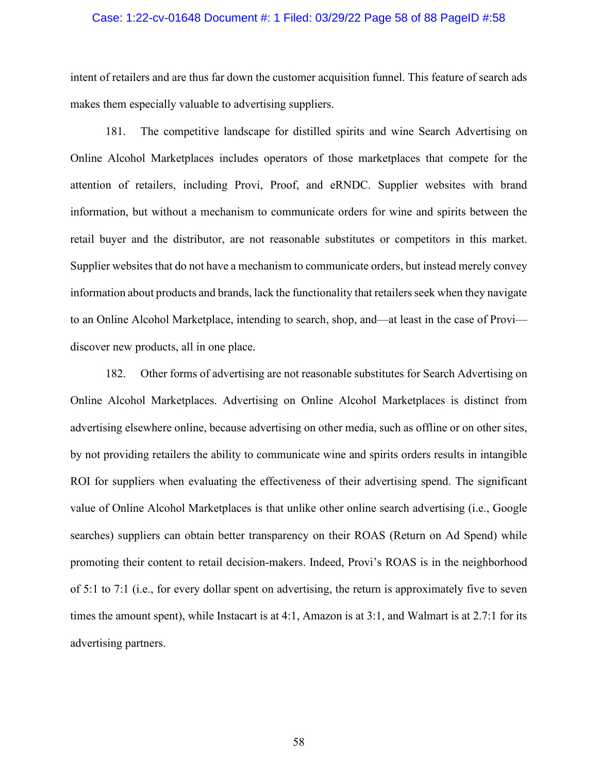## Case: 1:22-cv-01648 Document #: 1 Filed: 03/29/22 Page 58 of 88 PageID #:58

intent of retailers and are thus far down the customer acquisition funnel. This feature of search ads makes them especially valuable to advertising suppliers.

181. The competitive landscape for distilled spirits and wine Search Advertising on Online Alcohol Marketplaces includes operators of those marketplaces that compete for the attention of retailers, including Provi, Proof, and eRNDC. Supplier websites with brand information, but without a mechanism to communicate orders for wine and spirits between the retail buyer and the distributor, are not reasonable substitutes or competitors in this market. Supplier websites that do not have a mechanism to communicate orders, but instead merely convey information about products and brands, lack the functionality that retailers seek when they navigate to an Online Alcohol Marketplace, intending to search, shop, and—at least in the case of Provi discover new products, all in one place.

182. Other forms of advertising are not reasonable substitutes for Search Advertising on Online Alcohol Marketplaces. Advertising on Online Alcohol Marketplaces is distinct from advertising elsewhere online, because advertising on other media, such as offline or on other sites, by not providing retailers the ability to communicate wine and spirits orders results in intangible ROI for suppliers when evaluating the effectiveness of their advertising spend. The significant value of Online Alcohol Marketplaces is that unlike other online search advertising (i.e., Google searches) suppliers can obtain better transparency on their ROAS (Return on Ad Spend) while promoting their content to retail decision-makers. Indeed, Provi's ROAS is in the neighborhood of 5:1 to 7:1 (i.e., for every dollar spent on advertising, the return is approximately five to seven times the amount spent), while Instacart is at 4:1, Amazon is at 3:1, and Walmart is at 2.7:1 for its advertising partners.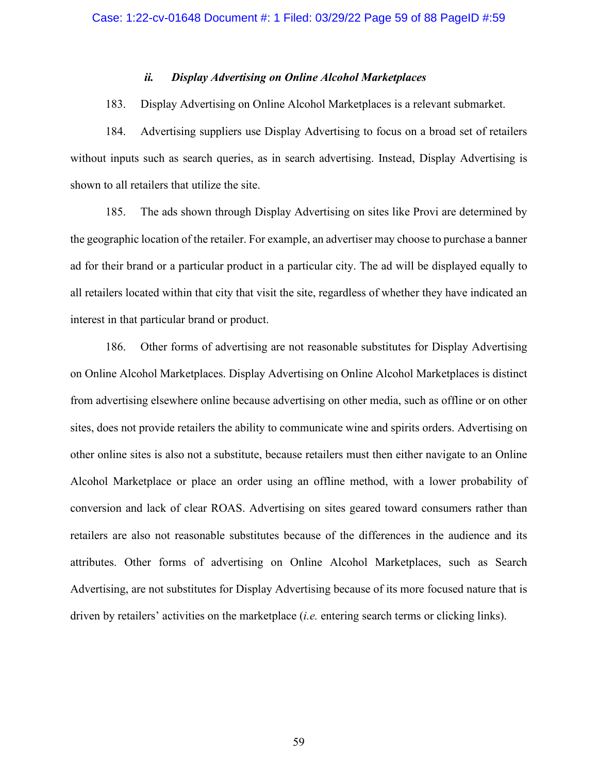## *ii. Display Advertising on Online Alcohol Marketplaces*

## 183. Display Advertising on Online Alcohol Marketplaces is a relevant submarket.

184. Advertising suppliers use Display Advertising to focus on a broad set of retailers without inputs such as search queries, as in search advertising. Instead, Display Advertising is shown to all retailers that utilize the site.

185. The ads shown through Display Advertising on sites like Provi are determined by the geographic location of the retailer. For example, an advertiser may choose to purchase a banner ad for their brand or a particular product in a particular city. The ad will be displayed equally to all retailers located within that city that visit the site, regardless of whether they have indicated an interest in that particular brand or product.

186. Other forms of advertising are not reasonable substitutes for Display Advertising on Online Alcohol Marketplaces. Display Advertising on Online Alcohol Marketplaces is distinct from advertising elsewhere online because advertising on other media, such as offline or on other sites, does not provide retailers the ability to communicate wine and spirits orders. Advertising on other online sites is also not a substitute, because retailers must then either navigate to an Online Alcohol Marketplace or place an order using an offline method, with a lower probability of conversion and lack of clear ROAS. Advertising on sites geared toward consumers rather than retailers are also not reasonable substitutes because of the differences in the audience and its attributes. Other forms of advertising on Online Alcohol Marketplaces, such as Search Advertising, are not substitutes for Display Advertising because of its more focused nature that is driven by retailers' activities on the marketplace (*i.e.* entering search terms or clicking links).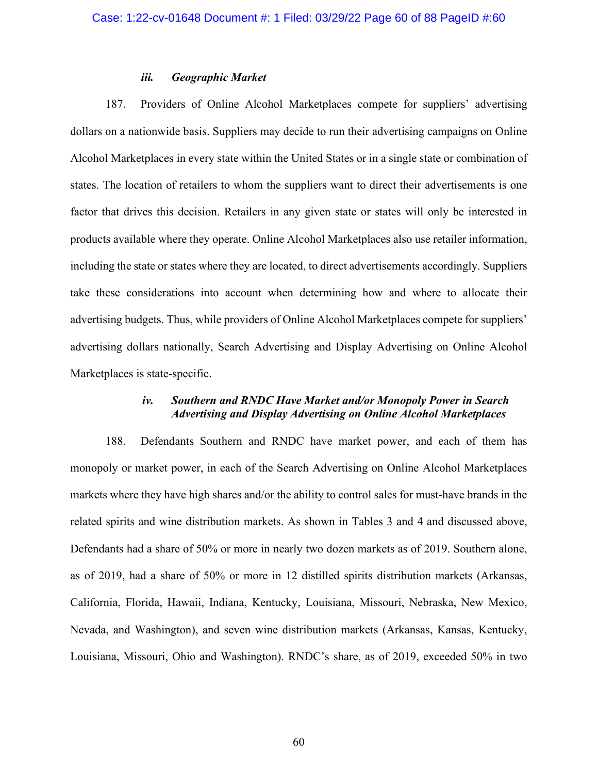### *iii. Geographic Market*

187. Providers of Online Alcohol Marketplaces compete for suppliers' advertising dollars on a nationwide basis. Suppliers may decide to run their advertising campaigns on Online Alcohol Marketplaces in every state within the United States or in a single state or combination of states. The location of retailers to whom the suppliers want to direct their advertisements is one factor that drives this decision. Retailers in any given state or states will only be interested in products available where they operate. Online Alcohol Marketplaces also use retailer information, including the state or states where they are located, to direct advertisements accordingly. Suppliers take these considerations into account when determining how and where to allocate their advertising budgets. Thus, while providers of Online Alcohol Marketplaces compete for suppliers' advertising dollars nationally, Search Advertising and Display Advertising on Online Alcohol Marketplaces is state-specific.

## *iv. Southern and RNDC Have Market and/or Monopoly Power in Search Advertising and Display Advertising on Online Alcohol Marketplaces*

188. Defendants Southern and RNDC have market power, and each of them has monopoly or market power, in each of the Search Advertising on Online Alcohol Marketplaces markets where they have high shares and/or the ability to control sales for must-have brands in the related spirits and wine distribution markets. As shown in Tables 3 and 4 and discussed above, Defendants had a share of 50% or more in nearly two dozen markets as of 2019. Southern alone, as of 2019, had a share of 50% or more in 12 distilled spirits distribution markets (Arkansas, California, Florida, Hawaii, Indiana, Kentucky, Louisiana, Missouri, Nebraska, New Mexico, Nevada, and Washington), and seven wine distribution markets (Arkansas, Kansas, Kentucky, Louisiana, Missouri, Ohio and Washington). RNDC's share, as of 2019, exceeded 50% in two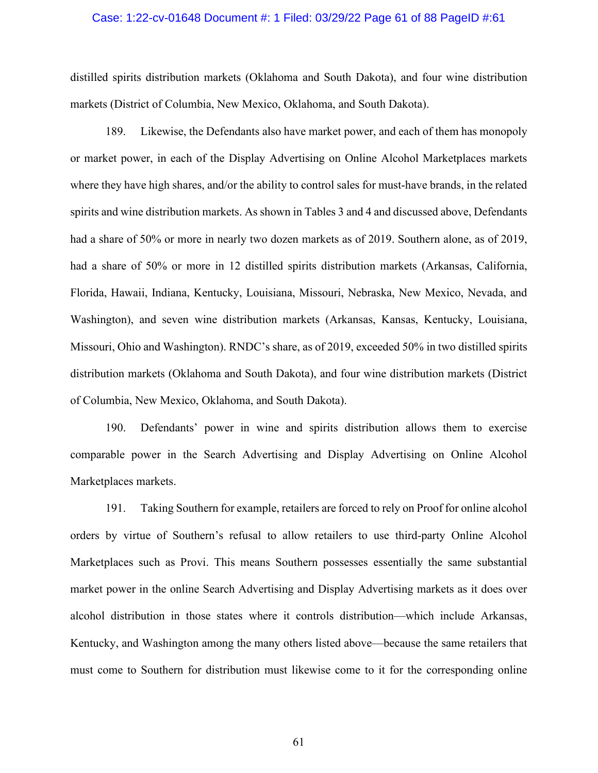## Case: 1:22-cv-01648 Document #: 1 Filed: 03/29/22 Page 61 of 88 PageID #:61

distilled spirits distribution markets (Oklahoma and South Dakota), and four wine distribution markets (District of Columbia, New Mexico, Oklahoma, and South Dakota).

189. Likewise, the Defendants also have market power, and each of them has monopoly or market power, in each of the Display Advertising on Online Alcohol Marketplaces markets where they have high shares, and/or the ability to control sales for must-have brands, in the related spirits and wine distribution markets. As shown in Tables 3 and 4 and discussed above, Defendants had a share of 50% or more in nearly two dozen markets as of 2019. Southern alone, as of 2019, had a share of 50% or more in 12 distilled spirits distribution markets (Arkansas, California, Florida, Hawaii, Indiana, Kentucky, Louisiana, Missouri, Nebraska, New Mexico, Nevada, and Washington), and seven wine distribution markets (Arkansas, Kansas, Kentucky, Louisiana, Missouri, Ohio and Washington). RNDC's share, as of 2019, exceeded 50% in two distilled spirits distribution markets (Oklahoma and South Dakota), and four wine distribution markets (District of Columbia, New Mexico, Oklahoma, and South Dakota).

190. Defendants' power in wine and spirits distribution allows them to exercise comparable power in the Search Advertising and Display Advertising on Online Alcohol Marketplaces markets.

191. Taking Southern for example, retailers are forced to rely on Proof for online alcohol orders by virtue of Southern's refusal to allow retailers to use third-party Online Alcohol Marketplaces such as Provi. This means Southern possesses essentially the same substantial market power in the online Search Advertising and Display Advertising markets as it does over alcohol distribution in those states where it controls distribution—which include Arkansas, Kentucky, and Washington among the many others listed above—because the same retailers that must come to Southern for distribution must likewise come to it for the corresponding online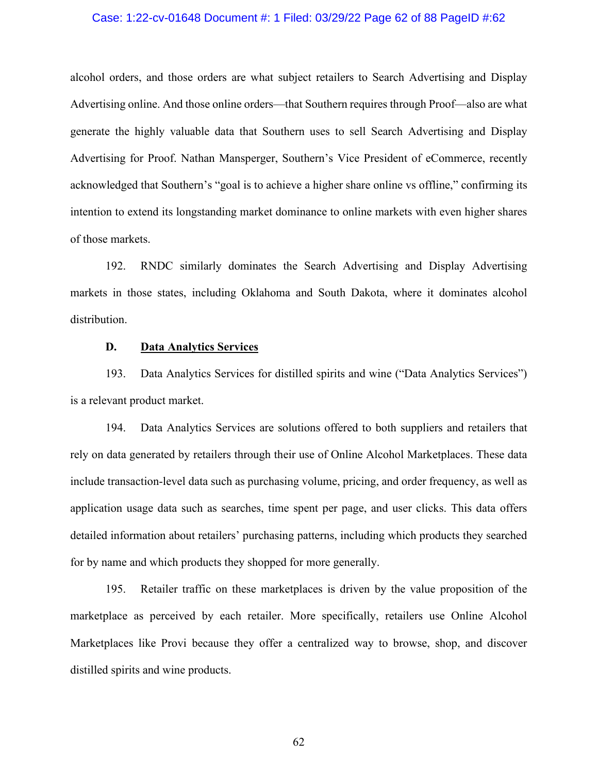## Case: 1:22-cv-01648 Document #: 1 Filed: 03/29/22 Page 62 of 88 PageID #:62

alcohol orders, and those orders are what subject retailers to Search Advertising and Display Advertising online. And those online orders—that Southern requires through Proof—also are what generate the highly valuable data that Southern uses to sell Search Advertising and Display Advertising for Proof. Nathan Mansperger, Southern's Vice President of eCommerce, recently acknowledged that Southern's "goal is to achieve a higher share online vs offline," confirming its intention to extend its longstanding market dominance to online markets with even higher shares of those markets.

192. RNDC similarly dominates the Search Advertising and Display Advertising markets in those states, including Oklahoma and South Dakota, where it dominates alcohol distribution.

## **D. Data Analytics Services**

193. Data Analytics Services for distilled spirits and wine ("Data Analytics Services") is a relevant product market.

194. Data Analytics Services are solutions offered to both suppliers and retailers that rely on data generated by retailers through their use of Online Alcohol Marketplaces. These data include transaction-level data such as purchasing volume, pricing, and order frequency, as well as application usage data such as searches, time spent per page, and user clicks. This data offers detailed information about retailers' purchasing patterns, including which products they searched for by name and which products they shopped for more generally.

195. Retailer traffic on these marketplaces is driven by the value proposition of the marketplace as perceived by each retailer. More specifically, retailers use Online Alcohol Marketplaces like Provi because they offer a centralized way to browse, shop, and discover distilled spirits and wine products.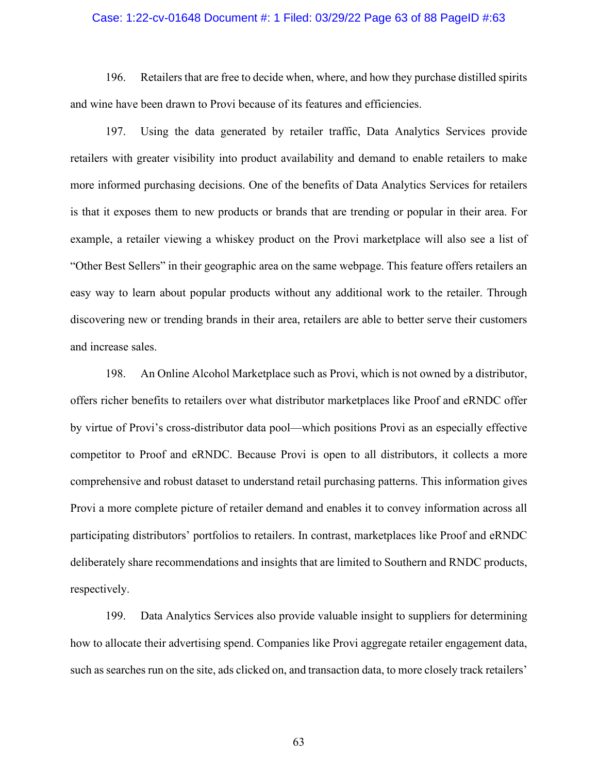### Case: 1:22-cv-01648 Document #: 1 Filed: 03/29/22 Page 63 of 88 PageID #:63

196. Retailers that are free to decide when, where, and how they purchase distilled spirits and wine have been drawn to Provi because of its features and efficiencies.

197. Using the data generated by retailer traffic, Data Analytics Services provide retailers with greater visibility into product availability and demand to enable retailers to make more informed purchasing decisions. One of the benefits of Data Analytics Services for retailers is that it exposes them to new products or brands that are trending or popular in their area. For example, a retailer viewing a whiskey product on the Provi marketplace will also see a list of "Other Best Sellers" in their geographic area on the same webpage. This feature offers retailers an easy way to learn about popular products without any additional work to the retailer. Through discovering new or trending brands in their area, retailers are able to better serve their customers and increase sales.

198. An Online Alcohol Marketplace such as Provi, which is not owned by a distributor, offers richer benefits to retailers over what distributor marketplaces like Proof and eRNDC offer by virtue of Provi's cross-distributor data pool—which positions Provi as an especially effective competitor to Proof and eRNDC. Because Provi is open to all distributors, it collects a more comprehensive and robust dataset to understand retail purchasing patterns. This information gives Provi a more complete picture of retailer demand and enables it to convey information across all participating distributors' portfolios to retailers. In contrast, marketplaces like Proof and eRNDC deliberately share recommendations and insights that are limited to Southern and RNDC products, respectively.

199. Data Analytics Services also provide valuable insight to suppliers for determining how to allocate their advertising spend. Companies like Provi aggregate retailer engagement data, such as searches run on the site, ads clicked on, and transaction data, to more closely track retailers'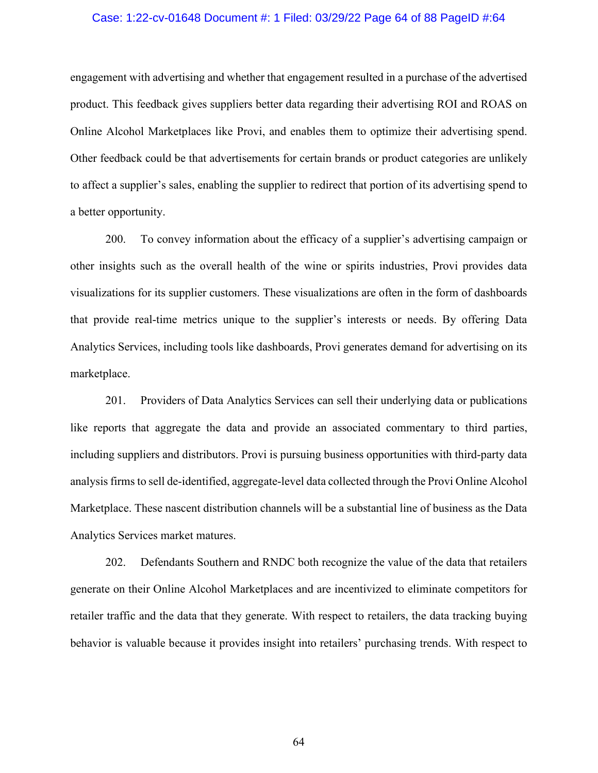#### Case: 1:22-cv-01648 Document #: 1 Filed: 03/29/22 Page 64 of 88 PageID #:64

engagement with advertising and whether that engagement resulted in a purchase of the advertised product. This feedback gives suppliers better data regarding their advertising ROI and ROAS on Online Alcohol Marketplaces like Provi, and enables them to optimize their advertising spend. Other feedback could be that advertisements for certain brands or product categories are unlikely to affect a supplier's sales, enabling the supplier to redirect that portion of its advertising spend to a better opportunity.

200. To convey information about the efficacy of a supplier's advertising campaign or other insights such as the overall health of the wine or spirits industries, Provi provides data visualizations for its supplier customers. These visualizations are often in the form of dashboards that provide real-time metrics unique to the supplier's interests or needs. By offering Data Analytics Services, including tools like dashboards, Provi generates demand for advertising on its marketplace.

201. Providers of Data Analytics Services can sell their underlying data or publications like reports that aggregate the data and provide an associated commentary to third parties, including suppliers and distributors. Provi is pursuing business opportunities with third-party data analysis firms to sell de-identified, aggregate-level data collected through the Provi Online Alcohol Marketplace. These nascent distribution channels will be a substantial line of business as the Data Analytics Services market matures.

202. Defendants Southern and RNDC both recognize the value of the data that retailers generate on their Online Alcohol Marketplaces and are incentivized to eliminate competitors for retailer traffic and the data that they generate. With respect to retailers, the data tracking buying behavior is valuable because it provides insight into retailers' purchasing trends. With respect to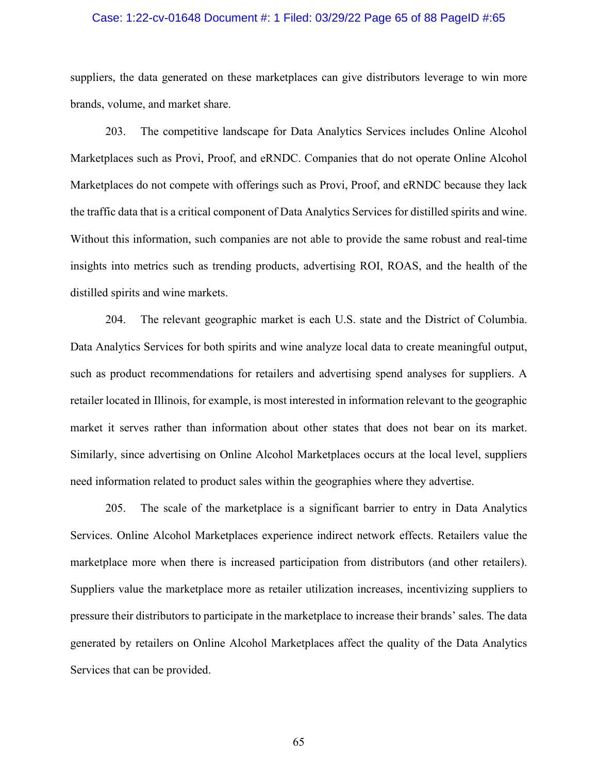### Case: 1:22-cv-01648 Document #: 1 Filed: 03/29/22 Page 65 of 88 PageID #:65

suppliers, the data generated on these marketplaces can give distributors leverage to win more brands, volume, and market share.

203. The competitive landscape for Data Analytics Services includes Online Alcohol Marketplaces such as Provi, Proof, and eRNDC. Companies that do not operate Online Alcohol Marketplaces do not compete with offerings such as Provi, Proof, and eRNDC because they lack the traffic data that is a critical component of Data Analytics Services for distilled spirits and wine. Without this information, such companies are not able to provide the same robust and real-time insights into metrics such as trending products, advertising ROI, ROAS, and the health of the distilled spirits and wine markets.

204. The relevant geographic market is each U.S. state and the District of Columbia. Data Analytics Services for both spirits and wine analyze local data to create meaningful output, such as product recommendations for retailers and advertising spend analyses for suppliers. A retailer located in Illinois, for example, is most interested in information relevant to the geographic market it serves rather than information about other states that does not bear on its market. Similarly, since advertising on Online Alcohol Marketplaces occurs at the local level, suppliers need information related to product sales within the geographies where they advertise.

205. The scale of the marketplace is a significant barrier to entry in Data Analytics Services. Online Alcohol Marketplaces experience indirect network effects. Retailers value the marketplace more when there is increased participation from distributors (and other retailers). Suppliers value the marketplace more as retailer utilization increases, incentivizing suppliers to pressure their distributors to participate in the marketplace to increase their brands' sales. The data generated by retailers on Online Alcohol Marketplaces affect the quality of the Data Analytics Services that can be provided.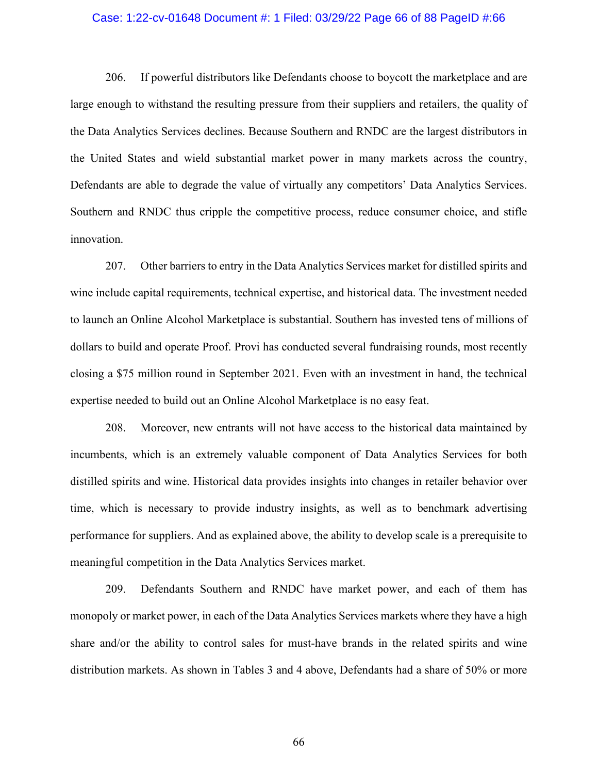## Case: 1:22-cv-01648 Document #: 1 Filed: 03/29/22 Page 66 of 88 PageID #:66

206. If powerful distributors like Defendants choose to boycott the marketplace and are large enough to withstand the resulting pressure from their suppliers and retailers, the quality of the Data Analytics Services declines. Because Southern and RNDC are the largest distributors in the United States and wield substantial market power in many markets across the country, Defendants are able to degrade the value of virtually any competitors' Data Analytics Services. Southern and RNDC thus cripple the competitive process, reduce consumer choice, and stifle innovation.

207. Other barriers to entry in the Data Analytics Services market for distilled spirits and wine include capital requirements, technical expertise, and historical data. The investment needed to launch an Online Alcohol Marketplace is substantial. Southern has invested tens of millions of dollars to build and operate Proof. Provi has conducted several fundraising rounds, most recently closing a \$75 million round in September 2021. Even with an investment in hand, the technical expertise needed to build out an Online Alcohol Marketplace is no easy feat.

208. Moreover, new entrants will not have access to the historical data maintained by incumbents, which is an extremely valuable component of Data Analytics Services for both distilled spirits and wine. Historical data provides insights into changes in retailer behavior over time, which is necessary to provide industry insights, as well as to benchmark advertising performance for suppliers. And as explained above, the ability to develop scale is a prerequisite to meaningful competition in the Data Analytics Services market.

209. Defendants Southern and RNDC have market power, and each of them has monopoly or market power, in each of the Data Analytics Services markets where they have a high share and/or the ability to control sales for must-have brands in the related spirits and wine distribution markets. As shown in Tables 3 and 4 above, Defendants had a share of 50% or more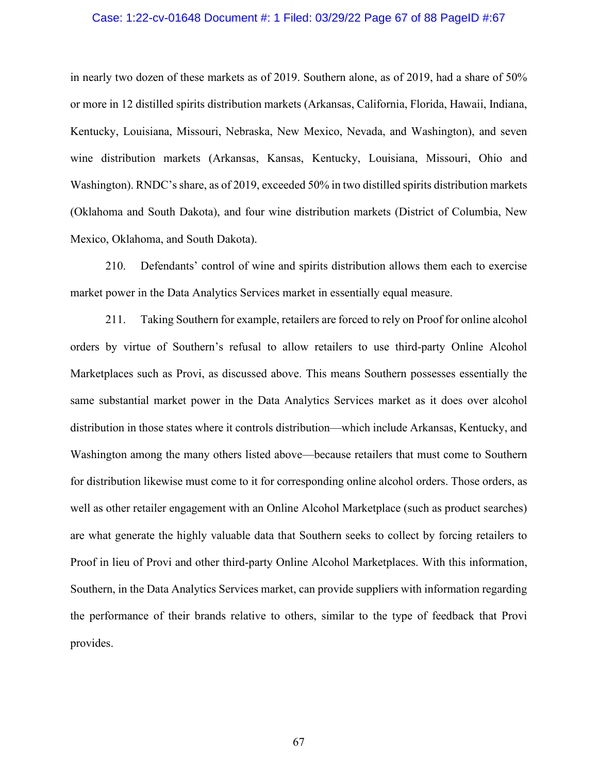## Case: 1:22-cv-01648 Document #: 1 Filed: 03/29/22 Page 67 of 88 PageID #:67

in nearly two dozen of these markets as of 2019. Southern alone, as of 2019, had a share of 50% or more in 12 distilled spirits distribution markets (Arkansas, California, Florida, Hawaii, Indiana, Kentucky, Louisiana, Missouri, Nebraska, New Mexico, Nevada, and Washington), and seven wine distribution markets (Arkansas, Kansas, Kentucky, Louisiana, Missouri, Ohio and Washington). RNDC's share, as of 2019, exceeded 50% in two distilled spirits distribution markets (Oklahoma and South Dakota), and four wine distribution markets (District of Columbia, New Mexico, Oklahoma, and South Dakota).

210. Defendants' control of wine and spirits distribution allows them each to exercise market power in the Data Analytics Services market in essentially equal measure.

211. Taking Southern for example, retailers are forced to rely on Proof for online alcohol orders by virtue of Southern's refusal to allow retailers to use third-party Online Alcohol Marketplaces such as Provi, as discussed above. This means Southern possesses essentially the same substantial market power in the Data Analytics Services market as it does over alcohol distribution in those states where it controls distribution—which include Arkansas, Kentucky, and Washington among the many others listed above—because retailers that must come to Southern for distribution likewise must come to it for corresponding online alcohol orders. Those orders, as well as other retailer engagement with an Online Alcohol Marketplace (such as product searches) are what generate the highly valuable data that Southern seeks to collect by forcing retailers to Proof in lieu of Provi and other third-party Online Alcohol Marketplaces. With this information, Southern, in the Data Analytics Services market, can provide suppliers with information regarding the performance of their brands relative to others, similar to the type of feedback that Provi provides.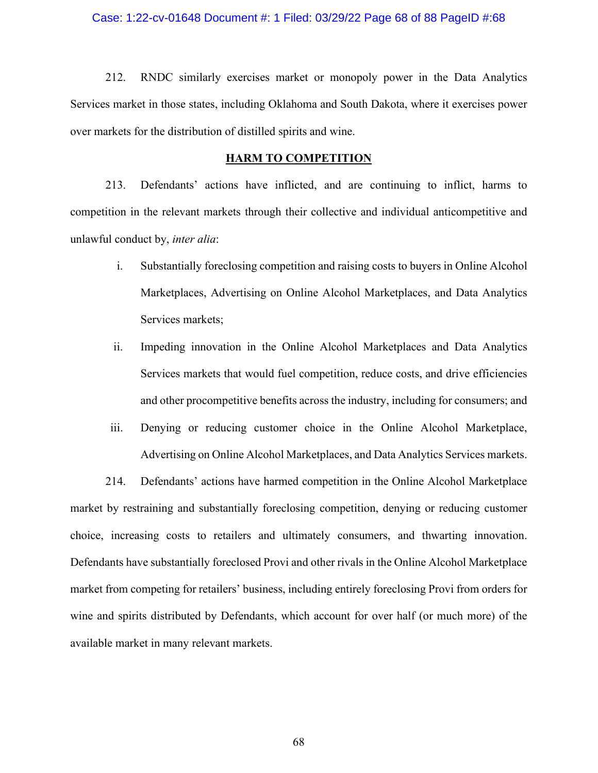#### Case: 1:22-cv-01648 Document #: 1 Filed: 03/29/22 Page 68 of 88 PageID #:68

212. RNDC similarly exercises market or monopoly power in the Data Analytics Services market in those states, including Oklahoma and South Dakota, where it exercises power over markets for the distribution of distilled spirits and wine.

#### **HARM TO COMPETITION**

213. Defendants' actions have inflicted, and are continuing to inflict, harms to competition in the relevant markets through their collective and individual anticompetitive and unlawful conduct by, *inter alia*:

- i. Substantially foreclosing competition and raising costs to buyers in Online Alcohol Marketplaces, Advertising on Online Alcohol Marketplaces, and Data Analytics Services markets;
- ii. Impeding innovation in the Online Alcohol Marketplaces and Data Analytics Services markets that would fuel competition, reduce costs, and drive efficiencies and other procompetitive benefits across the industry, including for consumers; and
- iii. Denying or reducing customer choice in the Online Alcohol Marketplace, Advertising on Online Alcohol Marketplaces, and Data Analytics Services markets.

214. Defendants' actions have harmed competition in the Online Alcohol Marketplace market by restraining and substantially foreclosing competition, denying or reducing customer choice, increasing costs to retailers and ultimately consumers, and thwarting innovation. Defendants have substantially foreclosed Provi and other rivals in the Online Alcohol Marketplace market from competing for retailers' business, including entirely foreclosing Provi from orders for wine and spirits distributed by Defendants, which account for over half (or much more) of the available market in many relevant markets.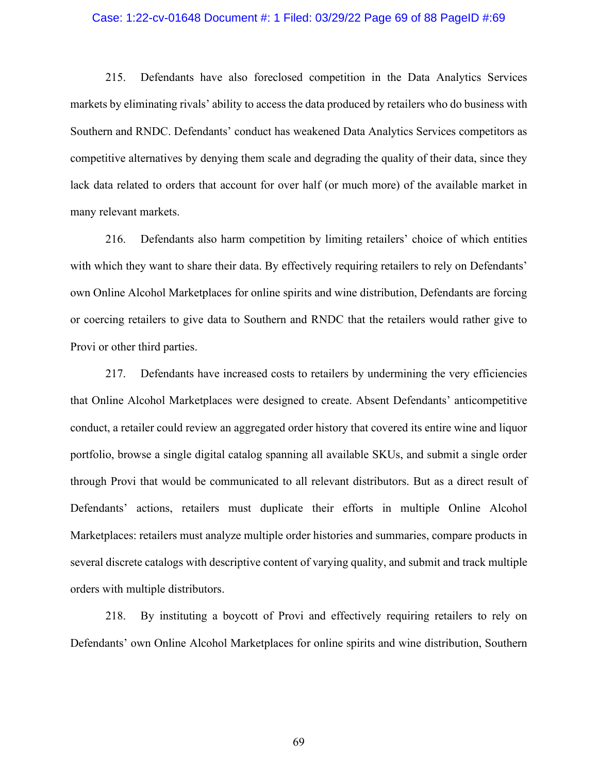## Case: 1:22-cv-01648 Document #: 1 Filed: 03/29/22 Page 69 of 88 PageID #:69

215. Defendants have also foreclosed competition in the Data Analytics Services markets by eliminating rivals' ability to access the data produced by retailers who do business with Southern and RNDC. Defendants' conduct has weakened Data Analytics Services competitors as competitive alternatives by denying them scale and degrading the quality of their data, since they lack data related to orders that account for over half (or much more) of the available market in many relevant markets.

216. Defendants also harm competition by limiting retailers' choice of which entities with which they want to share their data. By effectively requiring retailers to rely on Defendants' own Online Alcohol Marketplaces for online spirits and wine distribution, Defendants are forcing or coercing retailers to give data to Southern and RNDC that the retailers would rather give to Provi or other third parties.

217. Defendants have increased costs to retailers by undermining the very efficiencies that Online Alcohol Marketplaces were designed to create. Absent Defendants' anticompetitive conduct, a retailer could review an aggregated order history that covered its entire wine and liquor portfolio, browse a single digital catalog spanning all available SKUs, and submit a single order through Provi that would be communicated to all relevant distributors. But as a direct result of Defendants' actions, retailers must duplicate their efforts in multiple Online Alcohol Marketplaces: retailers must analyze multiple order histories and summaries, compare products in several discrete catalogs with descriptive content of varying quality, and submit and track multiple orders with multiple distributors.

218. By instituting a boycott of Provi and effectively requiring retailers to rely on Defendants' own Online Alcohol Marketplaces for online spirits and wine distribution, Southern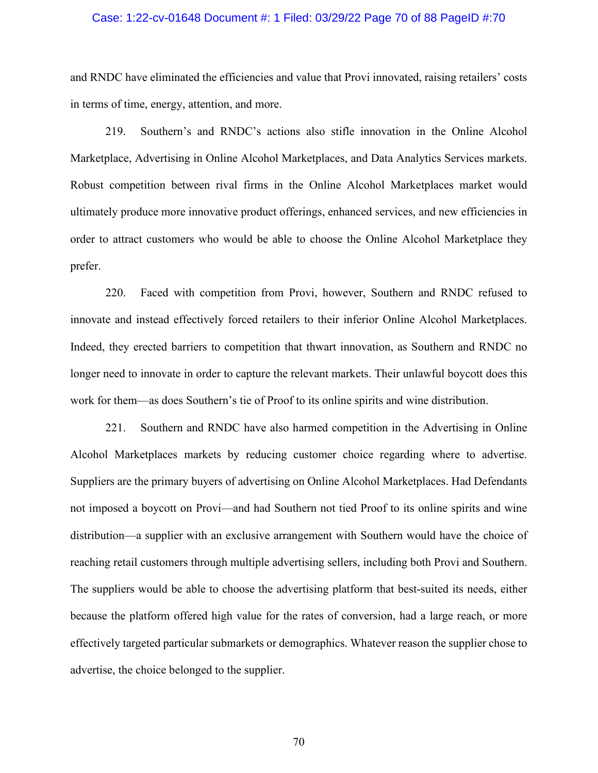## Case: 1:22-cv-01648 Document #: 1 Filed: 03/29/22 Page 70 of 88 PageID #:70

and RNDC have eliminated the efficiencies and value that Provi innovated, raising retailers' costs in terms of time, energy, attention, and more.

219. Southern's and RNDC's actions also stifle innovation in the Online Alcohol Marketplace, Advertising in Online Alcohol Marketplaces, and Data Analytics Services markets. Robust competition between rival firms in the Online Alcohol Marketplaces market would ultimately produce more innovative product offerings, enhanced services, and new efficiencies in order to attract customers who would be able to choose the Online Alcohol Marketplace they prefer.

220. Faced with competition from Provi, however, Southern and RNDC refused to innovate and instead effectively forced retailers to their inferior Online Alcohol Marketplaces. Indeed, they erected barriers to competition that thwart innovation, as Southern and RNDC no longer need to innovate in order to capture the relevant markets. Their unlawful boycott does this work for them—as does Southern's tie of Proof to its online spirits and wine distribution.

221. Southern and RNDC have also harmed competition in the Advertising in Online Alcohol Marketplaces markets by reducing customer choice regarding where to advertise. Suppliers are the primary buyers of advertising on Online Alcohol Marketplaces. Had Defendants not imposed a boycott on Provi—and had Southern not tied Proof to its online spirits and wine distribution—a supplier with an exclusive arrangement with Southern would have the choice of reaching retail customers through multiple advertising sellers, including both Provi and Southern. The suppliers would be able to choose the advertising platform that best-suited its needs, either because the platform offered high value for the rates of conversion, had a large reach, or more effectively targeted particular submarkets or demographics. Whatever reason the supplier chose to advertise, the choice belonged to the supplier.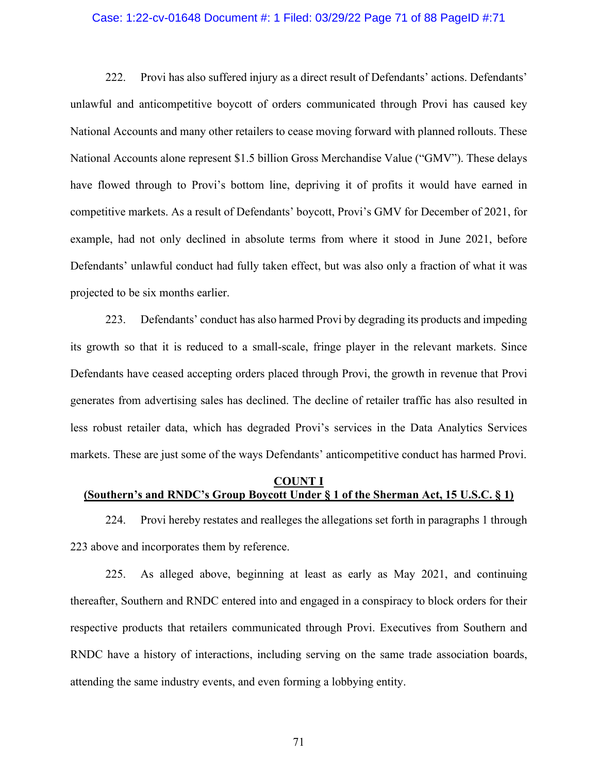#### Case: 1:22-cv-01648 Document #: 1 Filed: 03/29/22 Page 71 of 88 PageID #:71

222. Provi has also suffered injury as a direct result of Defendants' actions. Defendants' unlawful and anticompetitive boycott of orders communicated through Provi has caused key National Accounts and many other retailers to cease moving forward with planned rollouts. These National Accounts alone represent \$1.5 billion Gross Merchandise Value ("GMV"). These delays have flowed through to Provi's bottom line, depriving it of profits it would have earned in competitive markets. As a result of Defendants' boycott, Provi's GMV for December of 2021, for example, had not only declined in absolute terms from where it stood in June 2021, before Defendants' unlawful conduct had fully taken effect, but was also only a fraction of what it was projected to be six months earlier.

223. Defendants' conduct has also harmed Provi by degrading its products and impeding its growth so that it is reduced to a small-scale, fringe player in the relevant markets. Since Defendants have ceased accepting orders placed through Provi, the growth in revenue that Provi generates from advertising sales has declined. The decline of retailer traffic has also resulted in less robust retailer data, which has degraded Provi's services in the Data Analytics Services markets. These are just some of the ways Defendants' anticompetitive conduct has harmed Provi.

## **COUNT I (Southern's and RNDC's Group Boycott Under § 1 of the Sherman Act, 15 U.S.C. § 1)**

224. Provi hereby restates and realleges the allegations set forth in paragraphs 1 through 223 above and incorporates them by reference.

225. As alleged above, beginning at least as early as May 2021, and continuing thereafter, Southern and RNDC entered into and engaged in a conspiracy to block orders for their respective products that retailers communicated through Provi. Executives from Southern and RNDC have a history of interactions, including serving on the same trade association boards, attending the same industry events, and even forming a lobbying entity.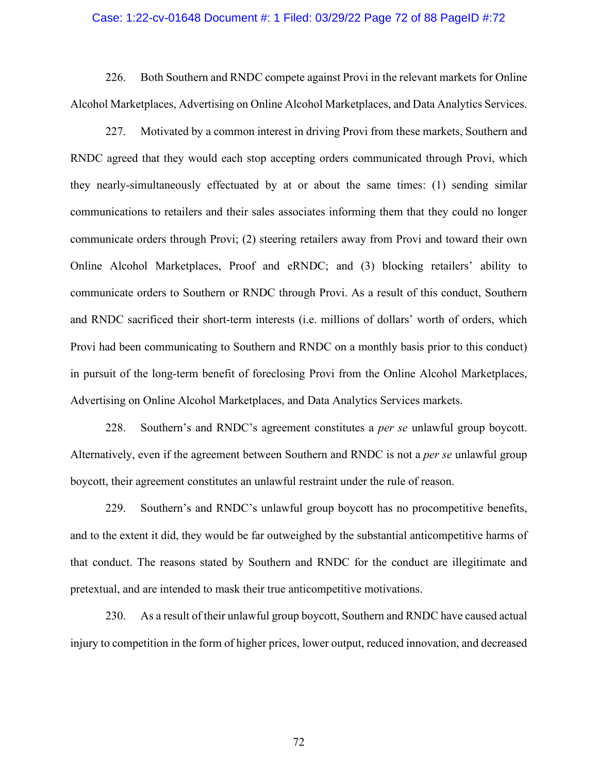### Case: 1:22-cv-01648 Document #: 1 Filed: 03/29/22 Page 72 of 88 PageID #:72

226. Both Southern and RNDC compete against Provi in the relevant markets for Online Alcohol Marketplaces, Advertising on Online Alcohol Marketplaces, and Data Analytics Services.

227. Motivated by a common interest in driving Provi from these markets, Southern and RNDC agreed that they would each stop accepting orders communicated through Provi, which they nearly-simultaneously effectuated by at or about the same times: (1) sending similar communications to retailers and their sales associates informing them that they could no longer communicate orders through Provi; (2) steering retailers away from Provi and toward their own Online Alcohol Marketplaces, Proof and eRNDC; and (3) blocking retailers' ability to communicate orders to Southern or RNDC through Provi. As a result of this conduct, Southern and RNDC sacrificed their short-term interests (i.e. millions of dollars' worth of orders, which Provi had been communicating to Southern and RNDC on a monthly basis prior to this conduct) in pursuit of the long-term benefit of foreclosing Provi from the Online Alcohol Marketplaces, Advertising on Online Alcohol Marketplaces, and Data Analytics Services markets.

228. Southern's and RNDC's agreement constitutes a *per se* unlawful group boycott. Alternatively, even if the agreement between Southern and RNDC is not a *per se* unlawful group boycott, their agreement constitutes an unlawful restraint under the rule of reason.

229. Southern's and RNDC's unlawful group boycott has no procompetitive benefits, and to the extent it did, they would be far outweighed by the substantial anticompetitive harms of that conduct. The reasons stated by Southern and RNDC for the conduct are illegitimate and pretextual, and are intended to mask their true anticompetitive motivations.

230. As a result of their unlawful group boycott, Southern and RNDC have caused actual injury to competition in the form of higher prices, lower output, reduced innovation, and decreased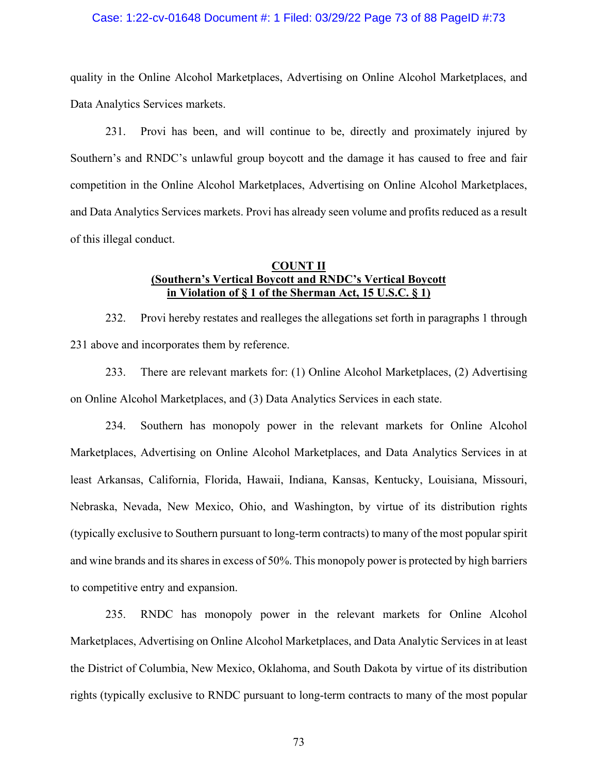#### Case: 1:22-cv-01648 Document #: 1 Filed: 03/29/22 Page 73 of 88 PageID #:73

quality in the Online Alcohol Marketplaces, Advertising on Online Alcohol Marketplaces, and Data Analytics Services markets.

231. Provi has been, and will continue to be, directly and proximately injured by Southern's and RNDC's unlawful group boycott and the damage it has caused to free and fair competition in the Online Alcohol Marketplaces, Advertising on Online Alcohol Marketplaces, and Data Analytics Services markets. Provi has already seen volume and profits reduced as a result of this illegal conduct.

## **COUNT II (Southern's Vertical Boycott and RNDC's Vertical Boycott in Violation of § 1 of the Sherman Act, 15 U.S.C. § 1)**

232. Provi hereby restates and realleges the allegations set forth in paragraphs 1 through 231 above and incorporates them by reference.

233. There are relevant markets for: (1) Online Alcohol Marketplaces, (2) Advertising on Online Alcohol Marketplaces, and (3) Data Analytics Services in each state.

234. Southern has monopoly power in the relevant markets for Online Alcohol Marketplaces, Advertising on Online Alcohol Marketplaces, and Data Analytics Services in at least Arkansas, California, Florida, Hawaii, Indiana, Kansas, Kentucky, Louisiana, Missouri, Nebraska, Nevada, New Mexico, Ohio, and Washington, by virtue of its distribution rights (typically exclusive to Southern pursuant to long-term contracts) to many of the most popular spirit and wine brands and its shares in excess of 50%. This monopoly power is protected by high barriers to competitive entry and expansion.

235. RNDC has monopoly power in the relevant markets for Online Alcohol Marketplaces, Advertising on Online Alcohol Marketplaces, and Data Analytic Services in at least the District of Columbia, New Mexico, Oklahoma, and South Dakota by virtue of its distribution rights (typically exclusive to RNDC pursuant to long-term contracts to many of the most popular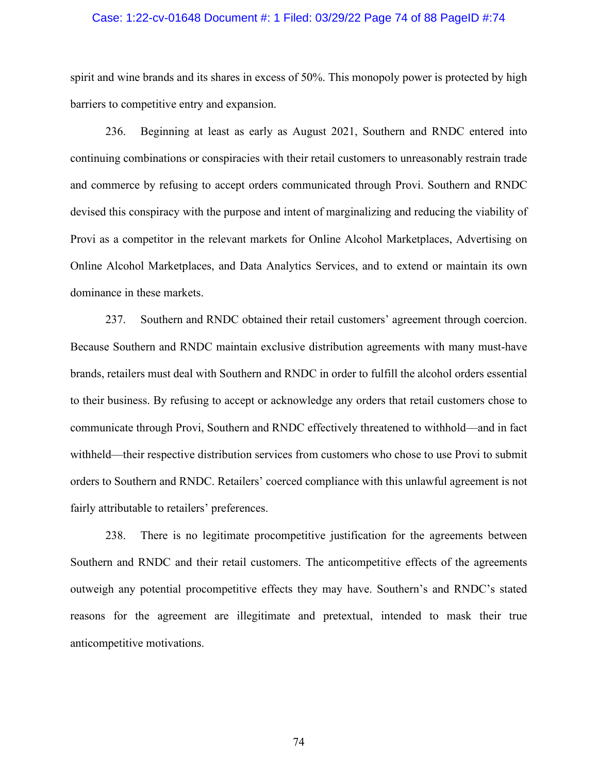### Case: 1:22-cv-01648 Document #: 1 Filed: 03/29/22 Page 74 of 88 PageID #:74

spirit and wine brands and its shares in excess of 50%. This monopoly power is protected by high barriers to competitive entry and expansion.

236. Beginning at least as early as August 2021, Southern and RNDC entered into continuing combinations or conspiracies with their retail customers to unreasonably restrain trade and commerce by refusing to accept orders communicated through Provi. Southern and RNDC devised this conspiracy with the purpose and intent of marginalizing and reducing the viability of Provi as a competitor in the relevant markets for Online Alcohol Marketplaces, Advertising on Online Alcohol Marketplaces, and Data Analytics Services, and to extend or maintain its own dominance in these markets.

237. Southern and RNDC obtained their retail customers' agreement through coercion. Because Southern and RNDC maintain exclusive distribution agreements with many must-have brands, retailers must deal with Southern and RNDC in order to fulfill the alcohol orders essential to their business. By refusing to accept or acknowledge any orders that retail customers chose to communicate through Provi, Southern and RNDC effectively threatened to withhold—and in fact withheld—their respective distribution services from customers who chose to use Provi to submit orders to Southern and RNDC. Retailers' coerced compliance with this unlawful agreement is not fairly attributable to retailers' preferences.

238. There is no legitimate procompetitive justification for the agreements between Southern and RNDC and their retail customers. The anticompetitive effects of the agreements outweigh any potential procompetitive effects they may have. Southern's and RNDC's stated reasons for the agreement are illegitimate and pretextual, intended to mask their true anticompetitive motivations.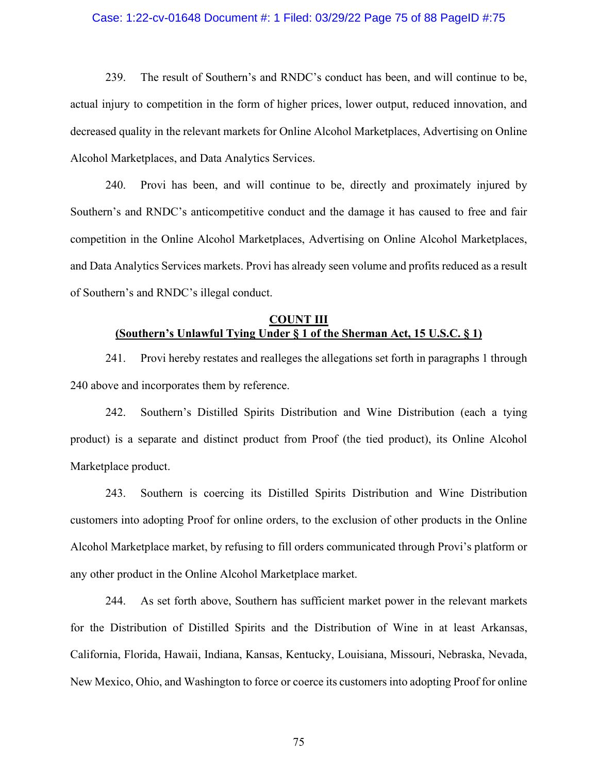### Case: 1:22-cv-01648 Document #: 1 Filed: 03/29/22 Page 75 of 88 PageID #:75

239. The result of Southern's and RNDC's conduct has been, and will continue to be, actual injury to competition in the form of higher prices, lower output, reduced innovation, and decreased quality in the relevant markets for Online Alcohol Marketplaces, Advertising on Online Alcohol Marketplaces, and Data Analytics Services.

240. Provi has been, and will continue to be, directly and proximately injured by Southern's and RNDC's anticompetitive conduct and the damage it has caused to free and fair competition in the Online Alcohol Marketplaces, Advertising on Online Alcohol Marketplaces, and Data Analytics Services markets. Provi has already seen volume and profits reduced as a result of Southern's and RNDC's illegal conduct.

## **COUNT III (Southern's Unlawful Tying Under § 1 of the Sherman Act, 15 U.S.C. § 1)**

241. Provi hereby restates and realleges the allegations set forth in paragraphs 1 through 240 above and incorporates them by reference.

242. Southern's Distilled Spirits Distribution and Wine Distribution (each a tying product) is a separate and distinct product from Proof (the tied product), its Online Alcohol Marketplace product.

243. Southern is coercing its Distilled Spirits Distribution and Wine Distribution customers into adopting Proof for online orders, to the exclusion of other products in the Online Alcohol Marketplace market, by refusing to fill orders communicated through Provi's platform or any other product in the Online Alcohol Marketplace market.

244. As set forth above, Southern has sufficient market power in the relevant markets for the Distribution of Distilled Spirits and the Distribution of Wine in at least Arkansas, California, Florida, Hawaii, Indiana, Kansas, Kentucky, Louisiana, Missouri, Nebraska, Nevada, New Mexico, Ohio, and Washington to force or coerce its customers into adopting Proof for online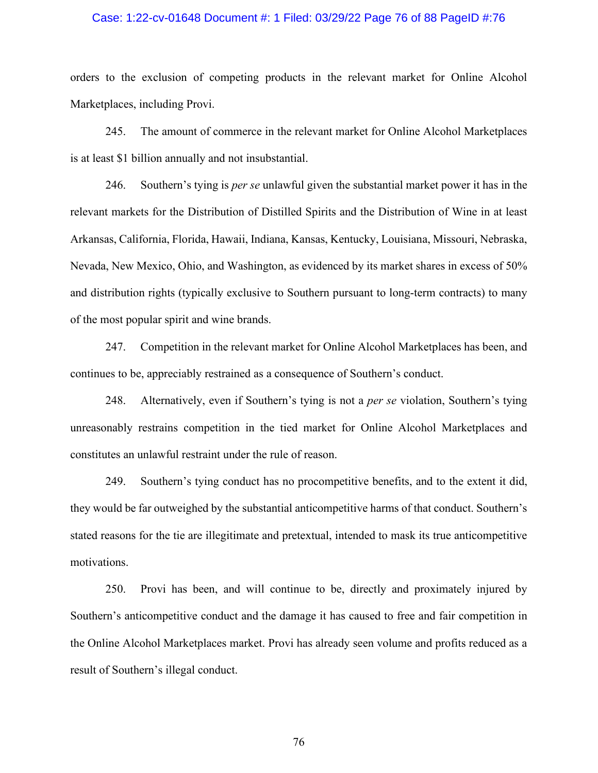### Case: 1:22-cv-01648 Document #: 1 Filed: 03/29/22 Page 76 of 88 PageID #:76

orders to the exclusion of competing products in the relevant market for Online Alcohol Marketplaces, including Provi.

245. The amount of commerce in the relevant market for Online Alcohol Marketplaces is at least \$1 billion annually and not insubstantial.

246. Southern's tying is *per se* unlawful given the substantial market power it has in the relevant markets for the Distribution of Distilled Spirits and the Distribution of Wine in at least Arkansas, California, Florida, Hawaii, Indiana, Kansas, Kentucky, Louisiana, Missouri, Nebraska, Nevada, New Mexico, Ohio, and Washington, as evidenced by its market shares in excess of 50% and distribution rights (typically exclusive to Southern pursuant to long-term contracts) to many of the most popular spirit and wine brands.

247. Competition in the relevant market for Online Alcohol Marketplaces has been, and continues to be, appreciably restrained as a consequence of Southern's conduct.

248. Alternatively, even if Southern's tying is not a *per se* violation, Southern's tying unreasonably restrains competition in the tied market for Online Alcohol Marketplaces and constitutes an unlawful restraint under the rule of reason.

249. Southern's tying conduct has no procompetitive benefits, and to the extent it did, they would be far outweighed by the substantial anticompetitive harms of that conduct. Southern's stated reasons for the tie are illegitimate and pretextual, intended to mask its true anticompetitive motivations.

250. Provi has been, and will continue to be, directly and proximately injured by Southern's anticompetitive conduct and the damage it has caused to free and fair competition in the Online Alcohol Marketplaces market. Provi has already seen volume and profits reduced as a result of Southern's illegal conduct.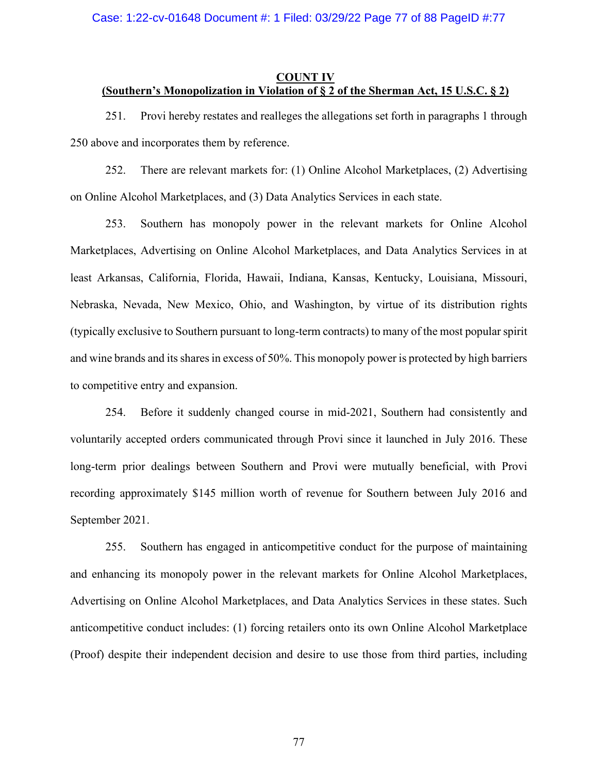### Case: 1:22-cv-01648 Document #: 1 Filed: 03/29/22 Page 77 of 88 PageID #:77

#### **COUNT IV (Southern's Monopolization in Violation of § 2 of the Sherman Act, 15 U.S.C. § 2)**

251. Provi hereby restates and realleges the allegations set forth in paragraphs 1 through 250 above and incorporates them by reference.

252. There are relevant markets for: (1) Online Alcohol Marketplaces, (2) Advertising on Online Alcohol Marketplaces, and (3) Data Analytics Services in each state.

253. Southern has monopoly power in the relevant markets for Online Alcohol Marketplaces, Advertising on Online Alcohol Marketplaces, and Data Analytics Services in at least Arkansas, California, Florida, Hawaii, Indiana, Kansas, Kentucky, Louisiana, Missouri, Nebraska, Nevada, New Mexico, Ohio, and Washington, by virtue of its distribution rights (typically exclusive to Southern pursuant to long-term contracts) to many of the most popular spirit and wine brands and its shares in excess of 50%. This monopoly power is protected by high barriers to competitive entry and expansion.

254. Before it suddenly changed course in mid-2021, Southern had consistently and voluntarily accepted orders communicated through Provi since it launched in July 2016. These long-term prior dealings between Southern and Provi were mutually beneficial, with Provi recording approximately \$145 million worth of revenue for Southern between July 2016 and September 2021.

255. Southern has engaged in anticompetitive conduct for the purpose of maintaining and enhancing its monopoly power in the relevant markets for Online Alcohol Marketplaces, Advertising on Online Alcohol Marketplaces, and Data Analytics Services in these states. Such anticompetitive conduct includes: (1) forcing retailers onto its own Online Alcohol Marketplace (Proof) despite their independent decision and desire to use those from third parties, including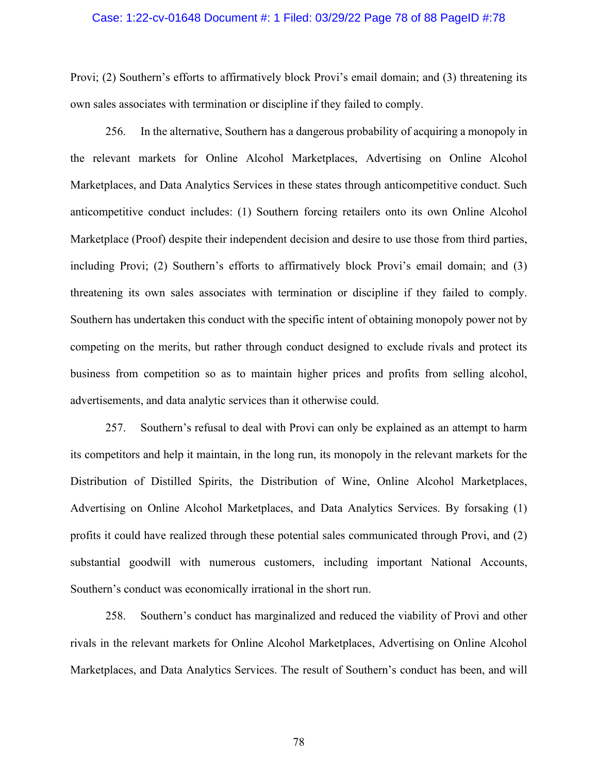### Case: 1:22-cv-01648 Document #: 1 Filed: 03/29/22 Page 78 of 88 PageID #:78

Provi; (2) Southern's efforts to affirmatively block Provi's email domain; and (3) threatening its own sales associates with termination or discipline if they failed to comply.

256. In the alternative, Southern has a dangerous probability of acquiring a monopoly in the relevant markets for Online Alcohol Marketplaces, Advertising on Online Alcohol Marketplaces, and Data Analytics Services in these states through anticompetitive conduct. Such anticompetitive conduct includes: (1) Southern forcing retailers onto its own Online Alcohol Marketplace (Proof) despite their independent decision and desire to use those from third parties, including Provi; (2) Southern's efforts to affirmatively block Provi's email domain; and (3) threatening its own sales associates with termination or discipline if they failed to comply. Southern has undertaken this conduct with the specific intent of obtaining monopoly power not by competing on the merits, but rather through conduct designed to exclude rivals and protect its business from competition so as to maintain higher prices and profits from selling alcohol, advertisements, and data analytic services than it otherwise could.

257. Southern's refusal to deal with Provi can only be explained as an attempt to harm its competitors and help it maintain, in the long run, its monopoly in the relevant markets for the Distribution of Distilled Spirits, the Distribution of Wine, Online Alcohol Marketplaces, Advertising on Online Alcohol Marketplaces, and Data Analytics Services. By forsaking (1) profits it could have realized through these potential sales communicated through Provi, and (2) substantial goodwill with numerous customers, including important National Accounts, Southern's conduct was economically irrational in the short run.

258. Southern's conduct has marginalized and reduced the viability of Provi and other rivals in the relevant markets for Online Alcohol Marketplaces, Advertising on Online Alcohol Marketplaces, and Data Analytics Services. The result of Southern's conduct has been, and will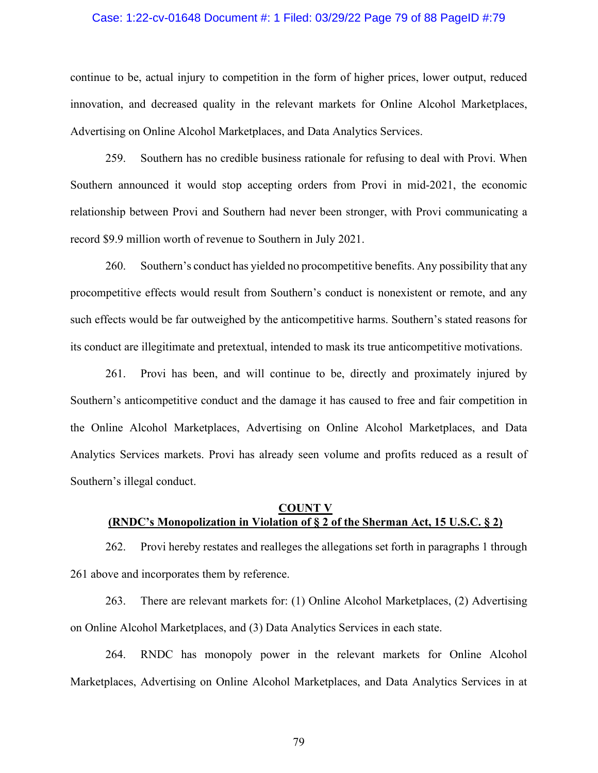#### Case: 1:22-cv-01648 Document #: 1 Filed: 03/29/22 Page 79 of 88 PageID #:79

continue to be, actual injury to competition in the form of higher prices, lower output, reduced innovation, and decreased quality in the relevant markets for Online Alcohol Marketplaces, Advertising on Online Alcohol Marketplaces, and Data Analytics Services.

259. Southern has no credible business rationale for refusing to deal with Provi. When Southern announced it would stop accepting orders from Provi in mid-2021, the economic relationship between Provi and Southern had never been stronger, with Provi communicating a record \$9.9 million worth of revenue to Southern in July 2021.

260. Southern's conduct has yielded no procompetitive benefits. Any possibility that any procompetitive effects would result from Southern's conduct is nonexistent or remote, and any such effects would be far outweighed by the anticompetitive harms. Southern's stated reasons for its conduct are illegitimate and pretextual, intended to mask its true anticompetitive motivations.

261. Provi has been, and will continue to be, directly and proximately injured by Southern's anticompetitive conduct and the damage it has caused to free and fair competition in the Online Alcohol Marketplaces, Advertising on Online Alcohol Marketplaces, and Data Analytics Services markets. Provi has already seen volume and profits reduced as a result of Southern's illegal conduct.

#### **COUNT V (RNDC's Monopolization in Violation of § 2 of the Sherman Act, 15 U.S.C. § 2)**

262. Provi hereby restates and realleges the allegations set forth in paragraphs 1 through 261 above and incorporates them by reference.

263. There are relevant markets for: (1) Online Alcohol Marketplaces, (2) Advertising on Online Alcohol Marketplaces, and (3) Data Analytics Services in each state.

264. RNDC has monopoly power in the relevant markets for Online Alcohol Marketplaces, Advertising on Online Alcohol Marketplaces, and Data Analytics Services in at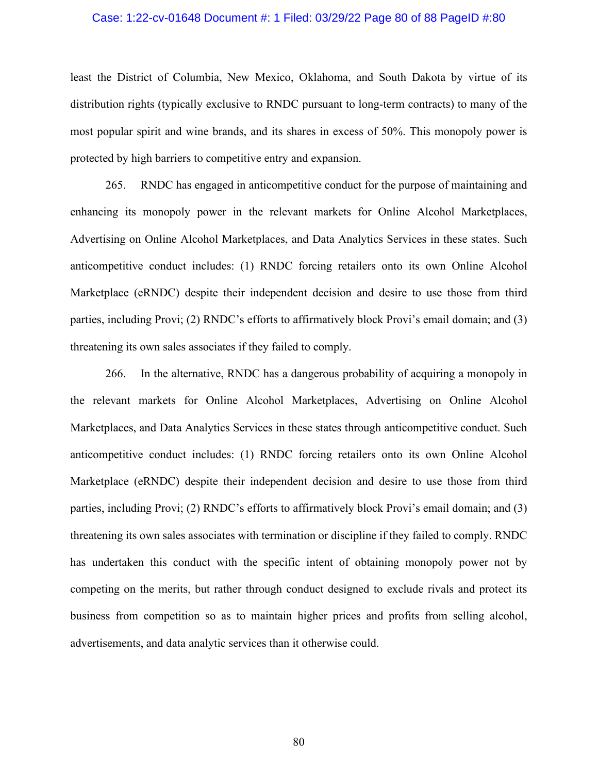#### Case: 1:22-cv-01648 Document #: 1 Filed: 03/29/22 Page 80 of 88 PageID #:80

least the District of Columbia, New Mexico, Oklahoma, and South Dakota by virtue of its distribution rights (typically exclusive to RNDC pursuant to long-term contracts) to many of the most popular spirit and wine brands, and its shares in excess of 50%. This monopoly power is protected by high barriers to competitive entry and expansion.

265. RNDC has engaged in anticompetitive conduct for the purpose of maintaining and enhancing its monopoly power in the relevant markets for Online Alcohol Marketplaces, Advertising on Online Alcohol Marketplaces, and Data Analytics Services in these states. Such anticompetitive conduct includes: (1) RNDC forcing retailers onto its own Online Alcohol Marketplace (eRNDC) despite their independent decision and desire to use those from third parties, including Provi; (2) RNDC's efforts to affirmatively block Provi's email domain; and (3) threatening its own sales associates if they failed to comply.

266. In the alternative, RNDC has a dangerous probability of acquiring a monopoly in the relevant markets for Online Alcohol Marketplaces, Advertising on Online Alcohol Marketplaces, and Data Analytics Services in these states through anticompetitive conduct. Such anticompetitive conduct includes: (1) RNDC forcing retailers onto its own Online Alcohol Marketplace (eRNDC) despite their independent decision and desire to use those from third parties, including Provi; (2) RNDC's efforts to affirmatively block Provi's email domain; and (3) threatening its own sales associates with termination or discipline if they failed to comply. RNDC has undertaken this conduct with the specific intent of obtaining monopoly power not by competing on the merits, but rather through conduct designed to exclude rivals and protect its business from competition so as to maintain higher prices and profits from selling alcohol, advertisements, and data analytic services than it otherwise could.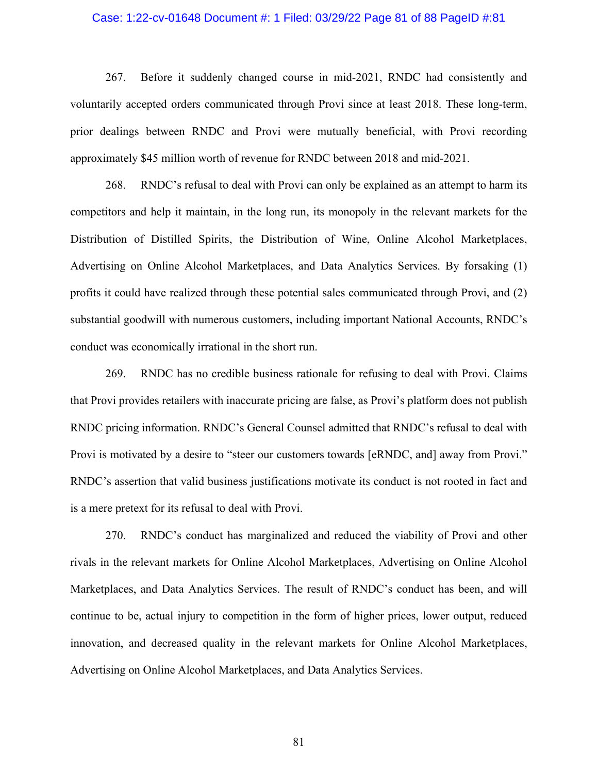### Case: 1:22-cv-01648 Document #: 1 Filed: 03/29/22 Page 81 of 88 PageID #:81

267. Before it suddenly changed course in mid-2021, RNDC had consistently and voluntarily accepted orders communicated through Provi since at least 2018. These long-term, prior dealings between RNDC and Provi were mutually beneficial, with Provi recording approximately \$45 million worth of revenue for RNDC between 2018 and mid-2021.

268. RNDC's refusal to deal with Provi can only be explained as an attempt to harm its competitors and help it maintain, in the long run, its monopoly in the relevant markets for the Distribution of Distilled Spirits, the Distribution of Wine, Online Alcohol Marketplaces, Advertising on Online Alcohol Marketplaces, and Data Analytics Services. By forsaking (1) profits it could have realized through these potential sales communicated through Provi, and (2) substantial goodwill with numerous customers, including important National Accounts, RNDC's conduct was economically irrational in the short run.

269. RNDC has no credible business rationale for refusing to deal with Provi. Claims that Provi provides retailers with inaccurate pricing are false, as Provi's platform does not publish RNDC pricing information. RNDC's General Counsel admitted that RNDC's refusal to deal with Provi is motivated by a desire to "steer our customers towards [eRNDC, and] away from Provi." RNDC's assertion that valid business justifications motivate its conduct is not rooted in fact and is a mere pretext for its refusal to deal with Provi.

270. RNDC's conduct has marginalized and reduced the viability of Provi and other rivals in the relevant markets for Online Alcohol Marketplaces, Advertising on Online Alcohol Marketplaces, and Data Analytics Services. The result of RNDC's conduct has been, and will continue to be, actual injury to competition in the form of higher prices, lower output, reduced innovation, and decreased quality in the relevant markets for Online Alcohol Marketplaces, Advertising on Online Alcohol Marketplaces, and Data Analytics Services.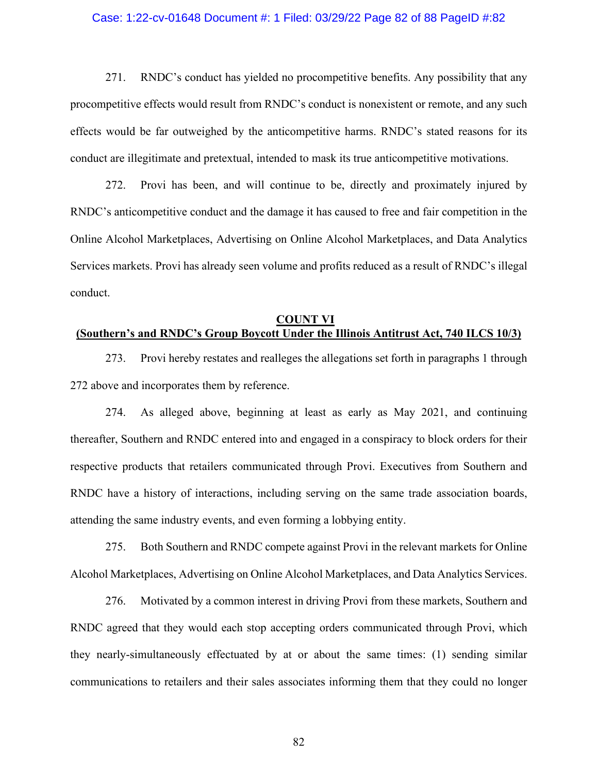#### Case: 1:22-cv-01648 Document #: 1 Filed: 03/29/22 Page 82 of 88 PageID #:82

271. RNDC's conduct has yielded no procompetitive benefits. Any possibility that any procompetitive effects would result from RNDC's conduct is nonexistent or remote, and any such effects would be far outweighed by the anticompetitive harms. RNDC's stated reasons for its conduct are illegitimate and pretextual, intended to mask its true anticompetitive motivations.

272. Provi has been, and will continue to be, directly and proximately injured by RNDC's anticompetitive conduct and the damage it has caused to free and fair competition in the Online Alcohol Marketplaces, Advertising on Online Alcohol Marketplaces, and Data Analytics Services markets. Provi has already seen volume and profits reduced as a result of RNDC's illegal conduct.

## **COUNT VI (Southern's and RNDC's Group Boycott Under the Illinois Antitrust Act, 740 ILCS 10/3)**

273. Provi hereby restates and realleges the allegations set forth in paragraphs 1 through 272 above and incorporates them by reference.

274. As alleged above, beginning at least as early as May 2021, and continuing thereafter, Southern and RNDC entered into and engaged in a conspiracy to block orders for their respective products that retailers communicated through Provi. Executives from Southern and RNDC have a history of interactions, including serving on the same trade association boards, attending the same industry events, and even forming a lobbying entity.

275. Both Southern and RNDC compete against Provi in the relevant markets for Online Alcohol Marketplaces, Advertising on Online Alcohol Marketplaces, and Data Analytics Services.

276. Motivated by a common interest in driving Provi from these markets, Southern and RNDC agreed that they would each stop accepting orders communicated through Provi, which they nearly-simultaneously effectuated by at or about the same times: (1) sending similar communications to retailers and their sales associates informing them that they could no longer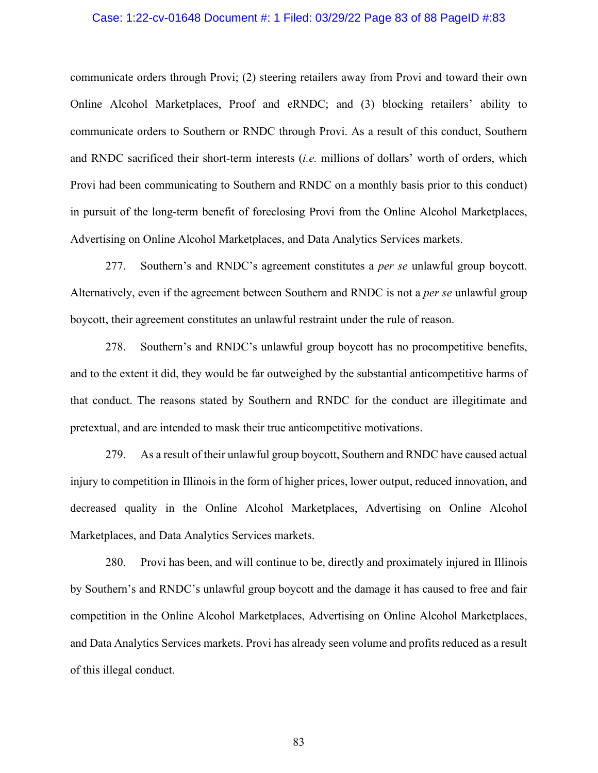### Case: 1:22-cv-01648 Document #: 1 Filed: 03/29/22 Page 83 of 88 PageID #:83

communicate orders through Provi; (2) steering retailers away from Provi and toward their own Online Alcohol Marketplaces, Proof and eRNDC; and (3) blocking retailers' ability to communicate orders to Southern or RNDC through Provi. As a result of this conduct, Southern and RNDC sacrificed their short-term interests (*i.e.* millions of dollars' worth of orders, which Provi had been communicating to Southern and RNDC on a monthly basis prior to this conduct) in pursuit of the long-term benefit of foreclosing Provi from the Online Alcohol Marketplaces, Advertising on Online Alcohol Marketplaces, and Data Analytics Services markets.

277. Southern's and RNDC's agreement constitutes a *per se* unlawful group boycott. Alternatively, even if the agreement between Southern and RNDC is not a *per se* unlawful group boycott, their agreement constitutes an unlawful restraint under the rule of reason.

278. Southern's and RNDC's unlawful group boycott has no procompetitive benefits, and to the extent it did, they would be far outweighed by the substantial anticompetitive harms of that conduct. The reasons stated by Southern and RNDC for the conduct are illegitimate and pretextual, and are intended to mask their true anticompetitive motivations.

279. As a result of their unlawful group boycott, Southern and RNDC have caused actual injury to competition in Illinois in the form of higher prices, lower output, reduced innovation, and decreased quality in the Online Alcohol Marketplaces, Advertising on Online Alcohol Marketplaces, and Data Analytics Services markets.

280. Provi has been, and will continue to be, directly and proximately injured in Illinois by Southern's and RNDC's unlawful group boycott and the damage it has caused to free and fair competition in the Online Alcohol Marketplaces, Advertising on Online Alcohol Marketplaces, and Data Analytics Services markets. Provi has already seen volume and profits reduced as a result of this illegal conduct.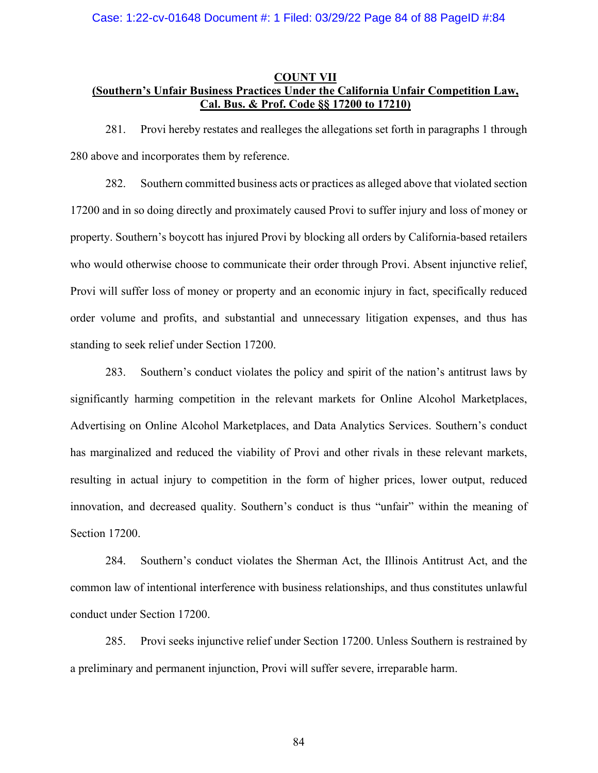### **COUNT VII (Southern's Unfair Business Practices Under the California Unfair Competition Law, Cal. Bus. & Prof. Code §§ 17200 to 17210)**

281. Provi hereby restates and realleges the allegations set forth in paragraphs 1 through 280 above and incorporates them by reference.

282. Southern committed business acts or practices as alleged above that violated section 17200 and in so doing directly and proximately caused Provi to suffer injury and loss of money or property. Southern's boycott has injured Provi by blocking all orders by California-based retailers who would otherwise choose to communicate their order through Provi. Absent injunctive relief, Provi will suffer loss of money or property and an economic injury in fact, specifically reduced order volume and profits, and substantial and unnecessary litigation expenses, and thus has standing to seek relief under Section 17200.

283. Southern's conduct violates the policy and spirit of the nation's antitrust laws by significantly harming competition in the relevant markets for Online Alcohol Marketplaces, Advertising on Online Alcohol Marketplaces, and Data Analytics Services. Southern's conduct has marginalized and reduced the viability of Provi and other rivals in these relevant markets, resulting in actual injury to competition in the form of higher prices, lower output, reduced innovation, and decreased quality. Southern's conduct is thus "unfair" within the meaning of Section 17200.

284. Southern's conduct violates the Sherman Act, the Illinois Antitrust Act, and the common law of intentional interference with business relationships, and thus constitutes unlawful conduct under Section 17200.

285. Provi seeks injunctive relief under Section 17200. Unless Southern is restrained by a preliminary and permanent injunction, Provi will suffer severe, irreparable harm.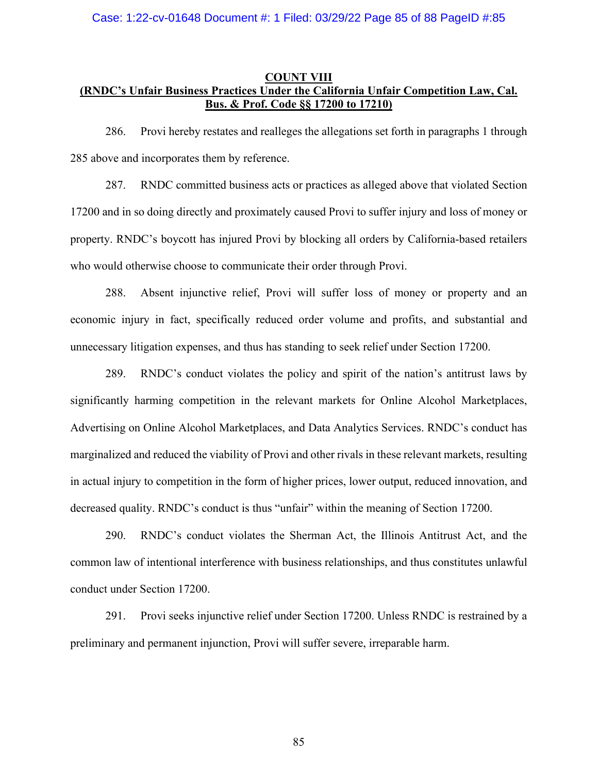## **COUNT VIII (RNDC's Unfair Business Practices Under the California Unfair Competition Law, Cal. Bus. & Prof. Code §§ 17200 to 17210)**

286. Provi hereby restates and realleges the allegations set forth in paragraphs 1 through 285 above and incorporates them by reference.

287. RNDC committed business acts or practices as alleged above that violated Section 17200 and in so doing directly and proximately caused Provi to suffer injury and loss of money or property. RNDC's boycott has injured Provi by blocking all orders by California-based retailers who would otherwise choose to communicate their order through Provi.

288. Absent injunctive relief, Provi will suffer loss of money or property and an economic injury in fact, specifically reduced order volume and profits, and substantial and unnecessary litigation expenses, and thus has standing to seek relief under Section 17200.

289. RNDC's conduct violates the policy and spirit of the nation's antitrust laws by significantly harming competition in the relevant markets for Online Alcohol Marketplaces, Advertising on Online Alcohol Marketplaces, and Data Analytics Services. RNDC's conduct has marginalized and reduced the viability of Provi and other rivals in these relevant markets, resulting in actual injury to competition in the form of higher prices, lower output, reduced innovation, and decreased quality. RNDC's conduct is thus "unfair" within the meaning of Section 17200.

290. RNDC's conduct violates the Sherman Act, the Illinois Antitrust Act, and the common law of intentional interference with business relationships, and thus constitutes unlawful conduct under Section 17200.

291. Provi seeks injunctive relief under Section 17200. Unless RNDC is restrained by a preliminary and permanent injunction, Provi will suffer severe, irreparable harm.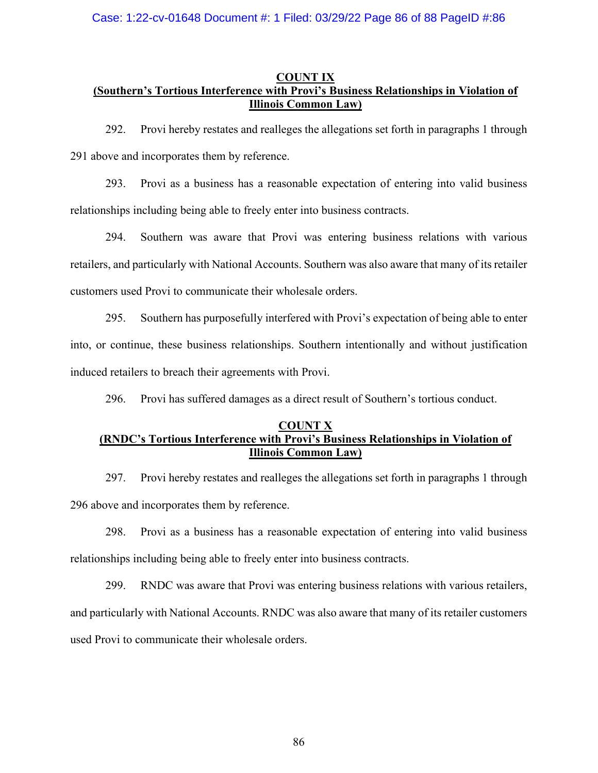## **COUNT IX (Southern's Tortious Interference with Provi's Business Relationships in Violation of Illinois Common Law)**

292. Provi hereby restates and realleges the allegations set forth in paragraphs 1 through 291 above and incorporates them by reference.

293. Provi as a business has a reasonable expectation of entering into valid business relationships including being able to freely enter into business contracts.

294. Southern was aware that Provi was entering business relations with various retailers, and particularly with National Accounts. Southern was also aware that many of itsretailer customers used Provi to communicate their wholesale orders.

295. Southern has purposefully interfered with Provi's expectation of being able to enter into, or continue, these business relationships. Southern intentionally and without justification induced retailers to breach their agreements with Provi.

296. Provi has suffered damages as a direct result of Southern's tortious conduct.

# **COUNT X (RNDC's Tortious Interference with Provi's Business Relationships in Violation of Illinois Common Law)**

297. Provi hereby restates and realleges the allegations set forth in paragraphs 1 through 296 above and incorporates them by reference.

298. Provi as a business has a reasonable expectation of entering into valid business relationships including being able to freely enter into business contracts.

299. RNDC was aware that Provi was entering business relations with various retailers, and particularly with National Accounts. RNDC was also aware that many of its retailer customers used Provi to communicate their wholesale orders.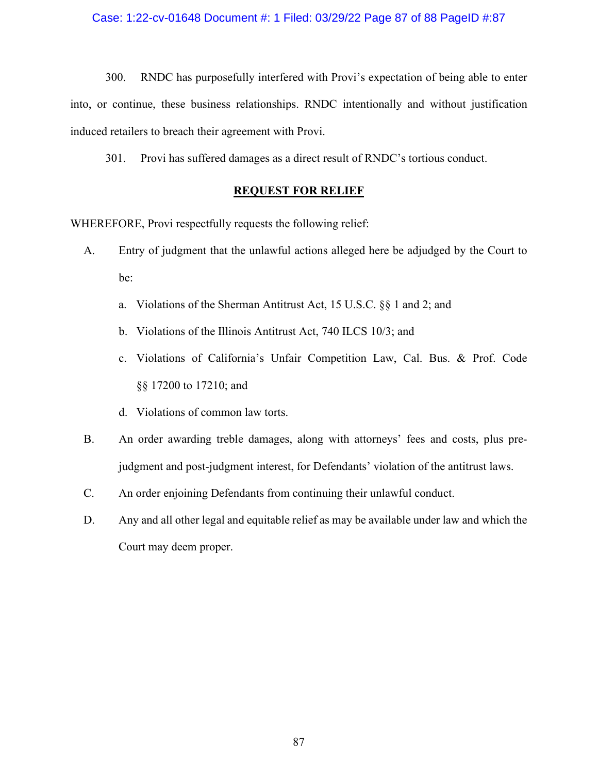#### Case: 1:22-cv-01648 Document #: 1 Filed: 03/29/22 Page 87 of 88 PageID #:87

300. RNDC has purposefully interfered with Provi's expectation of being able to enter into, or continue, these business relationships. RNDC intentionally and without justification induced retailers to breach their agreement with Provi.

301. Provi has suffered damages as a direct result of RNDC's tortious conduct.

#### **REQUEST FOR RELIEF**

WHEREFORE, Provi respectfully requests the following relief:

- A. Entry of judgment that the unlawful actions alleged here be adjudged by the Court to be:
	- a. Violations of the Sherman Antitrust Act, 15 U.S.C. §§ 1 and 2; and
	- b. Violations of the Illinois Antitrust Act, 740 ILCS 10/3; and
	- c. Violations of California's Unfair Competition Law, Cal. Bus. & Prof. Code §§ 17200 to 17210; and
	- d. Violations of common law torts.
- B. An order awarding treble damages, along with attorneys' fees and costs, plus prejudgment and post-judgment interest, for Defendants' violation of the antitrust laws.
- C. An order enjoining Defendants from continuing their unlawful conduct.
- D. Any and all other legal and equitable relief as may be available under law and which the Court may deem proper.